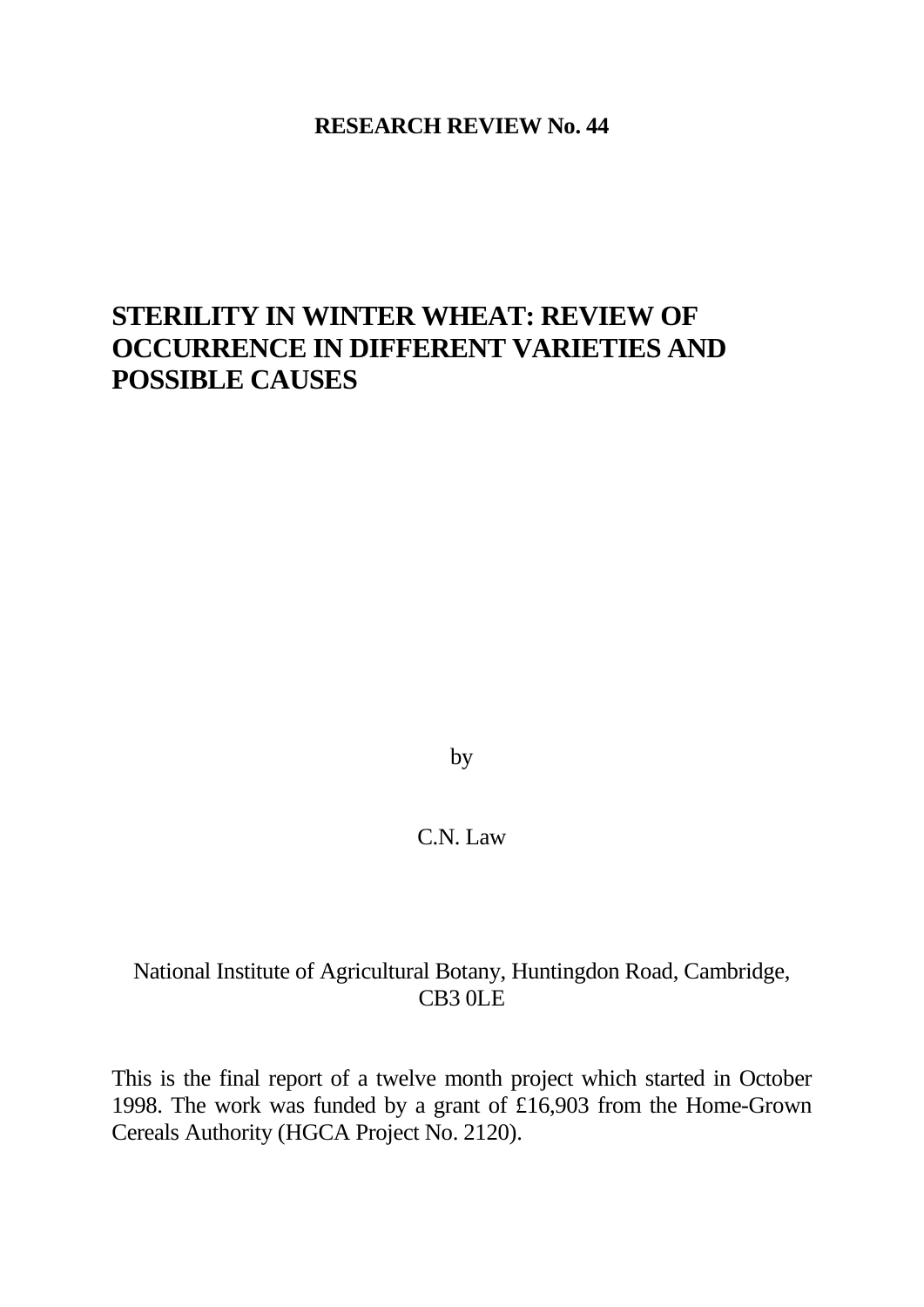### **RESEARCH REVIEW No. 44**

# **STERILITY IN WINTER WHEAT: REVIEW OF OCCURRENCE IN DIFFERENT VARIETIES AND POSSIBLE CAUSES**

by

## C.N. Law

## National Institute of Agricultural Botany, Huntingdon Road, Cambridge, CB3 0LE

This is the final report of a twelve month project which started in October 1998. The work was funded by a grant of £16,903 from the Home-Grown Cereals Authority (HGCA Project No. 2120).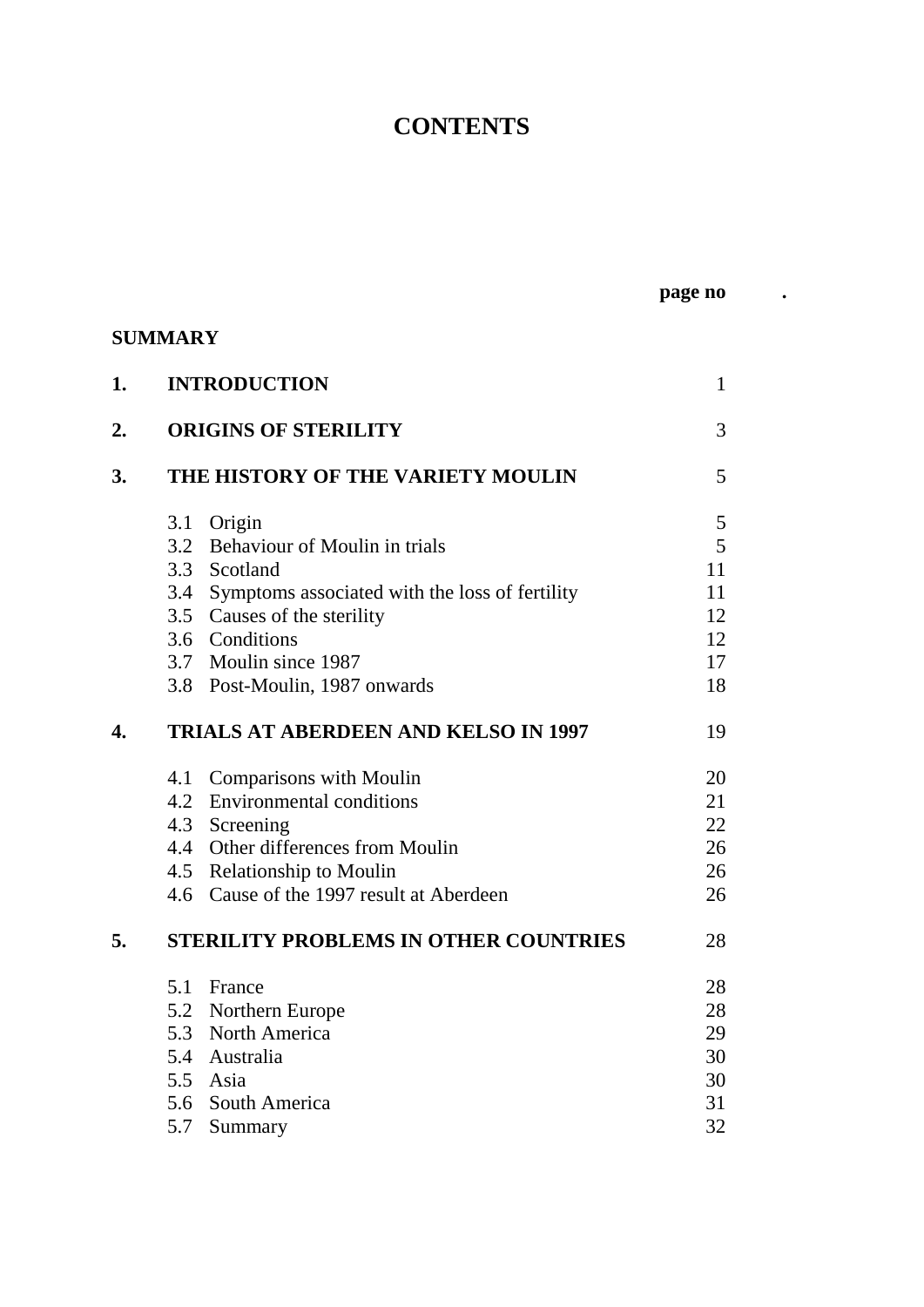# **CONTENTS**

**page no .**

## **SUMMARY**

| 1.                        |     | <b>INTRODUCTION</b>                                | $\mathbf{1}$ |
|---------------------------|-----|----------------------------------------------------|--------------|
| 2.                        |     | <b>ORIGINS OF STERILITY</b>                        | 3            |
| 3.                        |     | THE HISTORY OF THE VARIETY MOULIN                  | 5            |
|                           |     | 3.1 Origin                                         | 5            |
|                           |     | 3.2 Behaviour of Moulin in trials                  | 5            |
|                           |     | 3.3 Scotland                                       | 11           |
|                           |     | 3.4 Symptoms associated with the loss of fertility | 11           |
|                           |     | 3.5 Causes of the sterility                        | 12           |
|                           |     | 3.6 Conditions                                     | 12           |
|                           |     | 3.7 Moulin since 1987                              | 17           |
|                           |     | 3.8 Post-Moulin, 1987 onwards                      | 18           |
| $\overline{\mathbf{4}}$ . |     | <b>TRIALS AT ABERDEEN AND KELSO IN 1997</b>        | 19           |
|                           | 4.1 | <b>Comparisons with Moulin</b>                     | 20           |
|                           |     | 4.2 Environmental conditions                       | 21           |
|                           |     | 4.3 Screening                                      | 22           |
|                           |     | 4.4 Other differences from Moulin                  | 26           |
|                           |     | 4.5 Relationship to Moulin                         | 26           |
|                           |     | 4.6 Cause of the 1997 result at Aberdeen           | 26           |
| 5.                        |     | <b>STERILITY PROBLEMS IN OTHER COUNTRIES</b>       | 28           |
|                           |     | 5.1 France                                         | 28           |
|                           |     | 5.2 Northern Europe                                | 28           |
|                           |     | 5.3 North America                                  | 29           |
|                           |     | 5.4 Australia                                      | 30           |
|                           |     | 5.5 Asia                                           | 30           |
|                           |     | 5.6 South America                                  | 31           |
|                           | 5.7 | Summary                                            | 32           |
|                           |     |                                                    |              |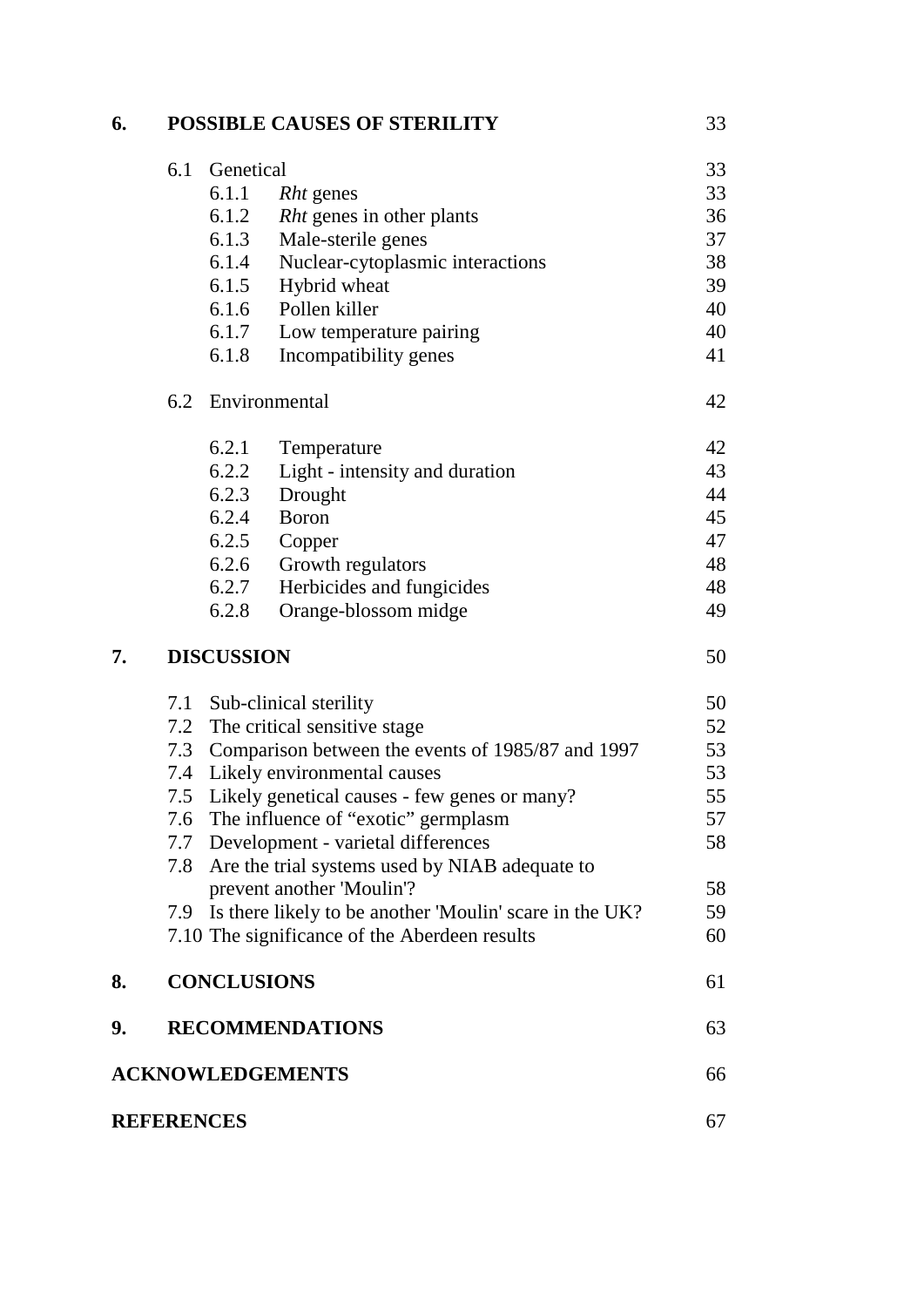## **6. POSSIBLE CAUSES OF STERILITY** 33

|                         | 6.1 | Genetical          |                                                         | 33 |
|-------------------------|-----|--------------------|---------------------------------------------------------|----|
|                         |     | 6.1.1              | <i>Rht</i> genes                                        | 33 |
|                         |     | 6.1.2              | <i>Rht</i> genes in other plants                        | 36 |
|                         |     | 6.1.3              | Male-sterile genes                                      | 37 |
|                         |     | 6.1.4              | Nuclear-cytoplasmic interactions                        | 38 |
|                         |     | 6.1.5              | Hybrid wheat                                            | 39 |
|                         |     | 6.1.6              | Pollen killer                                           | 40 |
|                         |     | 6.1.7              | Low temperature pairing                                 | 40 |
|                         |     | 6.1.8              | Incompatibility genes                                   | 41 |
|                         | 6.2 |                    | Environmental                                           | 42 |
|                         |     | 6.2.1              | Temperature                                             | 42 |
|                         |     | 6.2.2              | Light - intensity and duration                          | 43 |
|                         |     | 6.2.3              | Drought                                                 | 44 |
|                         |     | 6.2.4              | <b>Boron</b>                                            | 45 |
|                         |     | 6.2.5              | Copper                                                  | 47 |
|                         |     | 6.2.6              | Growth regulators                                       | 48 |
|                         |     | 6.2.7              | Herbicides and fungicides                               | 48 |
|                         |     | 6.2.8              | Orange-blossom midge                                    | 49 |
| 7.                      |     | <b>DISCUSSION</b>  |                                                         | 50 |
|                         |     |                    | 7.1 Sub-clinical sterility                              | 50 |
|                         |     |                    | 7.2 The critical sensitive stage                        | 52 |
|                         | 7.3 |                    | Comparison between the events of 1985/87 and 1997       | 53 |
|                         |     |                    | 7.4 Likely environmental causes                         | 53 |
|                         | 7.5 |                    | Likely genetical causes - few genes or many?            | 55 |
|                         |     |                    | 7.6 The influence of "exotic" germplasm                 | 57 |
|                         | 7.7 |                    | Development - varietal differences                      | 58 |
|                         | 7.8 |                    | Are the trial systems used by NIAB adequate to          |    |
|                         |     |                    | prevent another 'Moulin'?                               | 58 |
|                         | 7.9 |                    | Is there likely to be another 'Moulin' scare in the UK? | 59 |
|                         |     |                    | 7.10 The significance of the Aberdeen results           | 60 |
| 8.                      |     | <b>CONCLUSIONS</b> |                                                         | 61 |
| 9.                      |     |                    | <b>RECOMMENDATIONS</b>                                  | 63 |
| <b>ACKNOWLEDGEMENTS</b> |     |                    |                                                         | 66 |
| <b>REFERENCES</b>       | 67  |                    |                                                         |    |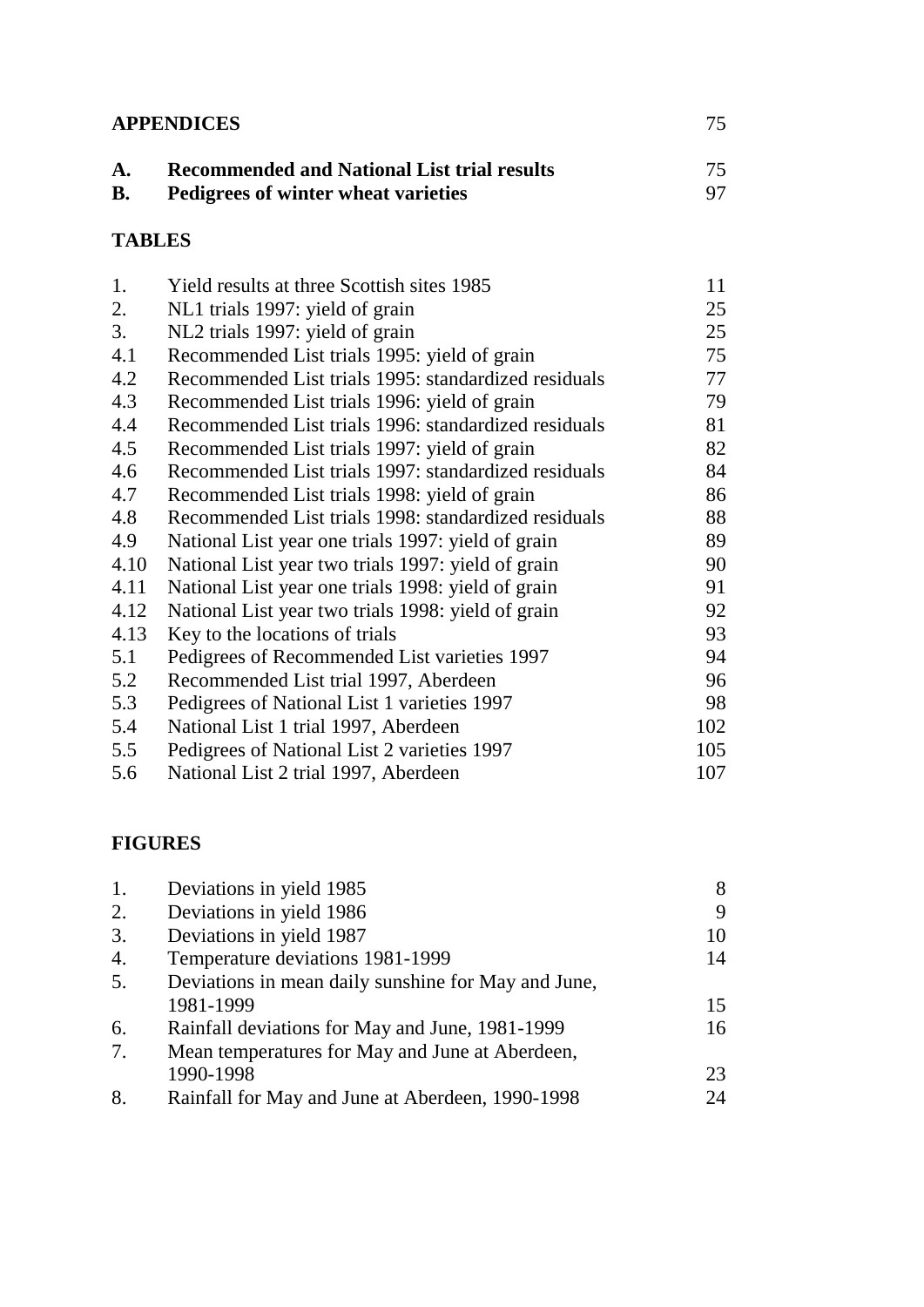| <b>APPENDICES</b> | 75.                                                |     |
|-------------------|----------------------------------------------------|-----|
| A.                | <b>Recommended and National List trial results</b> | 75. |
| <b>B.</b>         | Pedigrees of winter wheat varieties                | 97. |
|                   |                                                    |     |

## **TABLES**

| 1.   | Yield results at three Scottish sites 1985           | 11  |
|------|------------------------------------------------------|-----|
| 2.   | NL1 trials 1997: yield of grain                      | 25  |
| 3.   | NL2 trials 1997: yield of grain                      | 25  |
| 4.1  | Recommended List trials 1995: yield of grain         | 75  |
| 4.2  | Recommended List trials 1995: standardized residuals | 77  |
| 4.3  | Recommended List trials 1996: yield of grain         | 79  |
| 4.4  | Recommended List trials 1996: standardized residuals | 81  |
| 4.5  | Recommended List trials 1997: yield of grain         | 82  |
| 4.6  | Recommended List trials 1997: standardized residuals | 84  |
| 4.7  | Recommended List trials 1998: yield of grain         | 86  |
| 4.8  | Recommended List trials 1998: standardized residuals | 88  |
| 4.9  | National List year one trials 1997: yield of grain   | 89  |
| 4.10 | National List year two trials 1997: yield of grain   | 90  |
| 4.11 | National List year one trials 1998: yield of grain   | 91  |
| 4.12 | National List year two trials 1998: yield of grain   | 92  |
| 4.13 | Key to the locations of trials                       | 93  |
| 5.1  | Pedigrees of Recommended List varieties 1997         | 94  |
| 5.2  | Recommended List trial 1997, Aberdeen                | 96  |
| 5.3  | Pedigrees of National List 1 varieties 1997          | 98  |
| 5.4  | National List 1 trial 1997, Aberdeen                 | 102 |
| 5.5  | Pedigrees of National List 2 varieties 1997          | 105 |
| 5.6  | National List 2 trial 1997, Aberdeen                 | 107 |

## **FIGURES**

| 1. | Deviations in yield 1985                            | 8  |
|----|-----------------------------------------------------|----|
| 2. | Deviations in yield 1986                            | 9  |
| 3. | Deviations in yield 1987                            | 10 |
| 4. | Temperature deviations 1981-1999                    | 14 |
| 5. | Deviations in mean daily sunshine for May and June, |    |
|    | 1981-1999                                           | 15 |
| 6. | Rainfall deviations for May and June, 1981-1999     | 16 |
| 7. | Mean temperatures for May and June at Aberdeen,     |    |
|    | 1990-1998                                           | 23 |
| 8. | Rainfall for May and June at Aberdeen, 1990-1998    | 24 |
|    |                                                     |    |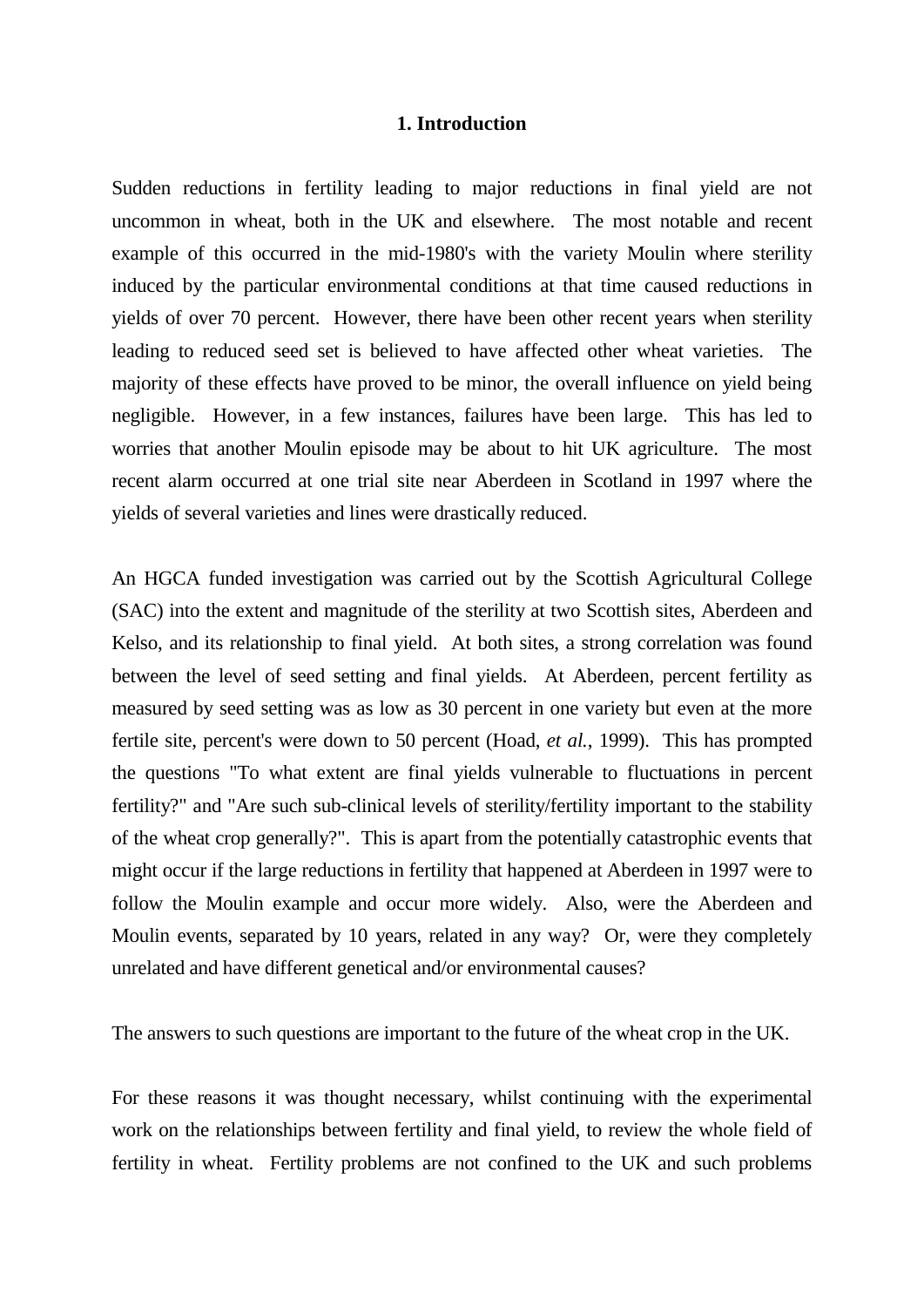#### **1. Introduction**

Sudden reductions in fertility leading to major reductions in final yield are not uncommon in wheat, both in the UK and elsewhere. The most notable and recent example of this occurred in the mid-1980's with the variety Moulin where sterility induced by the particular environmental conditions at that time caused reductions in yields of over 70 percent. However, there have been other recent years when sterility leading to reduced seed set is believed to have affected other wheat varieties. The majority of these effects have proved to be minor, the overall influence on yield being negligible. However, in a few instances, failures have been large. This has led to worries that another Moulin episode may be about to hit UK agriculture. The most recent alarm occurred at one trial site near Aberdeen in Scotland in 1997 where the yields of several varieties and lines were drastically reduced.

An HGCA funded investigation was carried out by the Scottish Agricultural College (SAC) into the extent and magnitude of the sterility at two Scottish sites, Aberdeen and Kelso, and its relationship to final yield. At both sites, a strong correlation was found between the level of seed setting and final yields. At Aberdeen, percent fertility as measured by seed setting was as low as 30 percent in one variety but even at the more fertile site, percent's were down to 50 percent (Hoad, *et al.*, 1999). This has prompted the questions "To what extent are final yields vulnerable to fluctuations in percent fertility?" and "Are such sub-clinical levels of sterility/fertility important to the stability of the wheat crop generally?". This is apart from the potentially catastrophic events that might occur if the large reductions in fertility that happened at Aberdeen in 1997 were to follow the Moulin example and occur more widely. Also, were the Aberdeen and Moulin events, separated by 10 years, related in any way? Or, were they completely unrelated and have different genetical and/or environmental causes?

The answers to such questions are important to the future of the wheat crop in the UK.

For these reasons it was thought necessary, whilst continuing with the experimental work on the relationships between fertility and final yield, to review the whole field of fertility in wheat. Fertility problems are not confined to the UK and such problems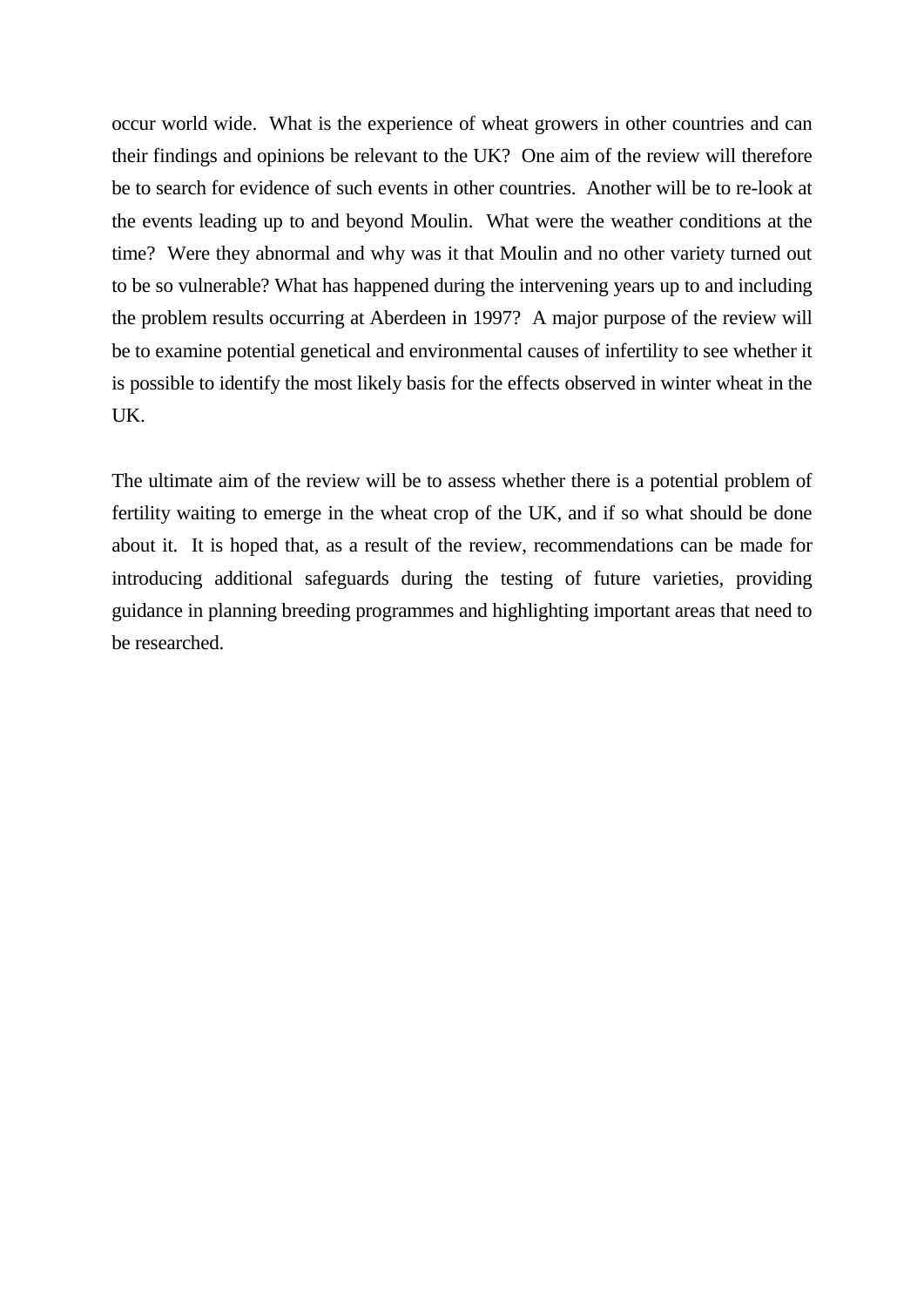occur world wide. What is the experience of wheat growers in other countries and can their findings and opinions be relevant to the UK? One aim of the review will therefore be to search for evidence of such events in other countries. Another will be to re-look at the events leading up to and beyond Moulin. What were the weather conditions at the time? Were they abnormal and why was it that Moulin and no other variety turned out to be so vulnerable? What has happened during the intervening years up to and including the problem results occurring at Aberdeen in 1997? A major purpose of the review will be to examine potential genetical and environmental causes of infertility to see whether it is possible to identify the most likely basis for the effects observed in winter wheat in the UK.

The ultimate aim of the review will be to assess whether there is a potential problem of fertility waiting to emerge in the wheat crop of the UK, and if so what should be done about it. It is hoped that, as a result of the review, recommendations can be made for introducing additional safeguards during the testing of future varieties, providing guidance in planning breeding programmes and highlighting important areas that need to be researched.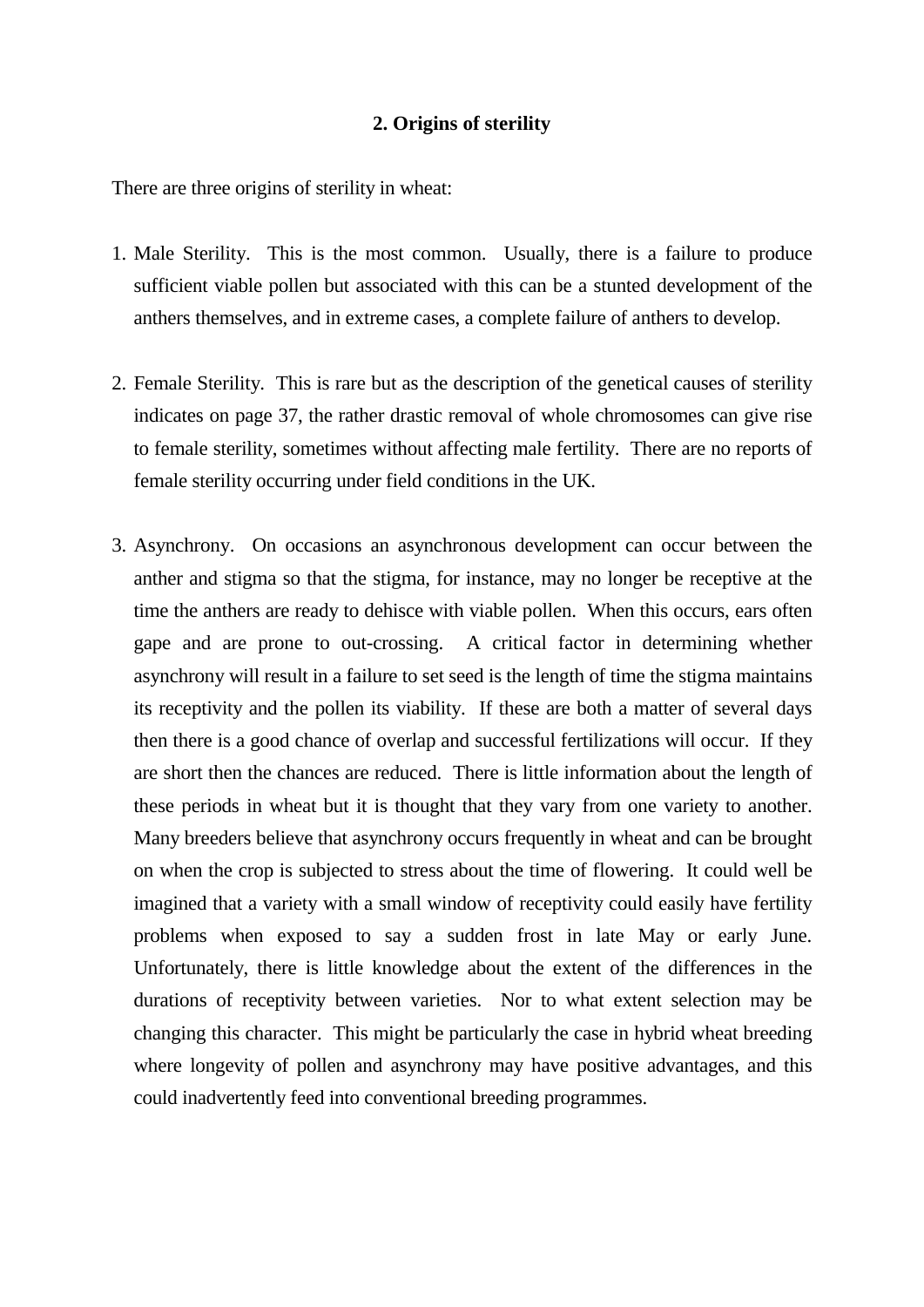#### **2. Origins of sterility**

There are three origins of sterility in wheat:

- 1. Male Sterility. This is the most common. Usually, there is a failure to produce sufficient viable pollen but associated with this can be a stunted development of the anthers themselves, and in extreme cases, a complete failure of anthers to develop.
- 2. Female Sterility. This is rare but as the description of the genetical causes of sterility indicates on page 37, the rather drastic removal of whole chromosomes can give rise to female sterility, sometimes without affecting male fertility. There are no reports of female sterility occurring under field conditions in the UK.
- 3. Asynchrony. On occasions an asynchronous development can occur between the anther and stigma so that the stigma, for instance, may no longer be receptive at the time the anthers are ready to dehisce with viable pollen. When this occurs, ears often gape and are prone to out-crossing. A critical factor in determining whether asynchrony will result in a failure to set seed is the length of time the stigma maintains its receptivity and the pollen its viability. If these are both a matter of several days then there is a good chance of overlap and successful fertilizations will occur. If they are short then the chances are reduced. There is little information about the length of these periods in wheat but it is thought that they vary from one variety to another. Many breeders believe that asynchrony occurs frequently in wheat and can be brought on when the crop is subjected to stress about the time of flowering. It could well be imagined that a variety with a small window of receptivity could easily have fertility problems when exposed to say a sudden frost in late May or early June. Unfortunately, there is little knowledge about the extent of the differences in the durations of receptivity between varieties. Nor to what extent selection may be changing this character. This might be particularly the case in hybrid wheat breeding where longevity of pollen and asynchrony may have positive advantages, and this could inadvertently feed into conventional breeding programmes.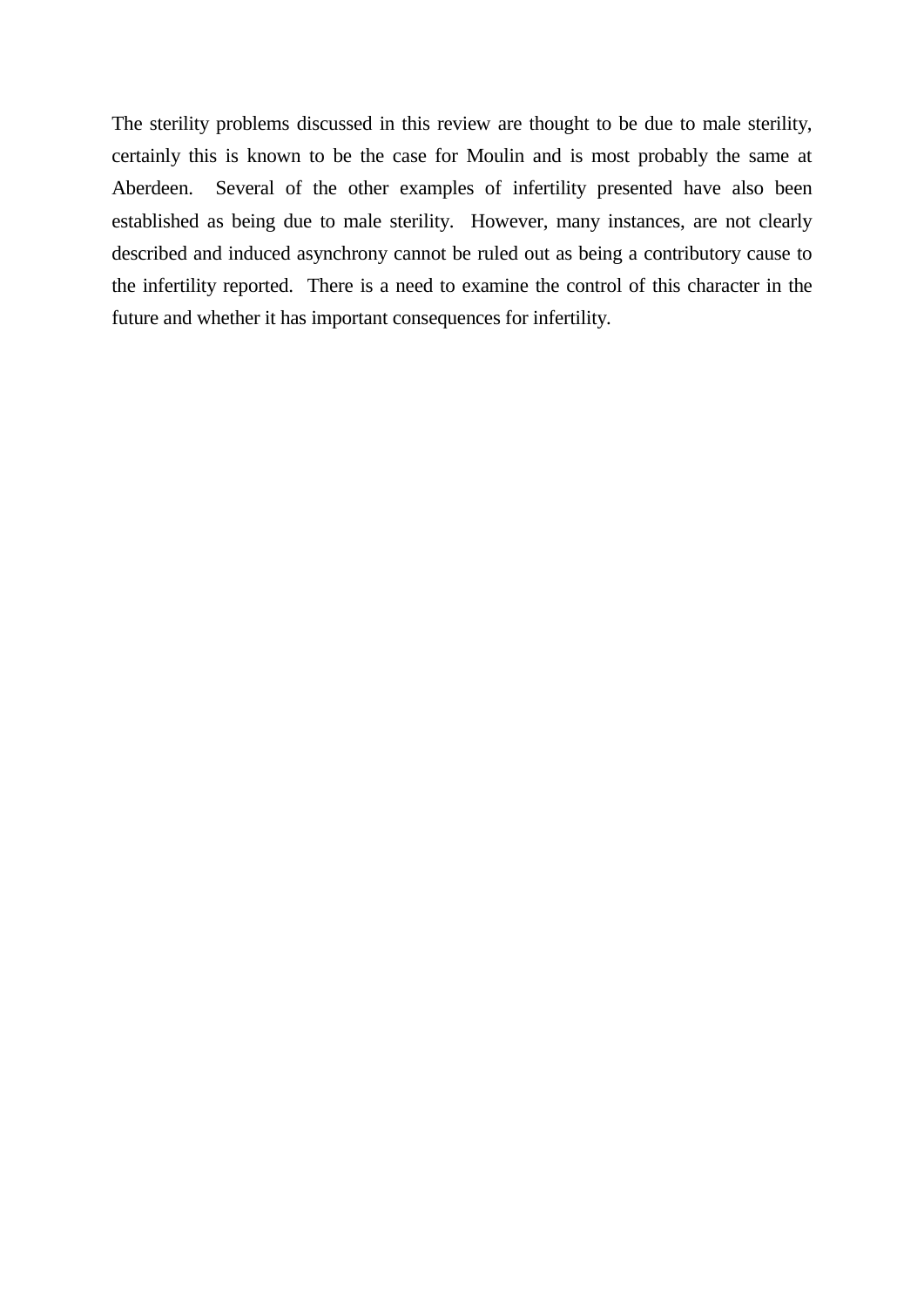The sterility problems discussed in this review are thought to be due to male sterility, certainly this is known to be the case for Moulin and is most probably the same at Aberdeen. Several of the other examples of infertility presented have also been established as being due to male sterility. However, many instances, are not clearly described and induced asynchrony cannot be ruled out as being a contributory cause to the infertility reported. There is a need to examine the control of this character in the future and whether it has important consequences for infertility.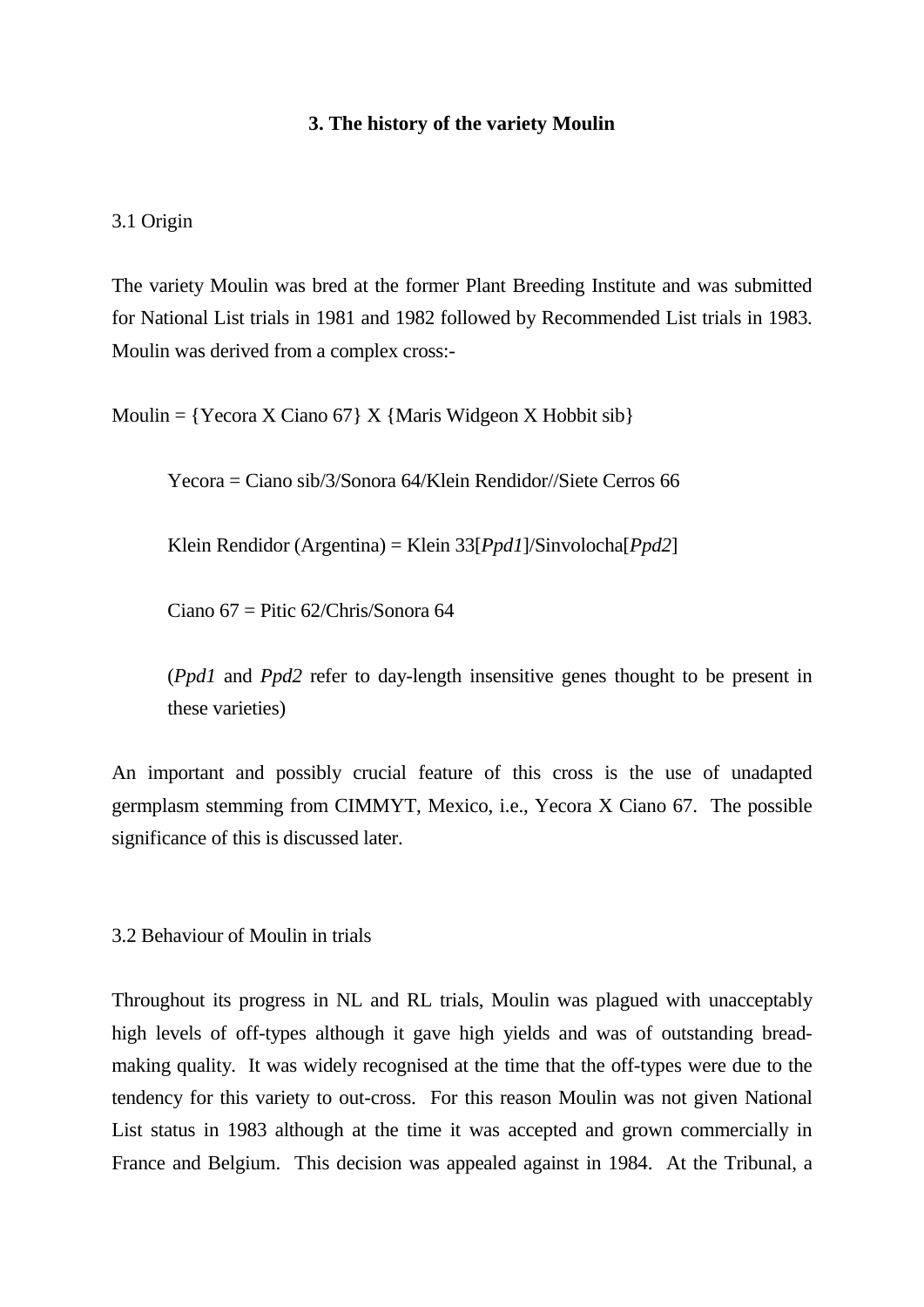#### **3. The history of the variety Moulin**

#### 3.1 Origin

The variety Moulin was bred at the former Plant Breeding Institute and was submitted for National List trials in 1981 and 1982 followed by Recommended List trials in 1983. Moulin was derived from a complex cross:-

Moulin =  ${Yecora X Ciano 67} X {Maris Wideon X Hobbit sib}$ 

Yecora = Ciano sib/3/Sonora 64/Klein Rendidor//Siete Cerros 66

Klein Rendidor (Argentina) = Klein 33[*Ppd1*]/Sinvolocha[*Ppd2*]

Ciano  $67 =$  Pitic  $62$ /Chris/Sonora  $64$ 

(*Ppd1* and *Ppd2* refer to day-length insensitive genes thought to be present in these varieties)

An important and possibly crucial feature of this cross is the use of unadapted germplasm stemming from CIMMYT, Mexico, i.e., Yecora X Ciano 67. The possible significance of this is discussed later.

3.2 Behaviour of Moulin in trials

Throughout its progress in NL and RL trials, Moulin was plagued with unacceptably high levels of off-types although it gave high yields and was of outstanding breadmaking quality. It was widely recognised at the time that the off-types were due to the tendency for this variety to out-cross. For this reason Moulin was not given National List status in 1983 although at the time it was accepted and grown commercially in France and Belgium. This decision was appealed against in 1984. At the Tribunal, a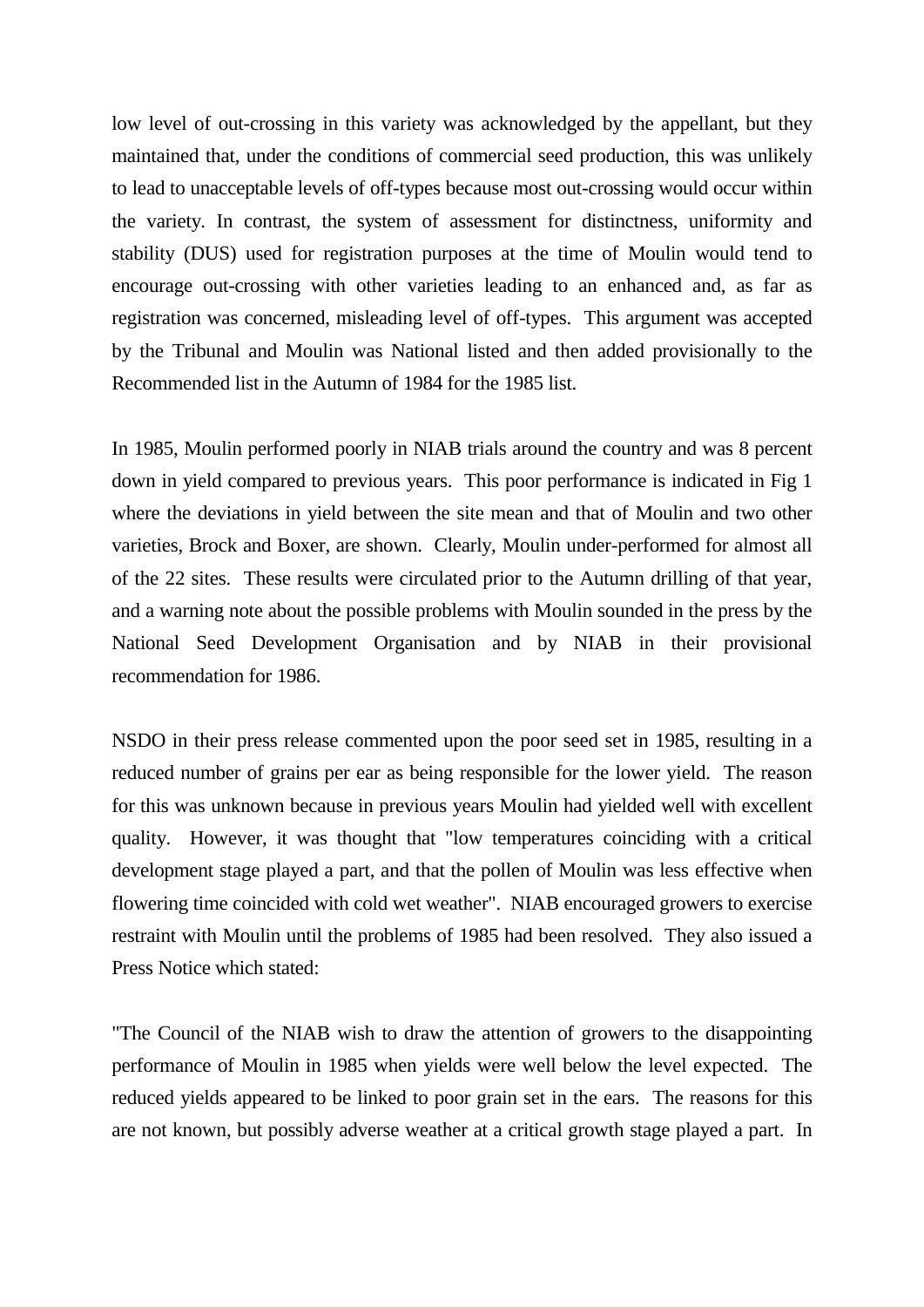low level of out-crossing in this variety was acknowledged by the appellant, but they maintained that, under the conditions of commercial seed production, this was unlikely to lead to unacceptable levels of off-types because most out-crossing would occur within the variety. In contrast, the system of assessment for distinctness, uniformity and stability (DUS) used for registration purposes at the time of Moulin would tend to encourage out-crossing with other varieties leading to an enhanced and, as far as registration was concerned, misleading level of off-types. This argument was accepted by the Tribunal and Moulin was National listed and then added provisionally to the Recommended list in the Autumn of 1984 for the 1985 list.

In 1985, Moulin performed poorly in NIAB trials around the country and was 8 percent down in yield compared to previous years. This poor performance is indicated in Fig 1 where the deviations in yield between the site mean and that of Moulin and two other varieties, Brock and Boxer, are shown. Clearly, Moulin under-performed for almost all of the 22 sites. These results were circulated prior to the Autumn drilling of that year, and a warning note about the possible problems with Moulin sounded in the press by the National Seed Development Organisation and by NIAB in their provisional recommendation for 1986.

NSDO in their press release commented upon the poor seed set in 1985, resulting in a reduced number of grains per ear as being responsible for the lower yield. The reason for this was unknown because in previous years Moulin had yielded well with excellent quality. However, it was thought that "low temperatures coinciding with a critical development stage played a part, and that the pollen of Moulin was less effective when flowering time coincided with cold wet weather". NIAB encouraged growers to exercise restraint with Moulin until the problems of 1985 had been resolved. They also issued a Press Notice which stated:

"The Council of the NIAB wish to draw the attention of growers to the disappointing performance of Moulin in 1985 when yields were well below the level expected. The reduced yields appeared to be linked to poor grain set in the ears. The reasons for this are not known, but possibly adverse weather at a critical growth stage played a part. In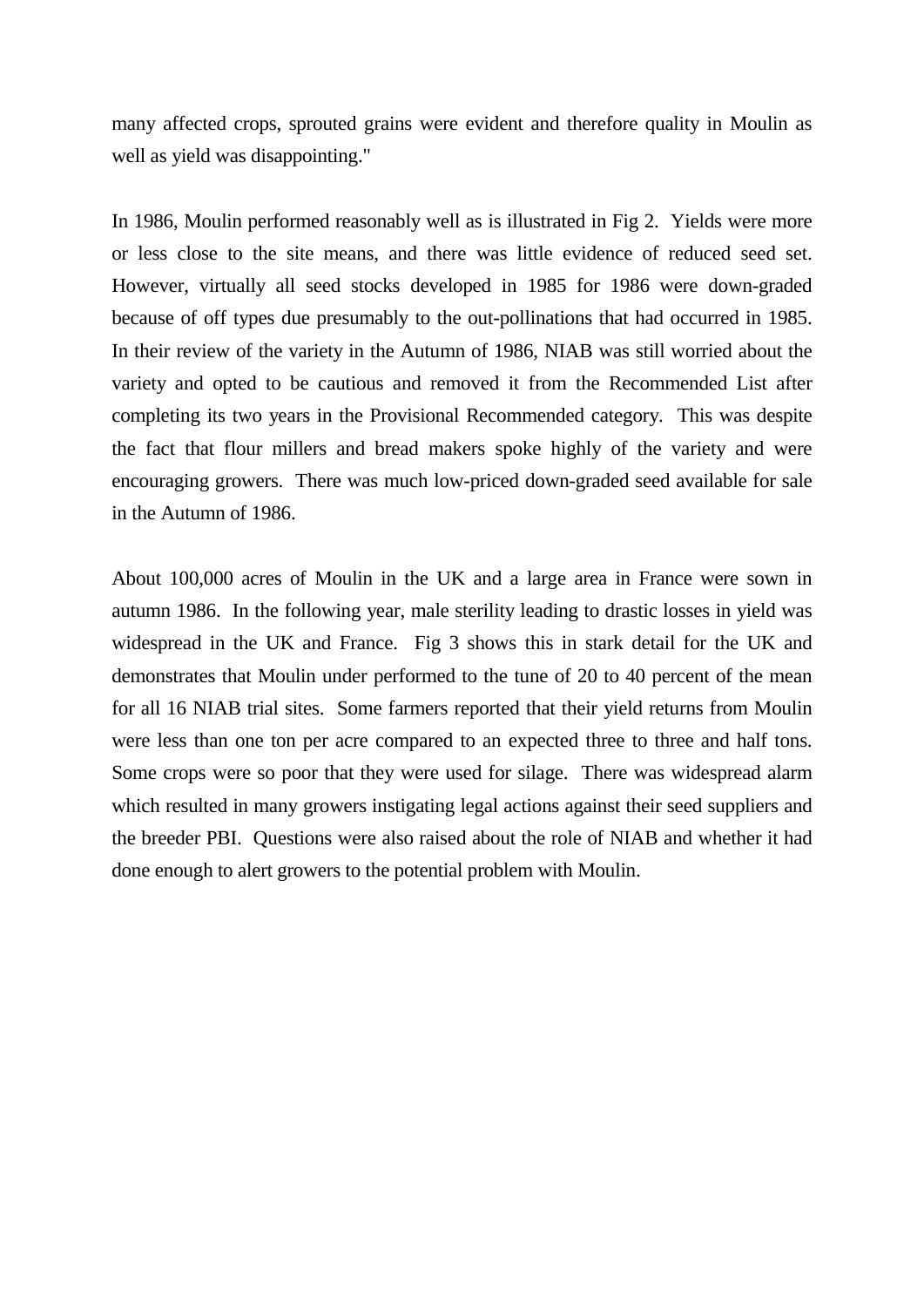many affected crops, sprouted grains were evident and therefore quality in Moulin as well as yield was disappointing."

In 1986, Moulin performed reasonably well as is illustrated in Fig 2. Yields were more or less close to the site means, and there was little evidence of reduced seed set. However, virtually all seed stocks developed in 1985 for 1986 were down-graded because of off types due presumably to the out-pollinations that had occurred in 1985. In their review of the variety in the Autumn of 1986, NIAB was still worried about the variety and opted to be cautious and removed it from the Recommended List after completing its two years in the Provisional Recommended category. This was despite the fact that flour millers and bread makers spoke highly of the variety and were encouraging growers. There was much low-priced down-graded seed available for sale in the Autumn of 1986.

About 100,000 acres of Moulin in the UK and a large area in France were sown in autumn 1986. In the following year, male sterility leading to drastic losses in yield was widespread in the UK and France. Fig 3 shows this in stark detail for the UK and demonstrates that Moulin under performed to the tune of 20 to 40 percent of the mean for all 16 NIAB trial sites. Some farmers reported that their yield returns from Moulin were less than one ton per acre compared to an expected three to three and half tons. Some crops were so poor that they were used for silage. There was widespread alarm which resulted in many growers instigating legal actions against their seed suppliers and the breeder PBI. Questions were also raised about the role of NIAB and whether it had done enough to alert growers to the potential problem with Moulin.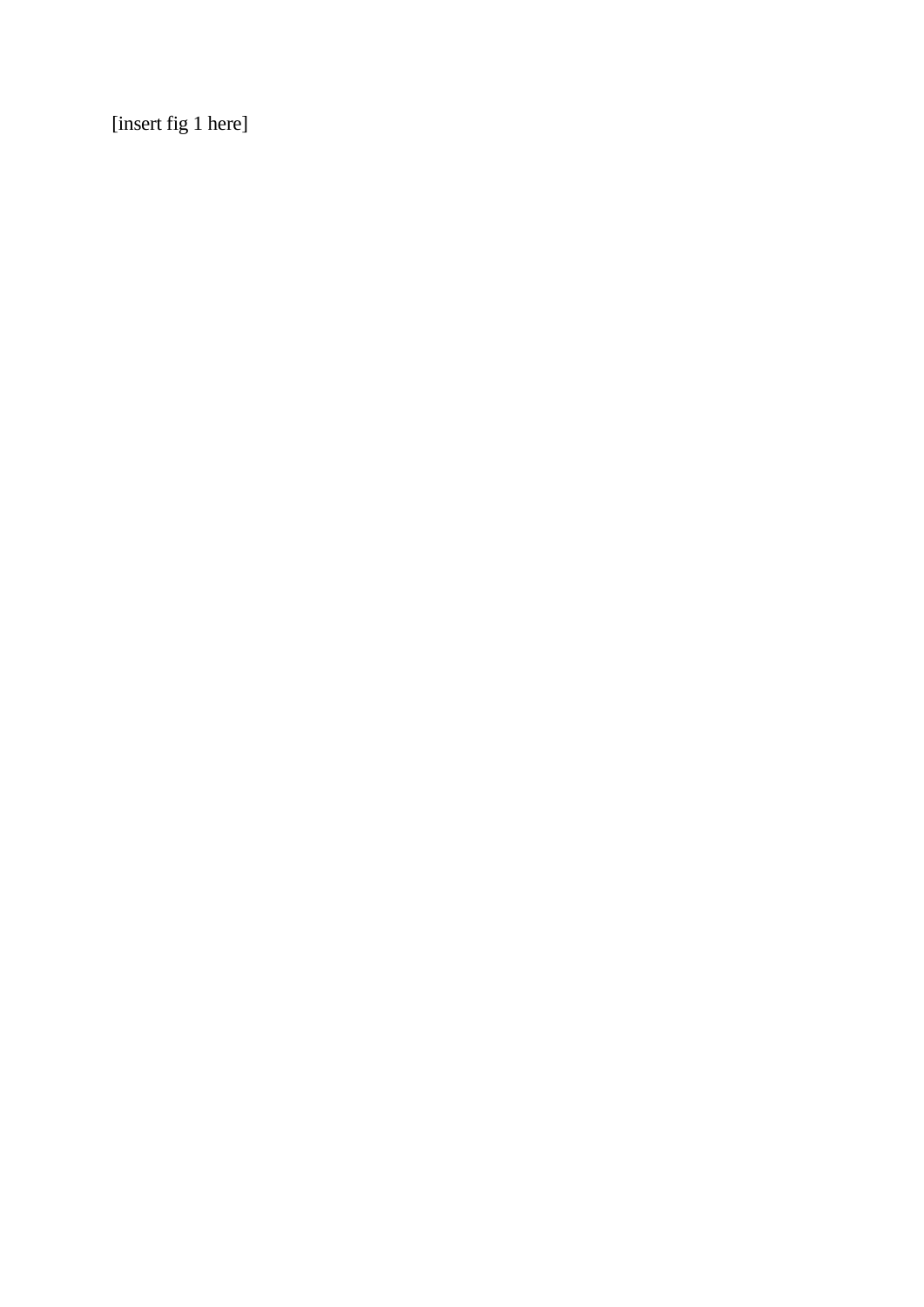[insert fig 1 here]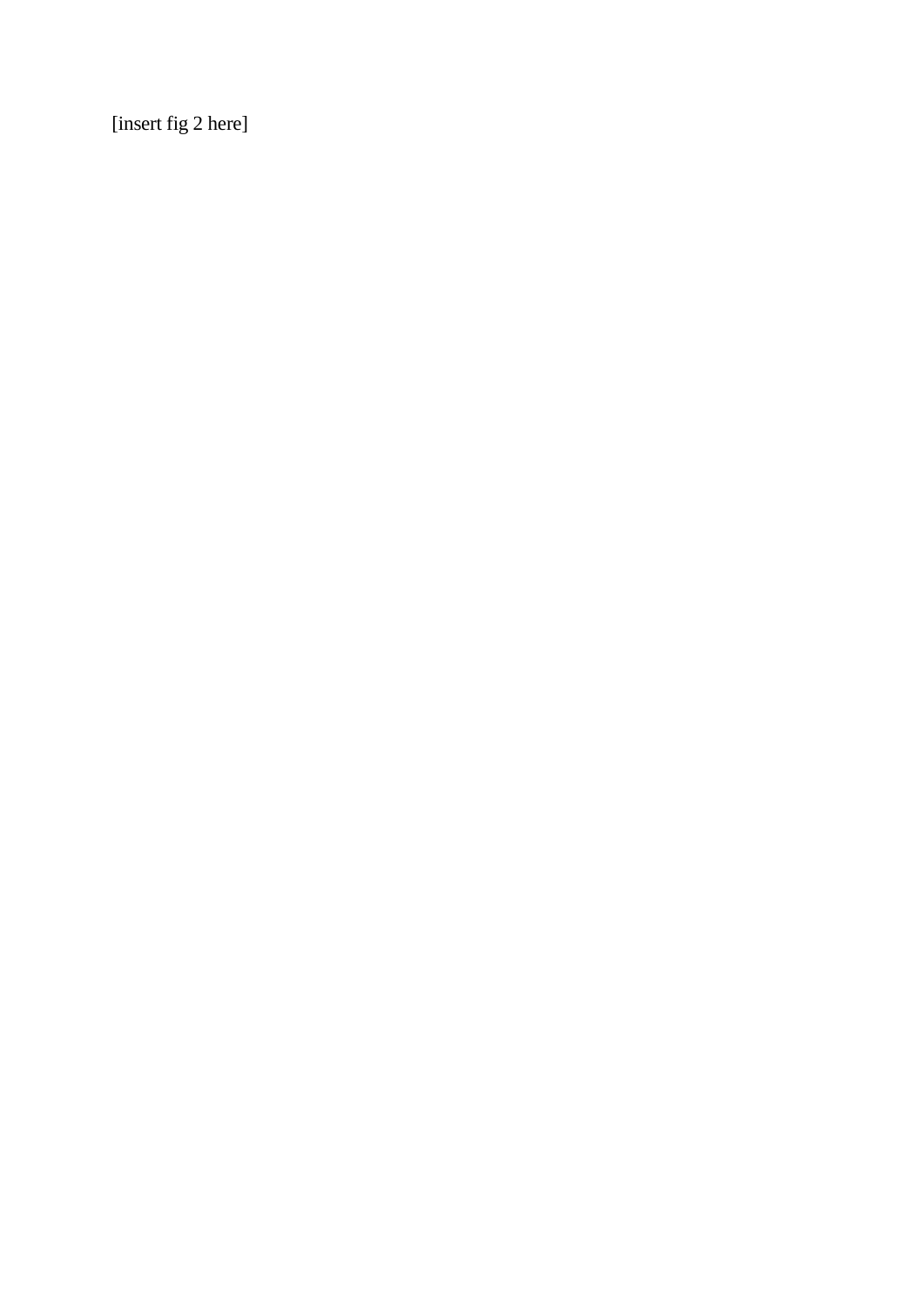[insert fig 2 here]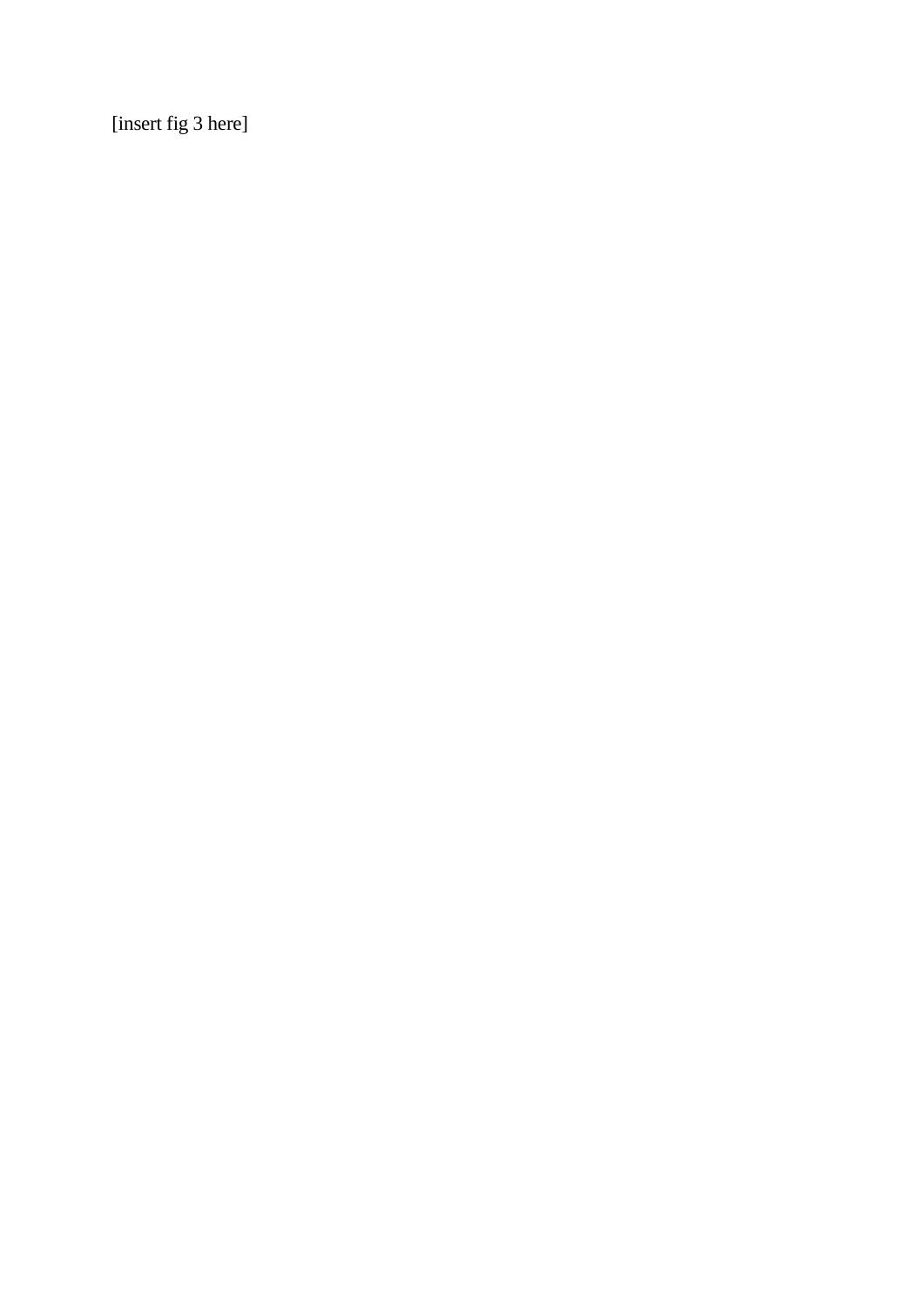[insert fig 3 here]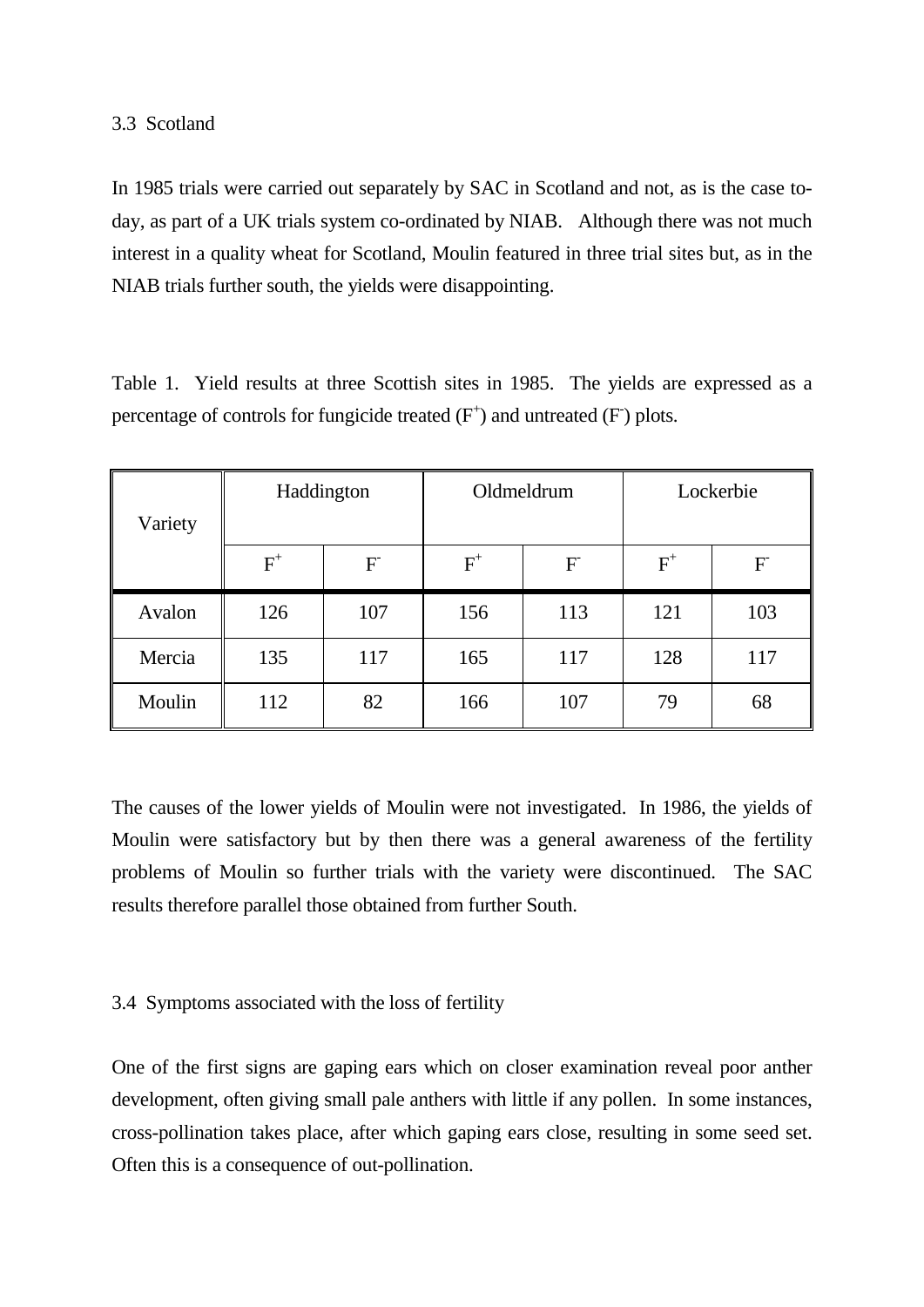#### 3.3 Scotland

In 1985 trials were carried out separately by SAC in Scotland and not, as is the case today, as part of a UK trials system co-ordinated by NIAB. Although there was not much interest in a quality wheat for Scotland, Moulin featured in three trial sites but, as in the NIAB trials further south, the yields were disappointing.

Table 1. Yield results at three Scottish sites in 1985. The yields are expressed as a percentage of controls for fungicide treated  $(F^+)$  and untreated  $(F)$  plots.

| Variety | Haddington                |     | Oldmeldrum            |     | Lockerbie |     |
|---------|---------------------------|-----|-----------------------|-----|-----------|-----|
|         | $\mathrm{F}^{\mathrm{+}}$ | F   | $\text{F}^{\text{+}}$ | F   | $F^+$     | F   |
| Avalon  | 126                       | 107 | 156                   | 113 | 121       | 103 |
| Mercia  | 135                       | 117 | 165                   | 117 | 128       | 117 |
| Moulin  | 112                       | 82  | 166                   | 107 | 79        | 68  |

The causes of the lower yields of Moulin were not investigated. In 1986, the yields of Moulin were satisfactory but by then there was a general awareness of the fertility problems of Moulin so further trials with the variety were discontinued. The SAC results therefore parallel those obtained from further South.

#### 3.4 Symptoms associated with the loss of fertility

One of the first signs are gaping ears which on closer examination reveal poor anther development, often giving small pale anthers with little if any pollen. In some instances, cross-pollination takes place, after which gaping ears close, resulting in some seed set. Often this is a consequence of out-pollination.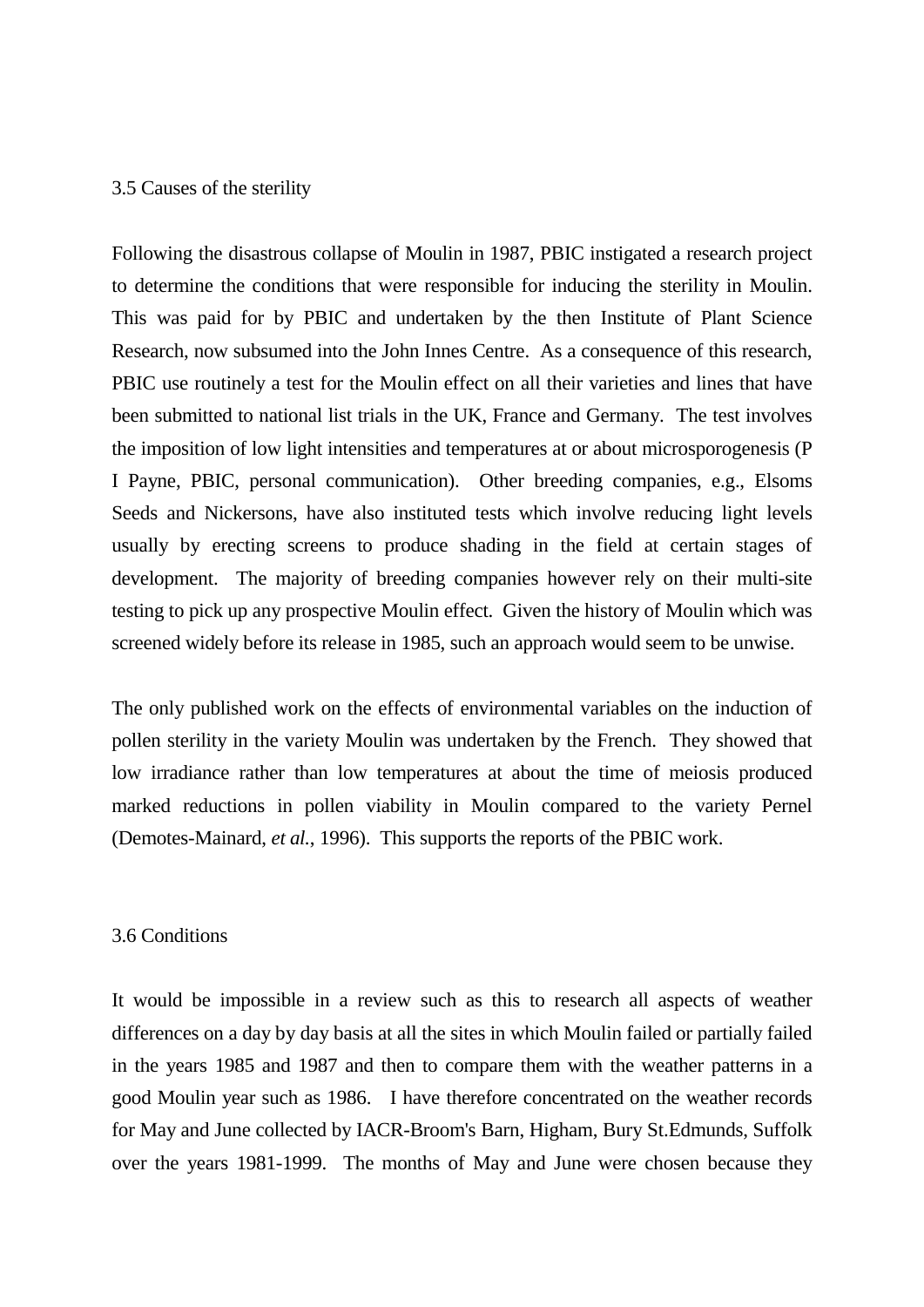#### 3.5 Causes of the sterility

Following the disastrous collapse of Moulin in 1987, PBIC instigated a research project to determine the conditions that were responsible for inducing the sterility in Moulin. This was paid for by PBIC and undertaken by the then Institute of Plant Science Research, now subsumed into the John Innes Centre. As a consequence of this research, PBIC use routinely a test for the Moulin effect on all their varieties and lines that have been submitted to national list trials in the UK, France and Germany. The test involves the imposition of low light intensities and temperatures at or about microsporogenesis (P I Payne, PBIC, personal communication). Other breeding companies, e.g., Elsoms Seeds and Nickersons, have also instituted tests which involve reducing light levels usually by erecting screens to produce shading in the field at certain stages of development. The majority of breeding companies however rely on their multi-site testing to pick up any prospective Moulin effect. Given the history of Moulin which was screened widely before its release in 1985, such an approach would seem to be unwise.

The only published work on the effects of environmental variables on the induction of pollen sterility in the variety Moulin was undertaken by the French. They showed that low irradiance rather than low temperatures at about the time of meiosis produced marked reductions in pollen viability in Moulin compared to the variety Pernel (Demotes-Mainard, *et al.*, 1996). This supports the reports of the PBIC work.

#### 3.6 Conditions

It would be impossible in a review such as this to research all aspects of weather differences on a day by day basis at all the sites in which Moulin failed or partially failed in the years 1985 and 1987 and then to compare them with the weather patterns in a good Moulin year such as 1986. I have therefore concentrated on the weather records for May and June collected by IACR-Broom's Barn, Higham, Bury St.Edmunds, Suffolk over the years 1981-1999. The months of May and June were chosen because they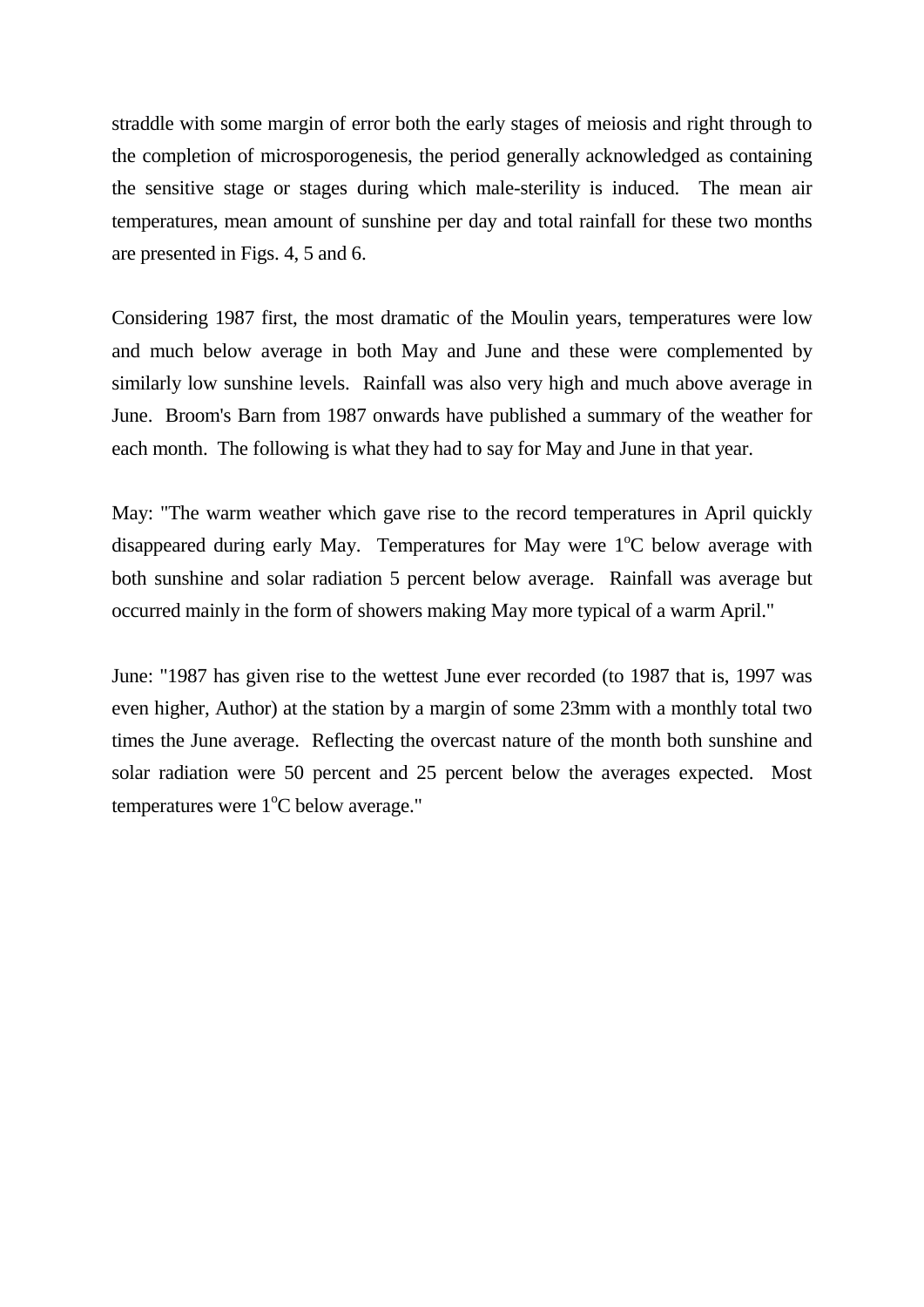straddle with some margin of error both the early stages of meiosis and right through to the completion of microsporogenesis, the period generally acknowledged as containing the sensitive stage or stages during which male-sterility is induced. The mean air temperatures, mean amount of sunshine per day and total rainfall for these two months are presented in Figs. 4, 5 and 6.

Considering 1987 first, the most dramatic of the Moulin years, temperatures were low and much below average in both May and June and these were complemented by similarly low sunshine levels. Rainfall was also very high and much above average in June. Broom's Barn from 1987 onwards have published a summary of the weather for each month. The following is what they had to say for May and June in that year.

May: "The warm weather which gave rise to the record temperatures in April quickly disappeared during early May. Temperatures for May were 1°C below average with both sunshine and solar radiation 5 percent below average. Rainfall was average but occurred mainly in the form of showers making May more typical of a warm April."

June: "1987 has given rise to the wettest June ever recorded (to 1987 that is, 1997 was even higher, Author) at the station by a margin of some 23mm with a monthly total two times the June average. Reflecting the overcast nature of the month both sunshine and solar radiation were 50 percent and 25 percent below the averages expected. Most temperatures were  $1^{\circ}$ C below average."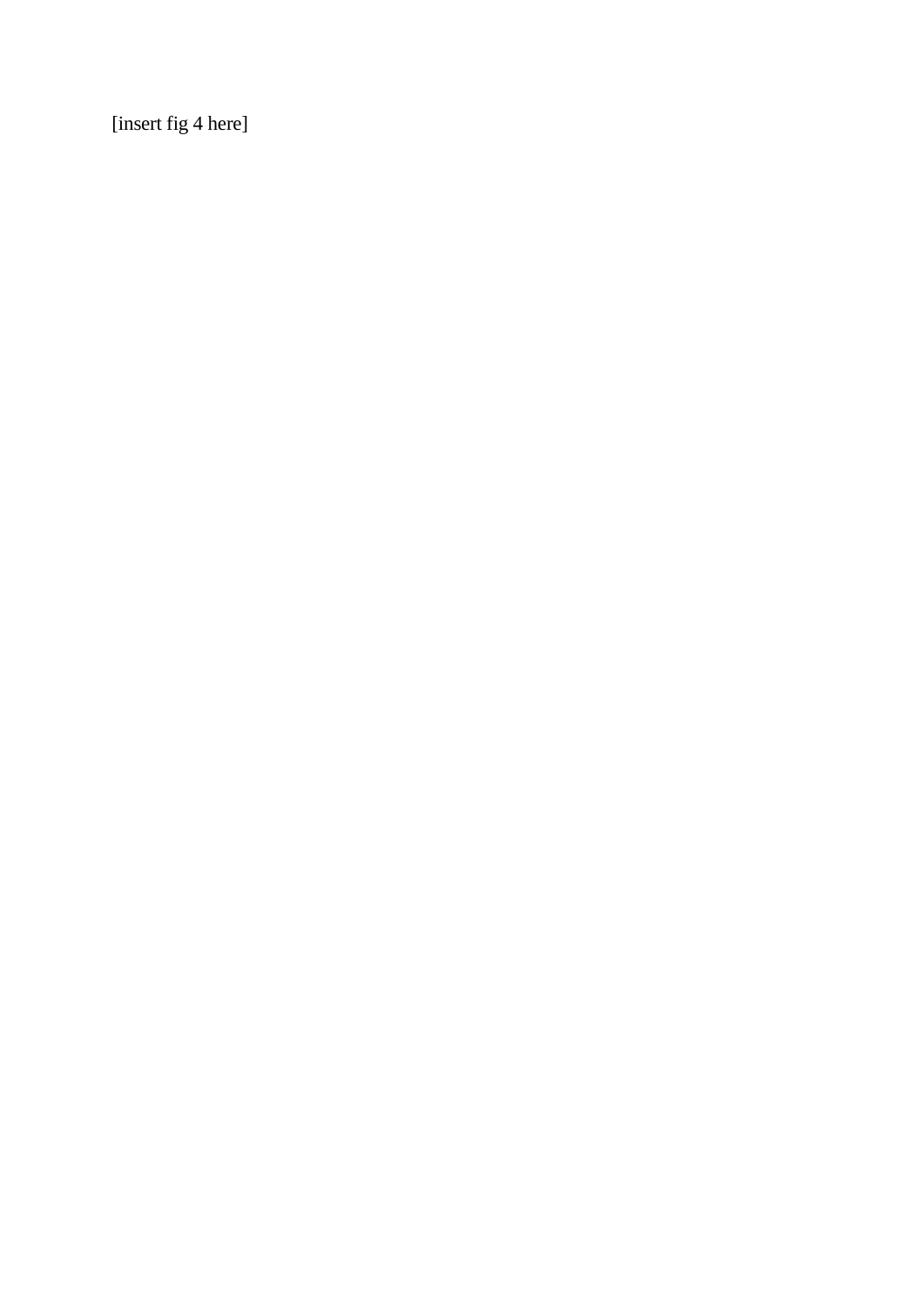[insert fig 4 here]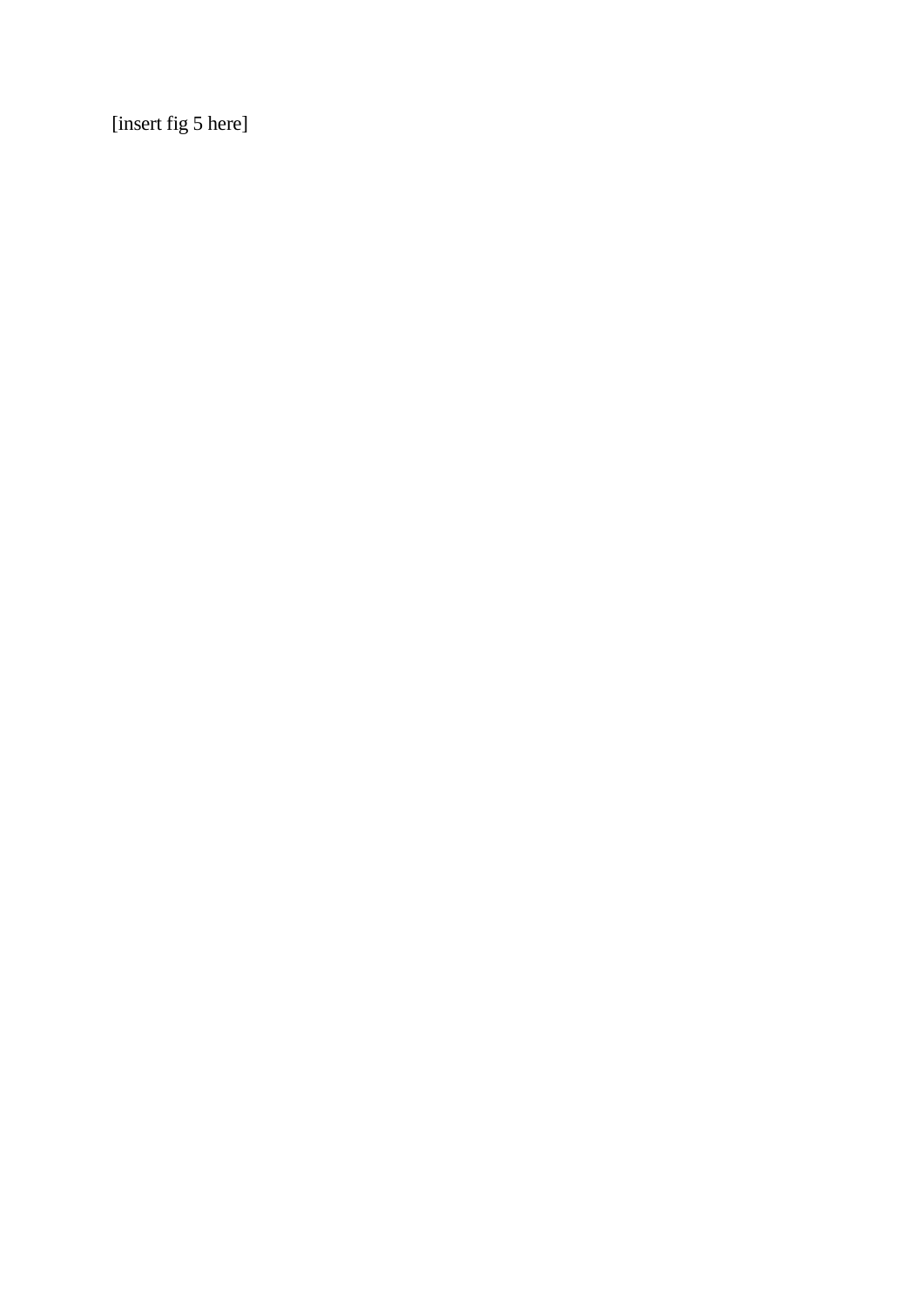[insert fig 5 here]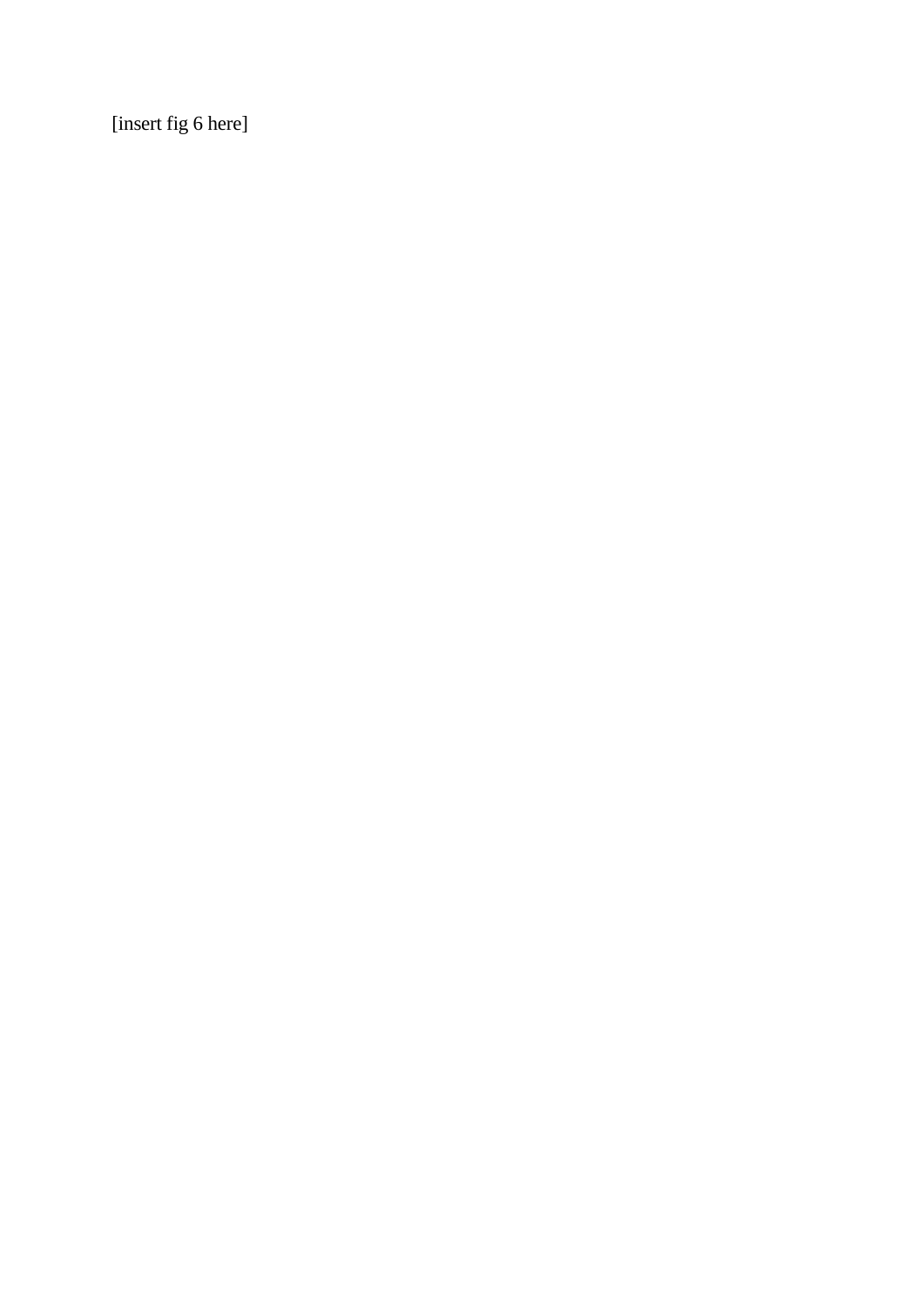[insert fig 6 here]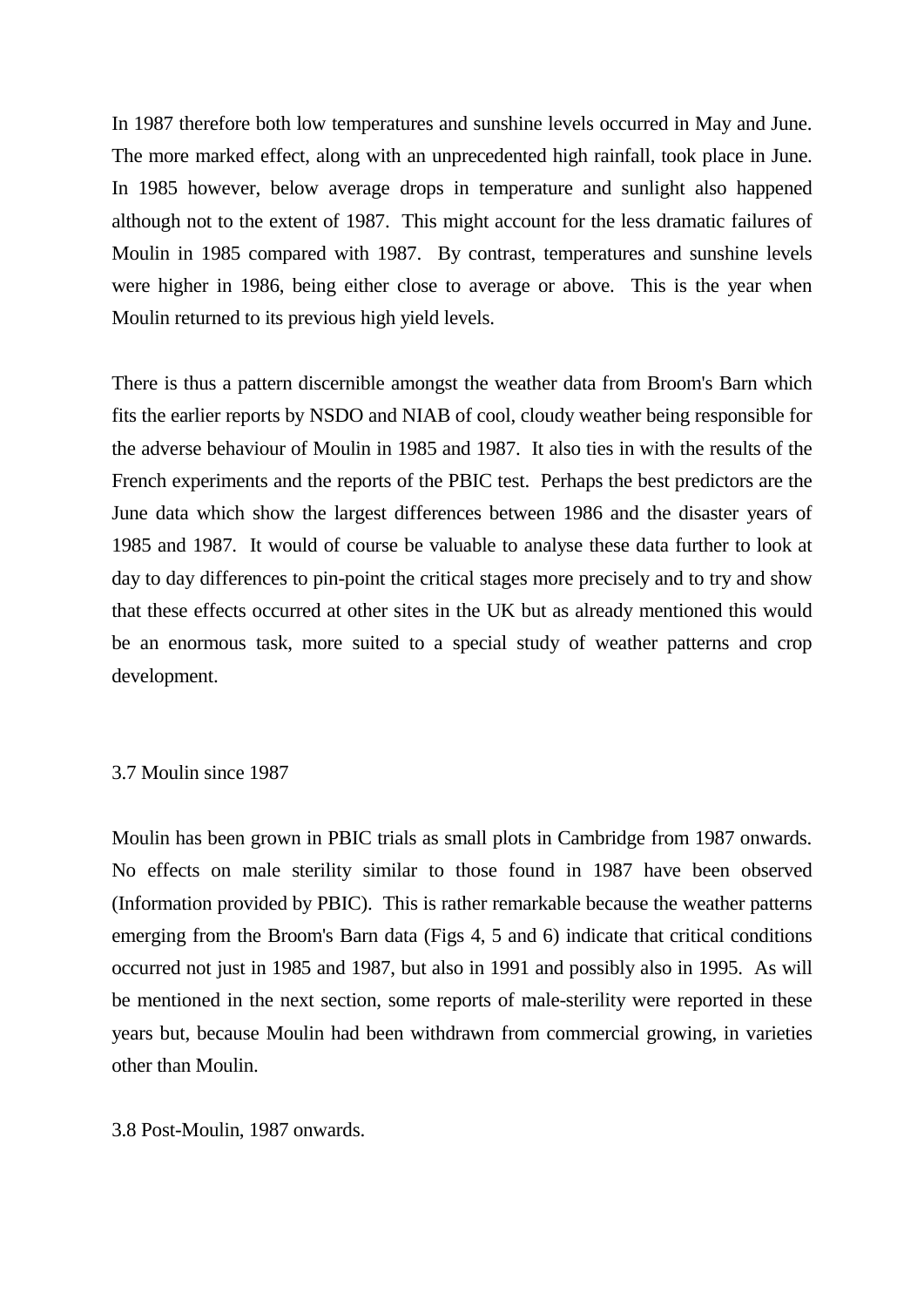In 1987 therefore both low temperatures and sunshine levels occurred in May and June. The more marked effect, along with an unprecedented high rainfall, took place in June. In 1985 however, below average drops in temperature and sunlight also happened although not to the extent of 1987. This might account for the less dramatic failures of Moulin in 1985 compared with 1987. By contrast, temperatures and sunshine levels were higher in 1986, being either close to average or above. This is the year when Moulin returned to its previous high yield levels.

There is thus a pattern discernible amongst the weather data from Broom's Barn which fits the earlier reports by NSDO and NIAB of cool, cloudy weather being responsible for the adverse behaviour of Moulin in 1985 and 1987. It also ties in with the results of the French experiments and the reports of the PBIC test. Perhaps the best predictors are the June data which show the largest differences between 1986 and the disaster years of 1985 and 1987. It would of course be valuable to analyse these data further to look at day to day differences to pin-point the critical stages more precisely and to try and show that these effects occurred at other sites in the UK but as already mentioned this would be an enormous task, more suited to a special study of weather patterns and crop development.

#### 3.7 Moulin since 1987

Moulin has been grown in PBIC trials as small plots in Cambridge from 1987 onwards. No effects on male sterility similar to those found in 1987 have been observed (Information provided by PBIC). This is rather remarkable because the weather patterns emerging from the Broom's Barn data (Figs 4, 5 and 6) indicate that critical conditions occurred not just in 1985 and 1987, but also in 1991 and possibly also in 1995. As will be mentioned in the next section, some reports of male-sterility were reported in these years but, because Moulin had been withdrawn from commercial growing, in varieties other than Moulin.

3.8 Post-Moulin, 1987 onwards.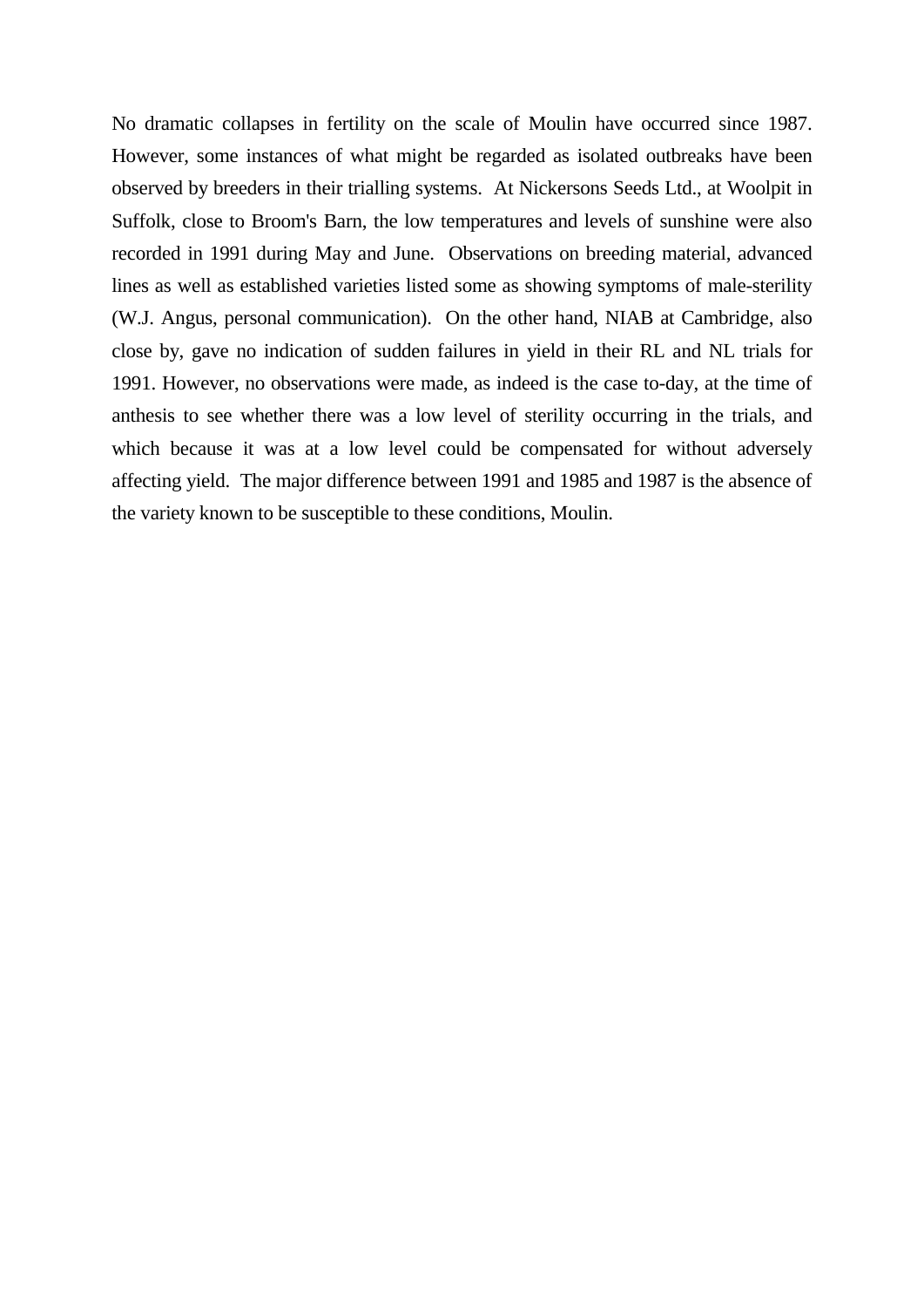No dramatic collapses in fertility on the scale of Moulin have occurred since 1987. However, some instances of what might be regarded as isolated outbreaks have been observed by breeders in their trialling systems. At Nickersons Seeds Ltd., at Woolpit in Suffolk, close to Broom's Barn, the low temperatures and levels of sunshine were also recorded in 1991 during May and June. Observations on breeding material, advanced lines as well as established varieties listed some as showing symptoms of male-sterility (W.J. Angus, personal communication). On the other hand, NIAB at Cambridge, also close by, gave no indication of sudden failures in yield in their RL and NL trials for 1991. However, no observations were made, as indeed is the case to-day, at the time of anthesis to see whether there was a low level of sterility occurring in the trials, and which because it was at a low level could be compensated for without adversely affecting yield. The major difference between 1991 and 1985 and 1987 is the absence of the variety known to be susceptible to these conditions, Moulin.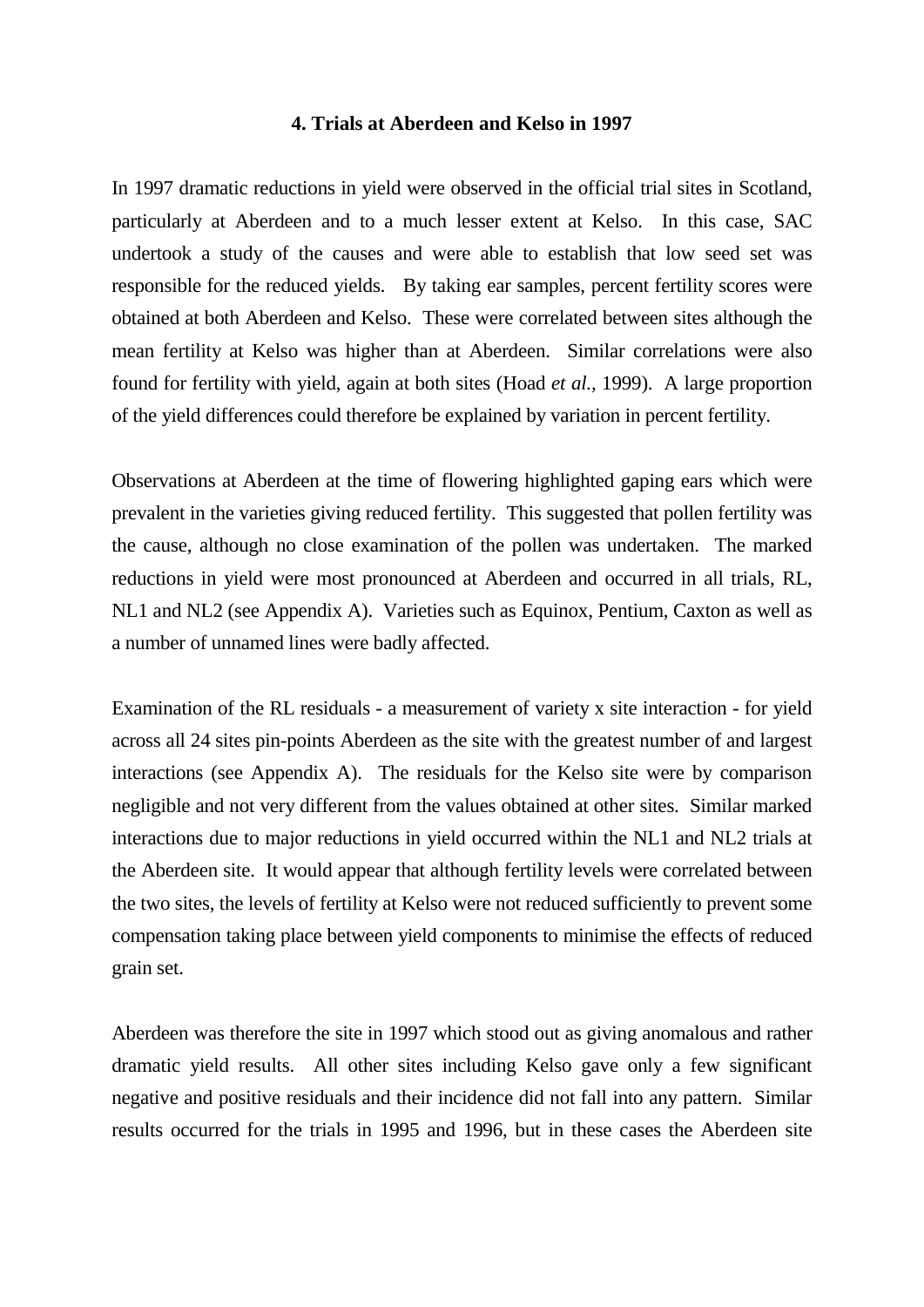#### **4. Trials at Aberdeen and Kelso in 1997**

In 1997 dramatic reductions in yield were observed in the official trial sites in Scotland, particularly at Aberdeen and to a much lesser extent at Kelso. In this case, SAC undertook a study of the causes and were able to establish that low seed set was responsible for the reduced yields. By taking ear samples, percent fertility scores were obtained at both Aberdeen and Kelso. These were correlated between sites although the mean fertility at Kelso was higher than at Aberdeen. Similar correlations were also found for fertility with yield, again at both sites (Hoad *et al.,* 1999). A large proportion of the yield differences could therefore be explained by variation in percent fertility.

Observations at Aberdeen at the time of flowering highlighted gaping ears which were prevalent in the varieties giving reduced fertility. This suggested that pollen fertility was the cause, although no close examination of the pollen was undertaken. The marked reductions in yield were most pronounced at Aberdeen and occurred in all trials, RL, NL1 and NL2 (see Appendix A). Varieties such as Equinox, Pentium, Caxton as well as a number of unnamed lines were badly affected.

Examination of the RL residuals - a measurement of variety x site interaction - for yield across all 24 sites pin-points Aberdeen as the site with the greatest number of and largest interactions (see Appendix A). The residuals for the Kelso site were by comparison negligible and not very different from the values obtained at other sites. Similar marked interactions due to major reductions in yield occurred within the NL1 and NL2 trials at the Aberdeen site. It would appear that although fertility levels were correlated between the two sites, the levels of fertility at Kelso were not reduced sufficiently to prevent some compensation taking place between yield components to minimise the effects of reduced grain set.

Aberdeen was therefore the site in 1997 which stood out as giving anomalous and rather dramatic yield results. All other sites including Kelso gave only a few significant negative and positive residuals and their incidence did not fall into any pattern. Similar results occurred for the trials in 1995 and 1996, but in these cases the Aberdeen site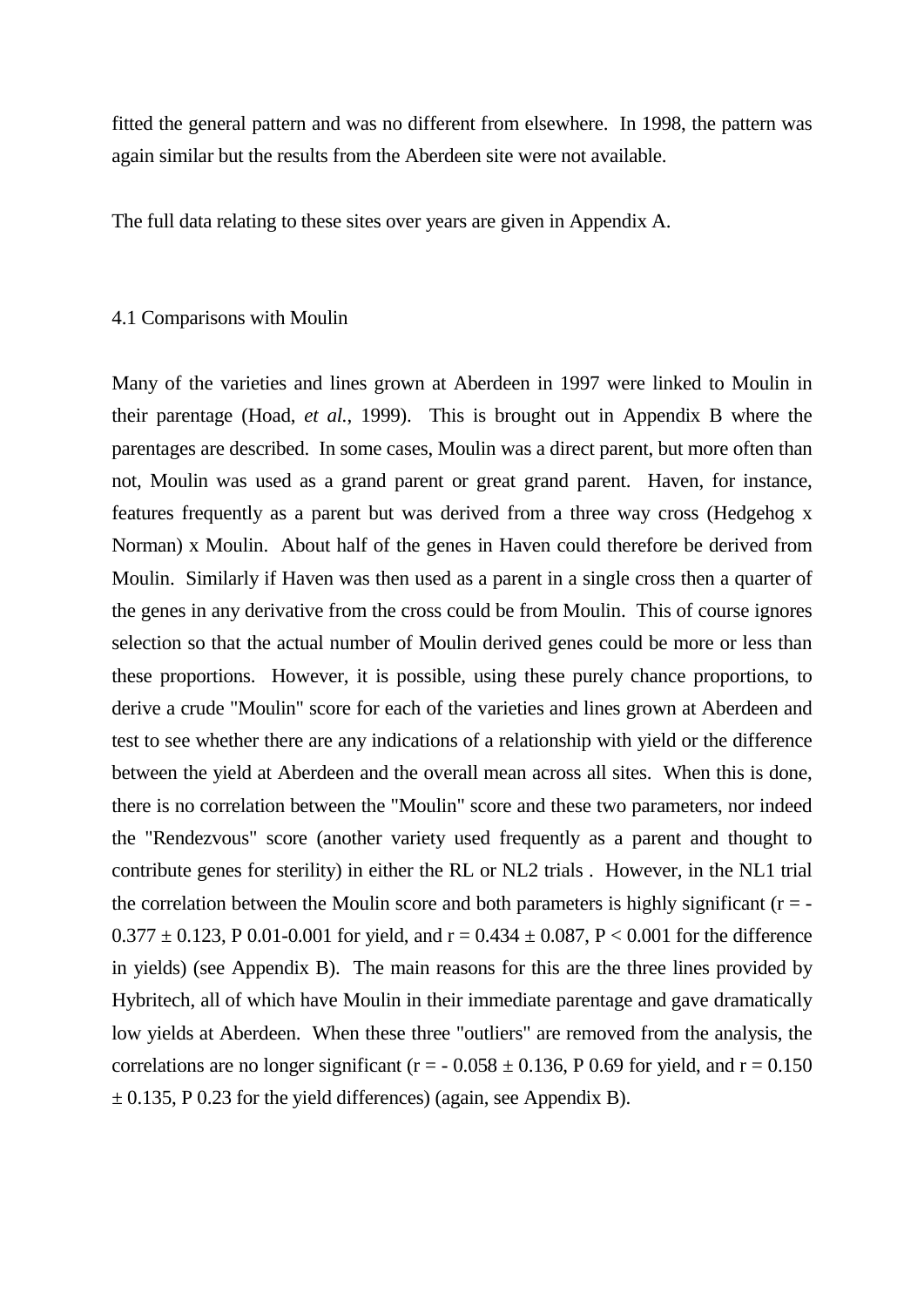fitted the general pattern and was no different from elsewhere. In 1998, the pattern was again similar but the results from the Aberdeen site were not available.

The full data relating to these sites over years are given in Appendix A.

#### 4.1 Comparisons with Moulin

Many of the varieties and lines grown at Aberdeen in 1997 were linked to Moulin in their parentage (Hoad, *et al.*, 1999). This is brought out in Appendix B where the parentages are described. In some cases, Moulin was a direct parent, but more often than not, Moulin was used as a grand parent or great grand parent. Haven, for instance, features frequently as a parent but was derived from a three way cross (Hedgehog x Norman) x Moulin. About half of the genes in Haven could therefore be derived from Moulin. Similarly if Haven was then used as a parent in a single cross then a quarter of the genes in any derivative from the cross could be from Moulin. This of course ignores selection so that the actual number of Moulin derived genes could be more or less than these proportions. However, it is possible, using these purely chance proportions, to derive a crude "Moulin" score for each of the varieties and lines grown at Aberdeen and test to see whether there are any indications of a relationship with yield or the difference between the yield at Aberdeen and the overall mean across all sites. When this is done, there is no correlation between the "Moulin" score and these two parameters, nor indeed the "Rendezvous" score (another variety used frequently as a parent and thought to contribute genes for sterility) in either the RL or NL2 trials . However, in the NL1 trial the correlation between the Moulin score and both parameters is highly significant ( $r = 0.377 \pm 0.123$ , P 0.01-0.001 for yield, and  $r = 0.434 \pm 0.087$ , P < 0.001 for the difference in yields) (see Appendix B). The main reasons for this are the three lines provided by Hybritech, all of which have Moulin in their immediate parentage and gave dramatically low yields at Aberdeen. When these three "outliers" are removed from the analysis, the correlations are no longer significant ( $r = -0.058 \pm 0.136$ , P 0.69 for yield, and  $r = 0.150$  $\pm$  0.135, P 0.23 for the yield differences) (again, see Appendix B).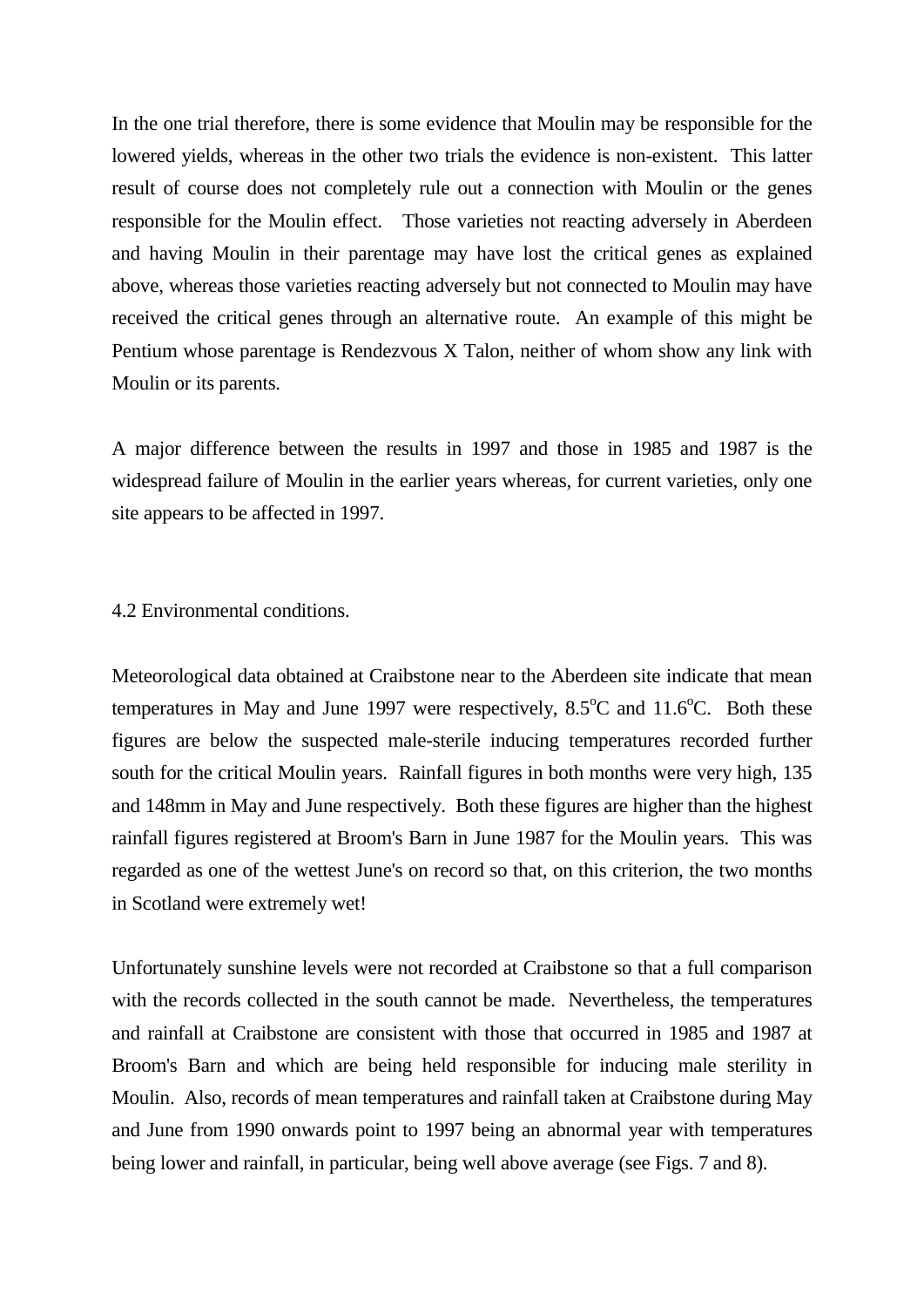In the one trial therefore, there is some evidence that Moulin may be responsible for the lowered yields, whereas in the other two trials the evidence is non-existent. This latter result of course does not completely rule out a connection with Moulin or the genes responsible for the Moulin effect. Those varieties not reacting adversely in Aberdeen and having Moulin in their parentage may have lost the critical genes as explained above, whereas those varieties reacting adversely but not connected to Moulin may have received the critical genes through an alternative route. An example of this might be Pentium whose parentage is Rendezvous X Talon, neither of whom show any link with Moulin or its parents.

A major difference between the results in 1997 and those in 1985 and 1987 is the widespread failure of Moulin in the earlier years whereas, for current varieties, only one site appears to be affected in 1997.

4.2 Environmental conditions.

Meteorological data obtained at Craibstone near to the Aberdeen site indicate that mean temperatures in May and June 1997 were respectively,  $8.5^{\circ}$ C and  $11.6^{\circ}$ C. Both these figures are below the suspected male-sterile inducing temperatures recorded further south for the critical Moulin years. Rainfall figures in both months were very high, 135 and 148mm in May and June respectively. Both these figures are higher than the highest rainfall figures registered at Broom's Barn in June 1987 for the Moulin years. This was regarded as one of the wettest June's on record so that, on this criterion, the two months in Scotland were extremely wet!

Unfortunately sunshine levels were not recorded at Craibstone so that a full comparison with the records collected in the south cannot be made. Nevertheless, the temperatures and rainfall at Craibstone are consistent with those that occurred in 1985 and 1987 at Broom's Barn and which are being held responsible for inducing male sterility in Moulin. Also, records of mean temperatures and rainfall taken at Craibstone during May and June from 1990 onwards point to 1997 being an abnormal year with temperatures being lower and rainfall, in particular, being well above average (see Figs. 7 and 8).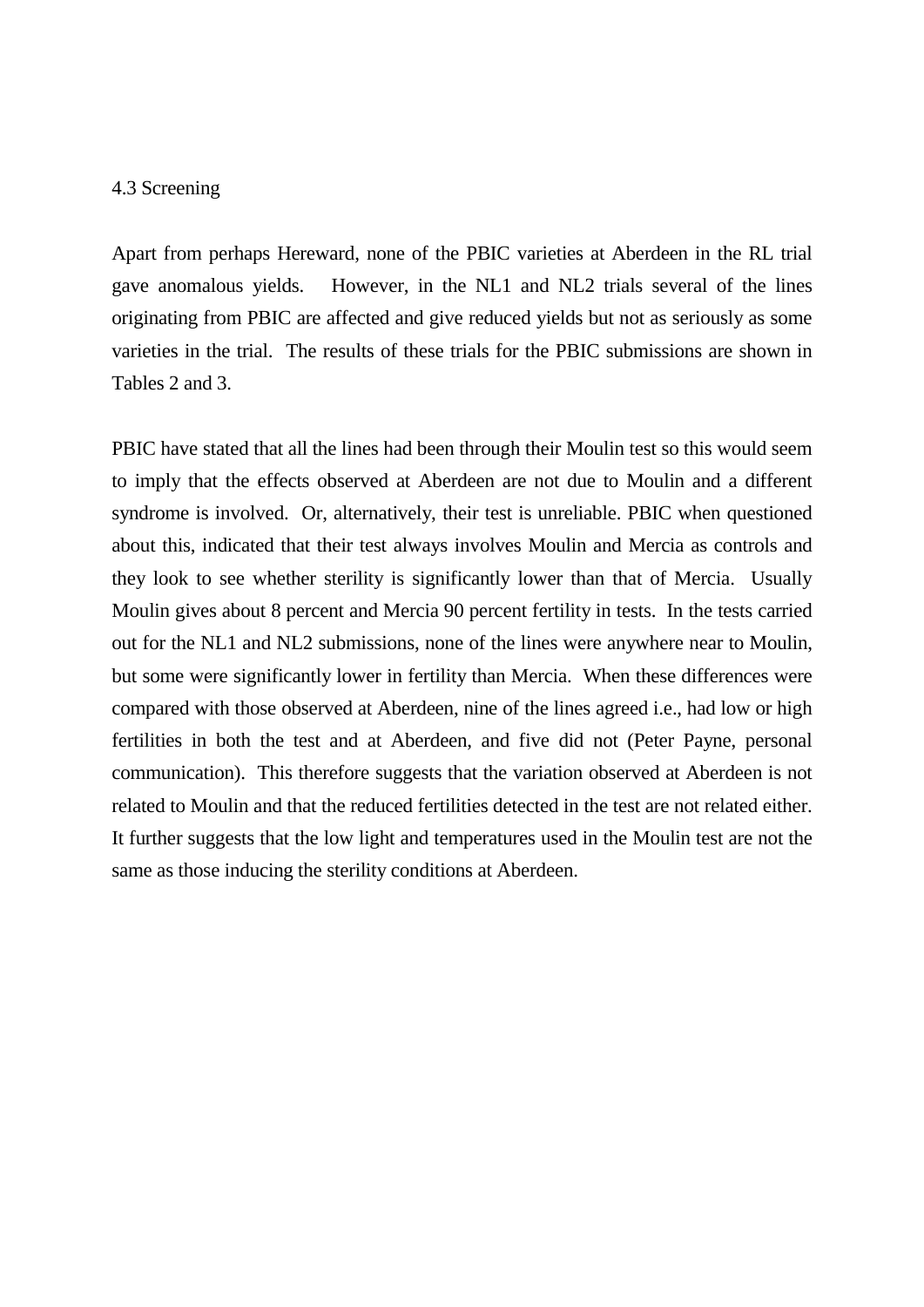#### 4.3 Screening

Apart from perhaps Hereward, none of the PBIC varieties at Aberdeen in the RL trial gave anomalous yields. However, in the NL1 and NL2 trials several of the lines originating from PBIC are affected and give reduced yields but not as seriously as some varieties in the trial. The results of these trials for the PBIC submissions are shown in Tables 2 and 3.

PBIC have stated that all the lines had been through their Moulin test so this would seem to imply that the effects observed at Aberdeen are not due to Moulin and a different syndrome is involved. Or, alternatively, their test is unreliable. PBIC when questioned about this, indicated that their test always involves Moulin and Mercia as controls and they look to see whether sterility is significantly lower than that of Mercia. Usually Moulin gives about 8 percent and Mercia 90 percent fertility in tests. In the tests carried out for the NL1 and NL2 submissions, none of the lines were anywhere near to Moulin, but some were significantly lower in fertility than Mercia. When these differences were compared with those observed at Aberdeen, nine of the lines agreed i.e., had low or high fertilities in both the test and at Aberdeen, and five did not (Peter Payne, personal communication). This therefore suggests that the variation observed at Aberdeen is not related to Moulin and that the reduced fertilities detected in the test are not related either. It further suggests that the low light and temperatures used in the Moulin test are not the same as those inducing the sterility conditions at Aberdeen.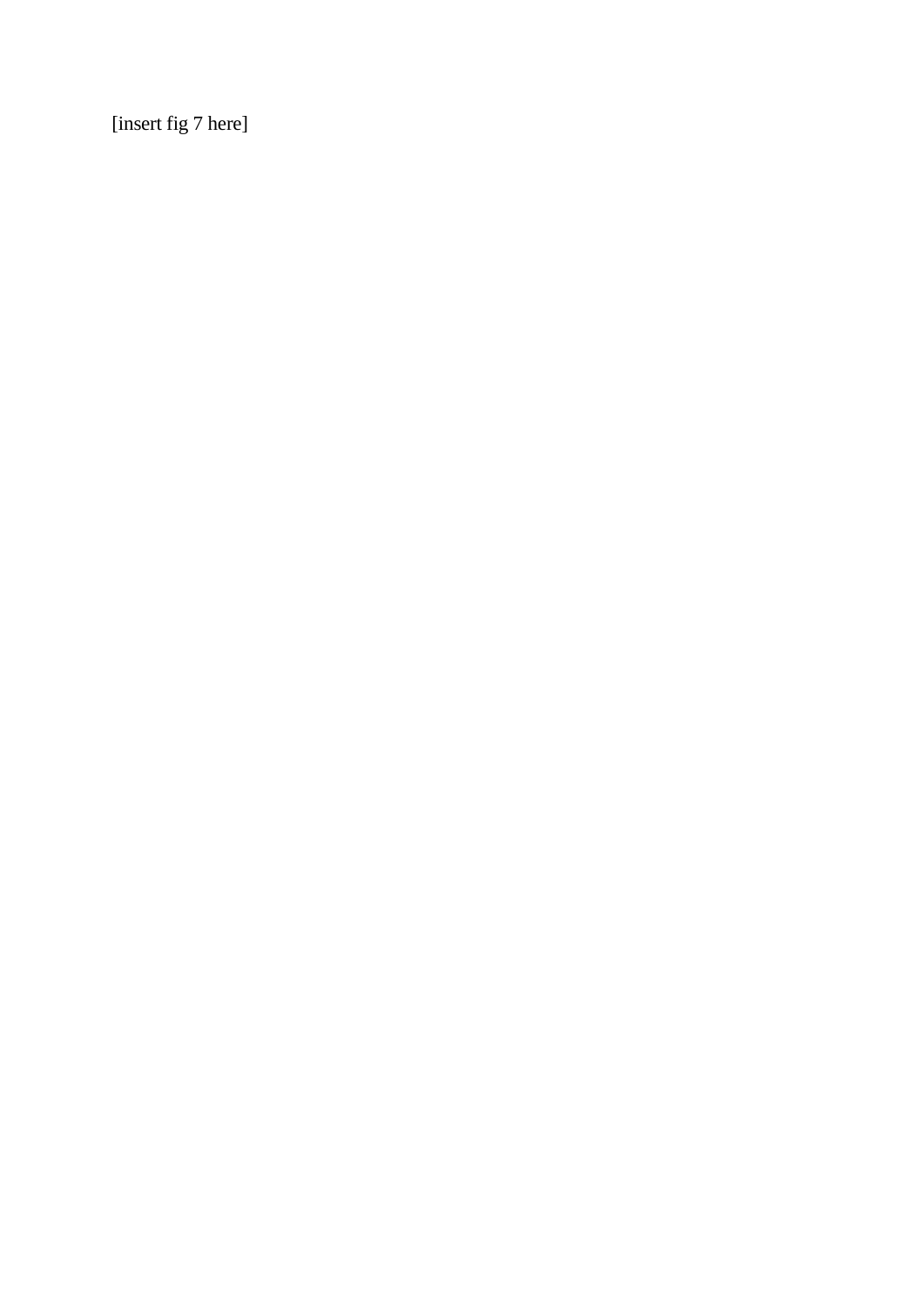[insert fig 7 here]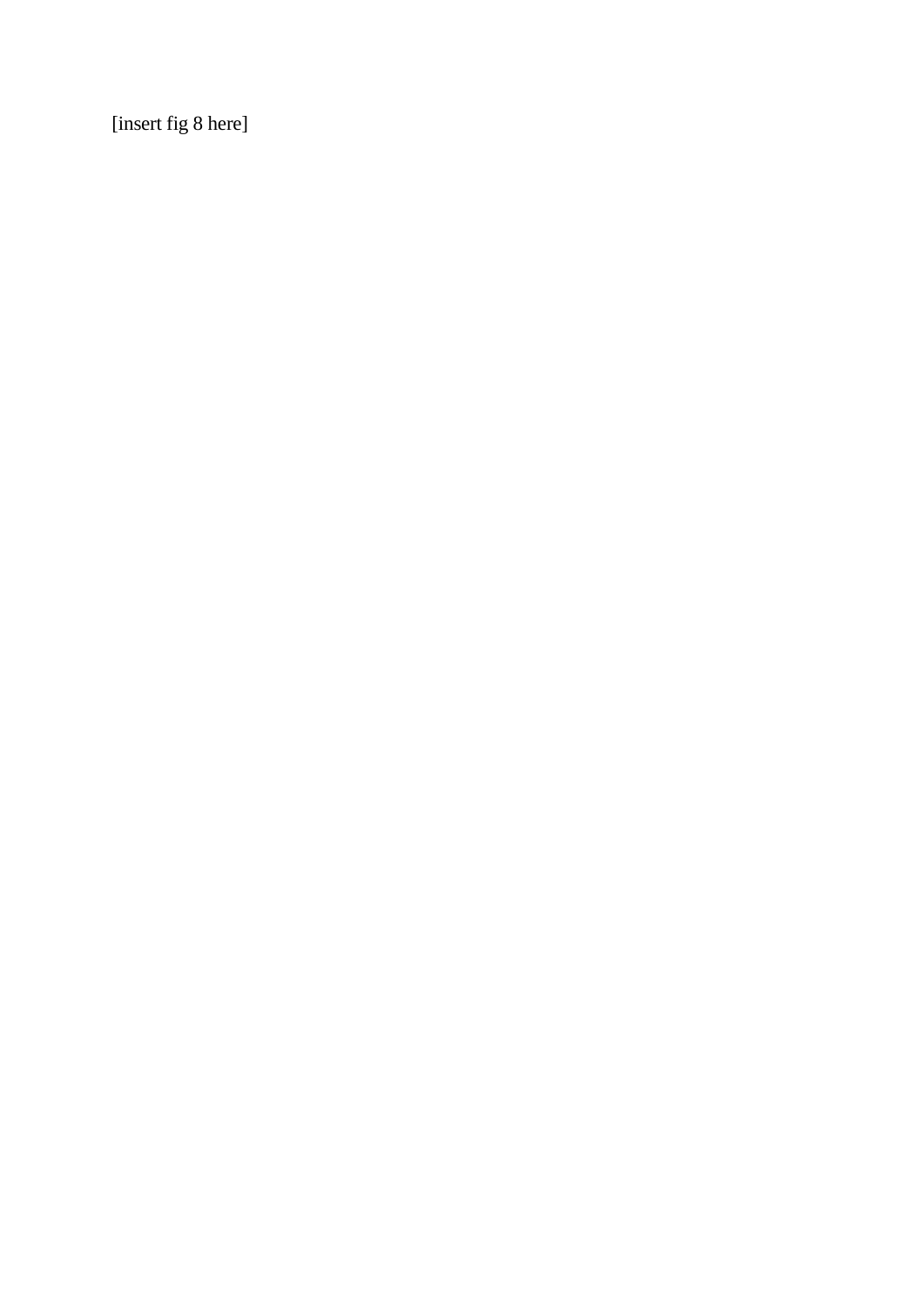[insert fig 8 here]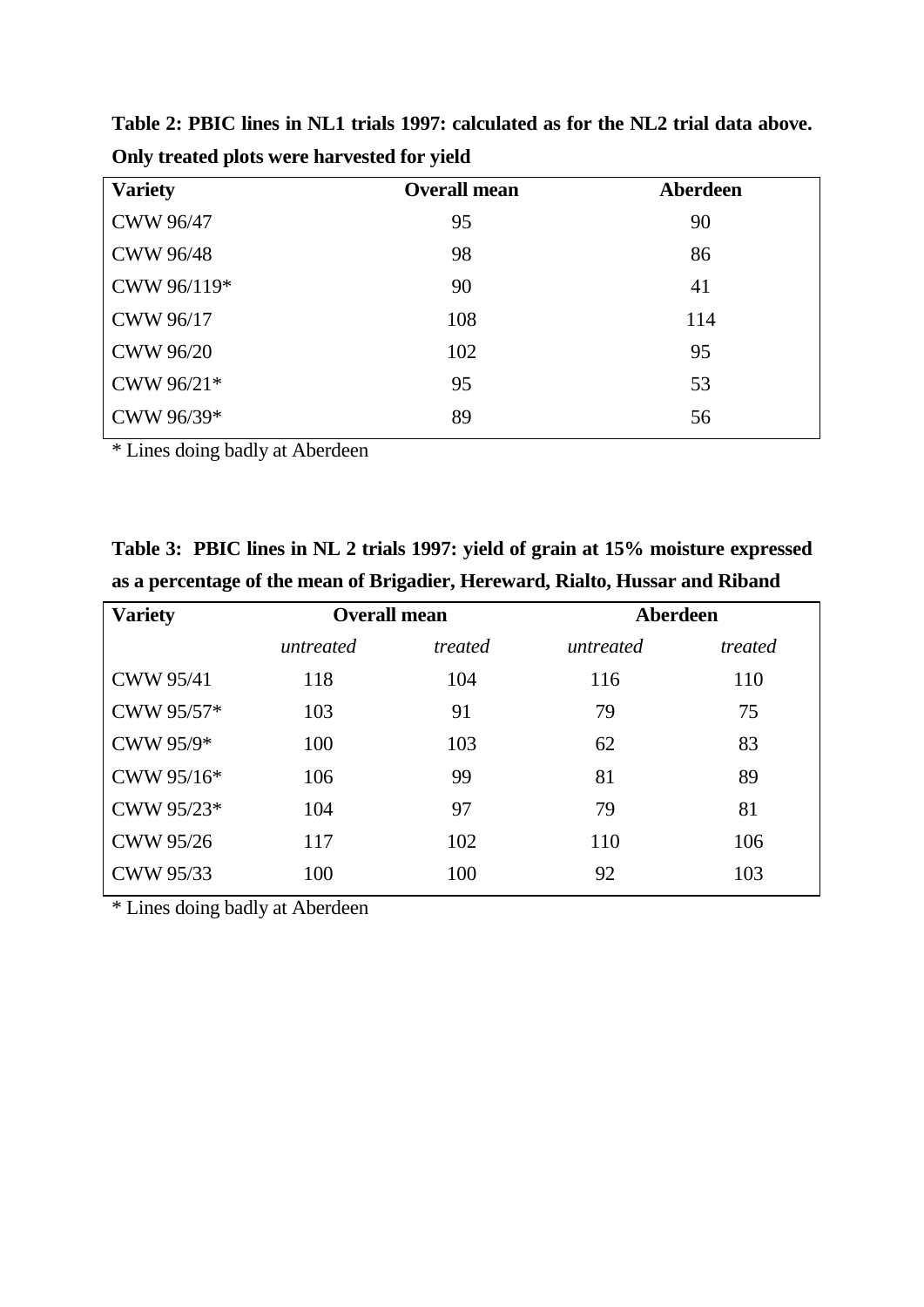| <b>Variety</b>   | <b>Overall mean</b> | Aberdeen |
|------------------|---------------------|----------|
| <b>CWW 96/47</b> | 95                  | 90       |
| <b>CWW 96/48</b> | 98                  | 86       |
| CWW 96/119*      | 90                  | 41       |
| CWW 96/17        | 108                 | 114      |
| <b>CWW 96/20</b> | 102                 | 95       |
| CWW 96/21*       | 95                  | 53       |
| CWW 96/39*       | 89                  | 56       |

**Table 2: PBIC lines in NL1 trials 1997: calculated as for the NL2 trial data above. Only treated plots were harvested for yield**

\* Lines doing badly at Aberdeen

**Table 3: PBIC lines in NL 2 trials 1997: yield of grain at 15% moisture expressed as a percentage of the mean of Brigadier, Hereward, Rialto, Hussar and Riband**

| <b>Overall mean</b> |         | Aberdeen  |         |
|---------------------|---------|-----------|---------|
| untreated           | treated | untreated | treated |
| 118                 | 104     | 116       | 110     |
| 103                 | 91      | 79        | 75      |
| 100                 | 103     | 62        | 83      |
| 106                 | 99      | 81        | 89      |
| 104                 | 97      | 79        | 81      |
| 117                 | 102     | 110       | 106     |
| 100                 | 100     | 92        | 103     |
|                     |         |           |         |

\* Lines doing badly at Aberdeen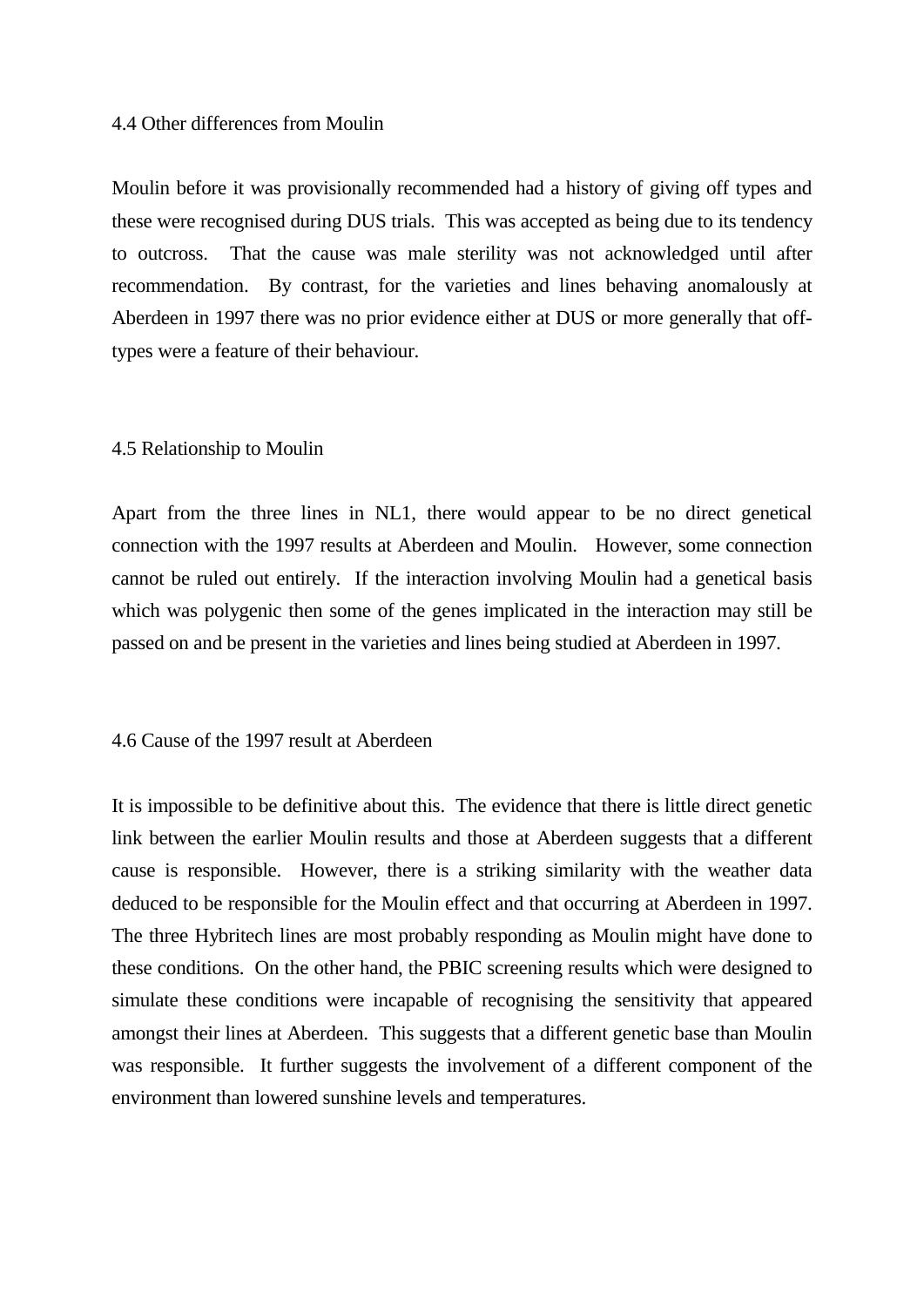#### 4.4 Other differences from Moulin

Moulin before it was provisionally recommended had a history of giving off types and these were recognised during DUS trials. This was accepted as being due to its tendency to outcross. That the cause was male sterility was not acknowledged until after recommendation. By contrast, for the varieties and lines behaving anomalously at Aberdeen in 1997 there was no prior evidence either at DUS or more generally that offtypes were a feature of their behaviour.

#### 4.5 Relationship to Moulin

Apart from the three lines in NL1, there would appear to be no direct genetical connection with the 1997 results at Aberdeen and Moulin. However, some connection cannot be ruled out entirely. If the interaction involving Moulin had a genetical basis which was polygenic then some of the genes implicated in the interaction may still be passed on and be present in the varieties and lines being studied at Aberdeen in 1997.

#### 4.6 Cause of the 1997 result at Aberdeen

It is impossible to be definitive about this. The evidence that there is little direct genetic link between the earlier Moulin results and those at Aberdeen suggests that a different cause is responsible. However, there is a striking similarity with the weather data deduced to be responsible for the Moulin effect and that occurring at Aberdeen in 1997. The three Hybritech lines are most probably responding as Moulin might have done to these conditions. On the other hand, the PBIC screening results which were designed to simulate these conditions were incapable of recognising the sensitivity that appeared amongst their lines at Aberdeen. This suggests that a different genetic base than Moulin was responsible. It further suggests the involvement of a different component of the environment than lowered sunshine levels and temperatures.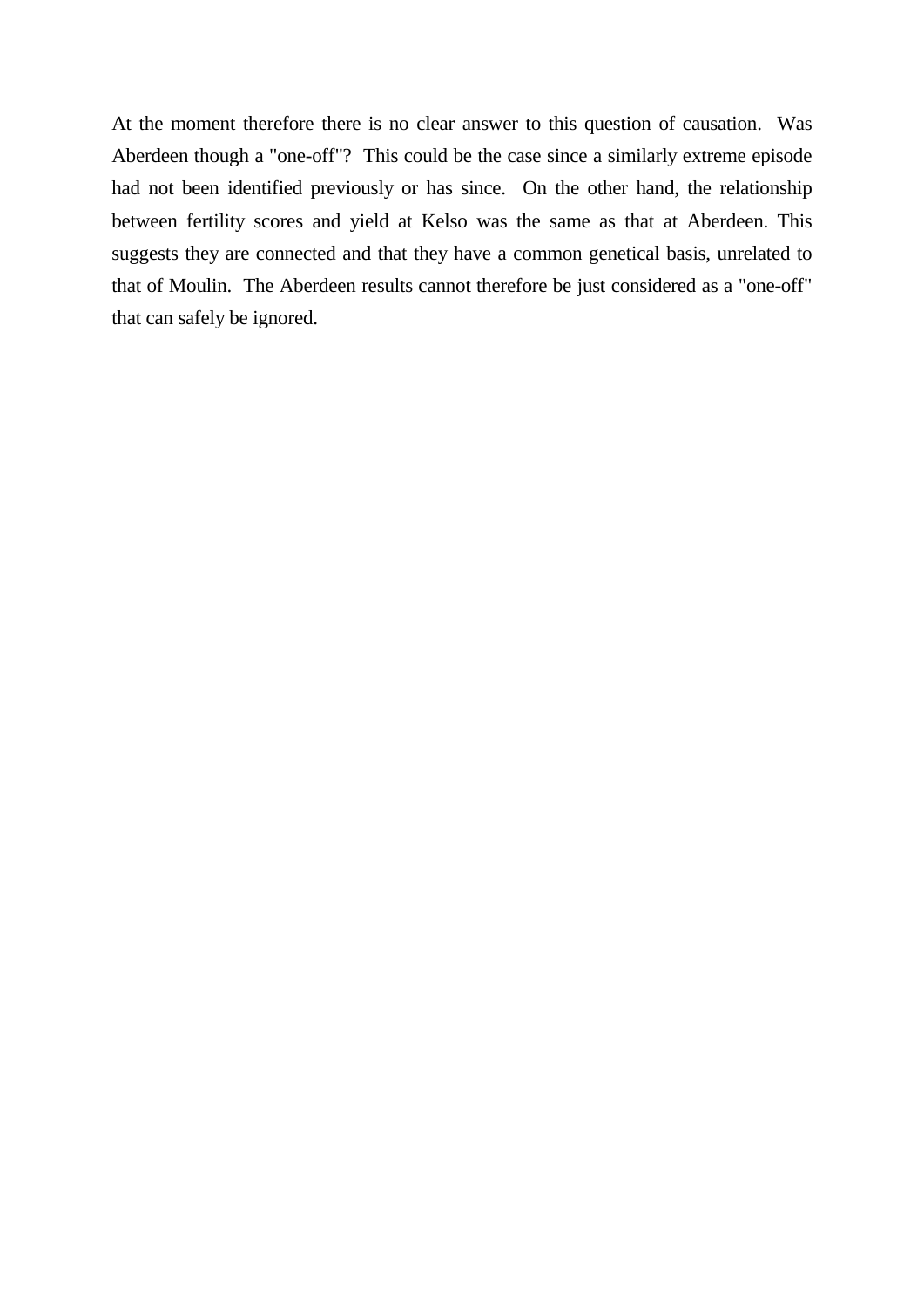At the moment therefore there is no clear answer to this question of causation. Was Aberdeen though a "one-off"? This could be the case since a similarly extreme episode had not been identified previously or has since. On the other hand, the relationship between fertility scores and yield at Kelso was the same as that at Aberdeen. This suggests they are connected and that they have a common genetical basis, unrelated to that of Moulin. The Aberdeen results cannot therefore be just considered as a "one-off" that can safely be ignored.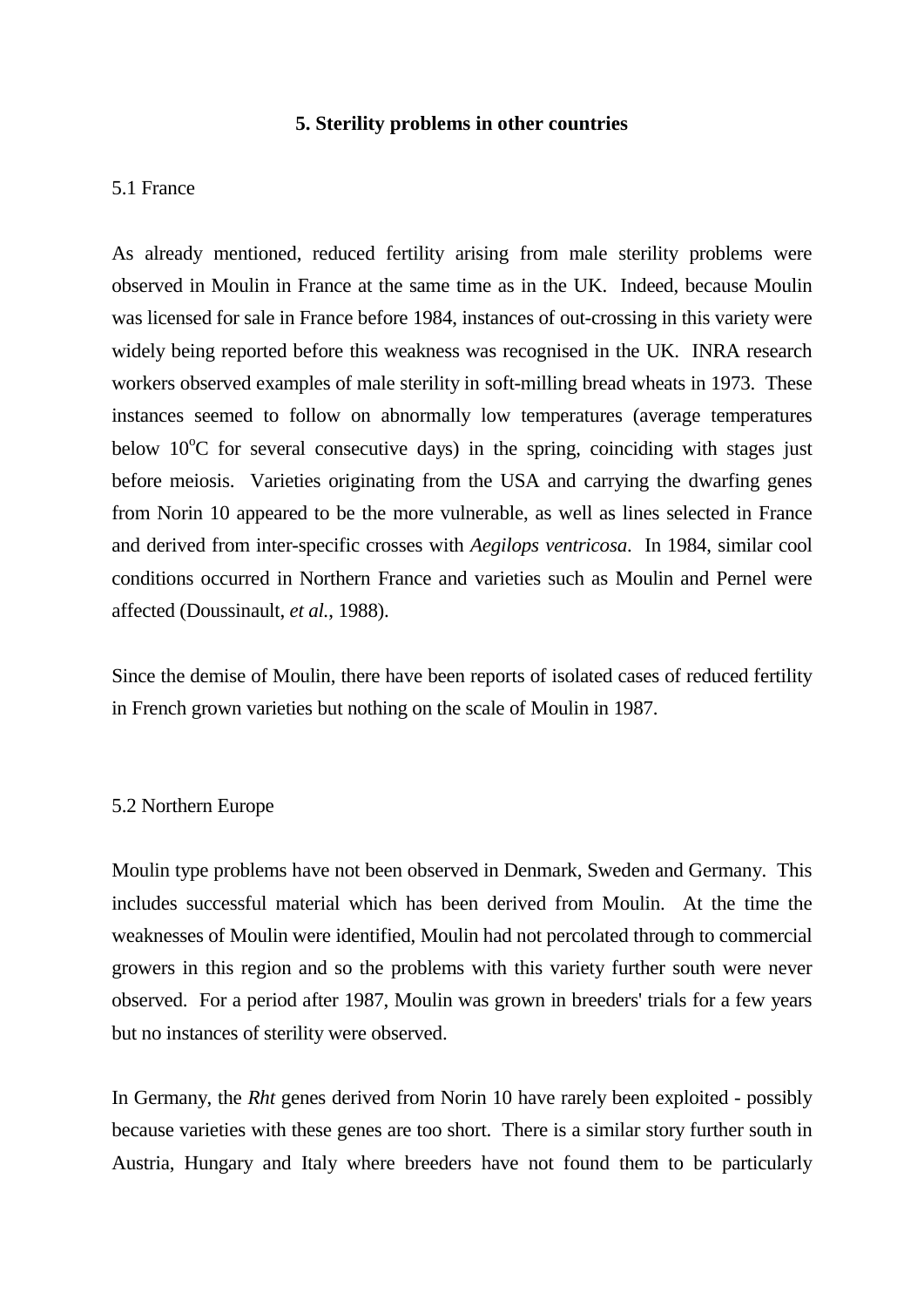#### **5. Sterility problems in other countries**

#### 5.1 France

As already mentioned, reduced fertility arising from male sterility problems were observed in Moulin in France at the same time as in the UK. Indeed, because Moulin was licensed for sale in France before 1984, instances of out-crossing in this variety were widely being reported before this weakness was recognised in the UK. INRA research workers observed examples of male sterility in soft-milling bread wheats in 1973. These instances seemed to follow on abnormally low temperatures (average temperatures below 10°C for several consecutive days) in the spring, coinciding with stages just before meiosis. Varieties originating from the USA and carrying the dwarfing genes from Norin 10 appeared to be the more vulnerable, as well as lines selected in France and derived from inter-specific crosses with *Aegilops ventricosa*. In 1984, similar cool conditions occurred in Northern France and varieties such as Moulin and Pernel were affected (Doussinault, *et al.*, 1988).

Since the demise of Moulin, there have been reports of isolated cases of reduced fertility in French grown varieties but nothing on the scale of Moulin in 1987.

#### 5.2 Northern Europe

Moulin type problems have not been observed in Denmark, Sweden and Germany. This includes successful material which has been derived from Moulin. At the time the weaknesses of Moulin were identified, Moulin had not percolated through to commercial growers in this region and so the problems with this variety further south were never observed. For a period after 1987, Moulin was grown in breeders' trials for a few years but no instances of sterility were observed.

In Germany, the *Rht* genes derived from Norin 10 have rarely been exploited - possibly because varieties with these genes are too short. There is a similar story further south in Austria, Hungary and Italy where breeders have not found them to be particularly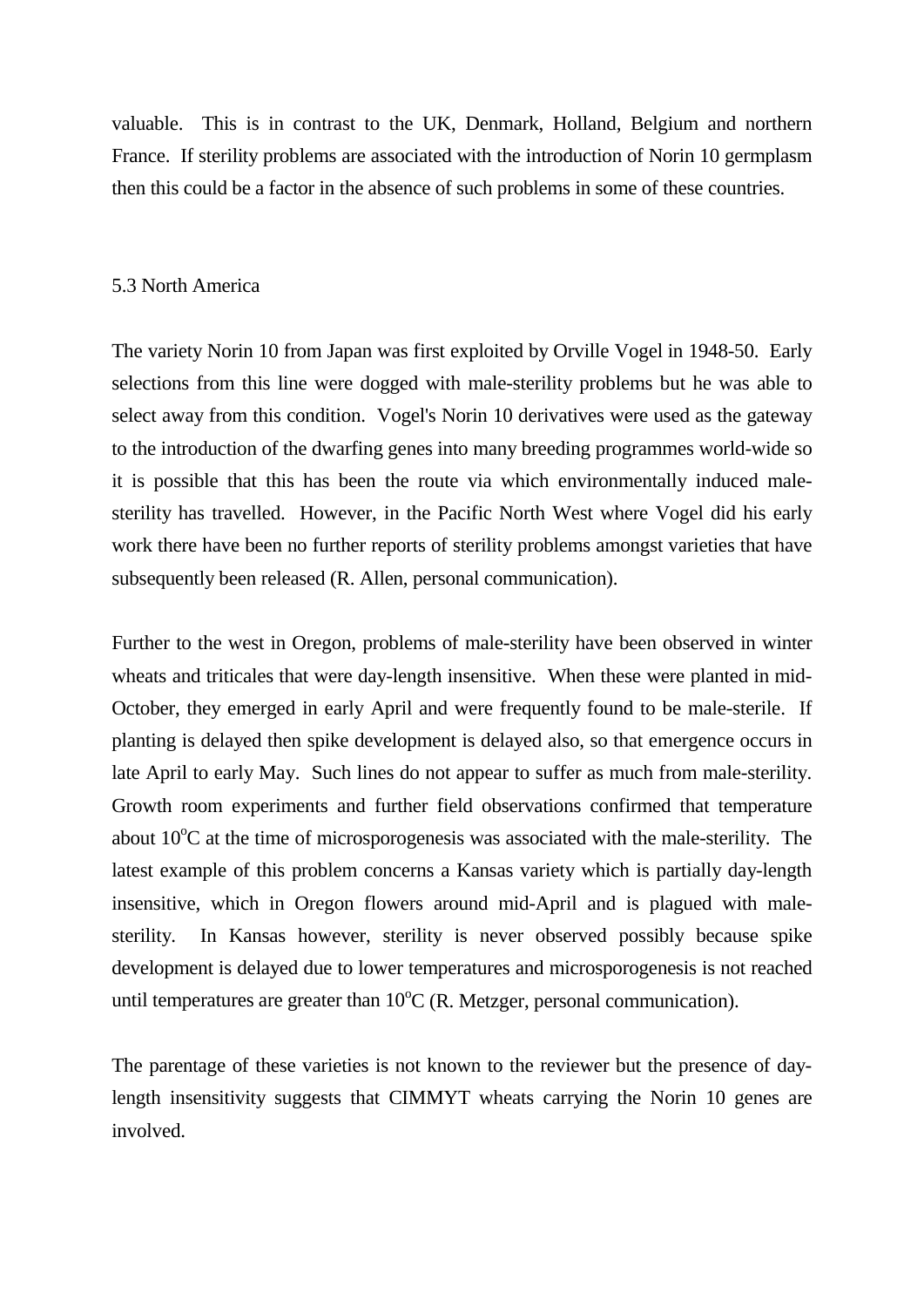valuable. This is in contrast to the UK, Denmark, Holland, Belgium and northern France. If sterility problems are associated with the introduction of Norin 10 germplasm then this could be a factor in the absence of such problems in some of these countries.

#### 5.3 North America

The variety Norin 10 from Japan was first exploited by Orville Vogel in 1948-50. Early selections from this line were dogged with male-sterility problems but he was able to select away from this condition. Vogel's Norin 10 derivatives were used as the gateway to the introduction of the dwarfing genes into many breeding programmes world-wide so it is possible that this has been the route via which environmentally induced malesterility has travelled. However, in the Pacific North West where Vogel did his early work there have been no further reports of sterility problems amongst varieties that have subsequently been released (R. Allen, personal communication).

Further to the west in Oregon, problems of male-sterility have been observed in winter wheats and triticales that were day-length insensitive. When these were planted in mid-October, they emerged in early April and were frequently found to be male-sterile. If planting is delayed then spike development is delayed also, so that emergence occurs in late April to early May. Such lines do not appear to suffer as much from male-sterility. Growth room experiments and further field observations confirmed that temperature about  $10^{\circ}$ C at the time of microsporogenesis was associated with the male-sterility. The latest example of this problem concerns a Kansas variety which is partially day-length insensitive, which in Oregon flowers around mid-April and is plagued with malesterility. In Kansas however, sterility is never observed possibly because spike development is delayed due to lower temperatures and microsporogenesis is not reached until temperatures are greater than  $10^{\circ}C$  (R. Metzger, personal communication).

The parentage of these varieties is not known to the reviewer but the presence of daylength insensitivity suggests that CIMMYT wheats carrying the Norin 10 genes are involved.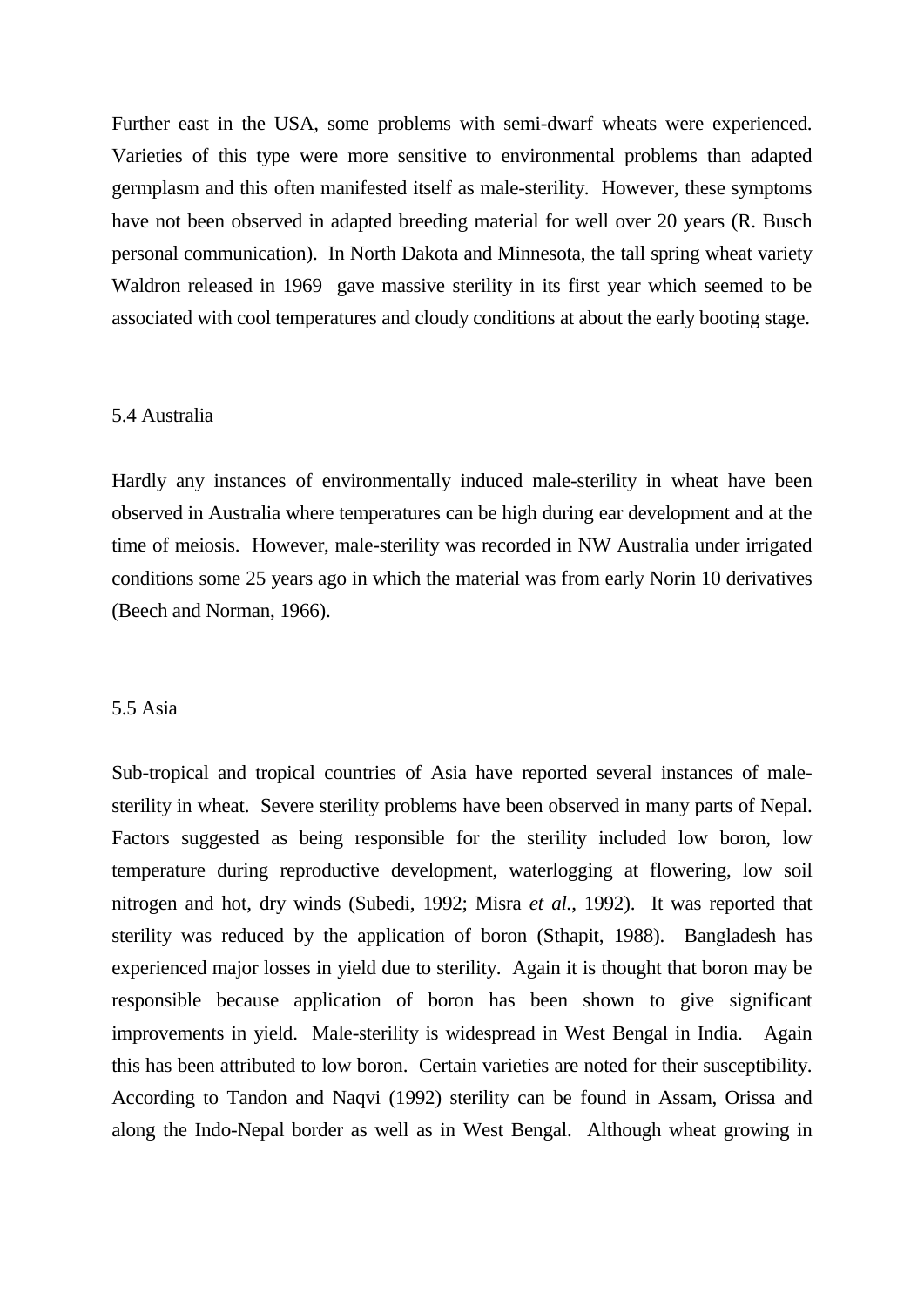Further east in the USA, some problems with semi-dwarf wheats were experienced. Varieties of this type were more sensitive to environmental problems than adapted germplasm and this often manifested itself as male-sterility. However, these symptoms have not been observed in adapted breeding material for well over 20 years (R. Busch personal communication). In North Dakota and Minnesota, the tall spring wheat variety Waldron released in 1969 gave massive sterility in its first year which seemed to be associated with cool temperatures and cloudy conditions at about the early booting stage.

#### 5.4 Australia

Hardly any instances of environmentally induced male-sterility in wheat have been observed in Australia where temperatures can be high during ear development and at the time of meiosis. However, male-sterility was recorded in NW Australia under irrigated conditions some 25 years ago in which the material was from early Norin 10 derivatives (Beech and Norman, 1966).

#### 5.5 Asia

Sub-tropical and tropical countries of Asia have reported several instances of malesterility in wheat. Severe sterility problems have been observed in many parts of Nepal. Factors suggested as being responsible for the sterility included low boron, low temperature during reproductive development, waterlogging at flowering, low soil nitrogen and hot, dry winds (Subedi, 1992; Misra *et al.*, 1992). It was reported that sterility was reduced by the application of boron (Sthapit, 1988). Bangladesh has experienced major losses in yield due to sterility. Again it is thought that boron may be responsible because application of boron has been shown to give significant improvements in yield. Male-sterility is widespread in West Bengal in India. Again this has been attributed to low boron. Certain varieties are noted for their susceptibility. According to Tandon and Naqvi (1992) sterility can be found in Assam, Orissa and along the Indo-Nepal border as well as in West Bengal. Although wheat growing in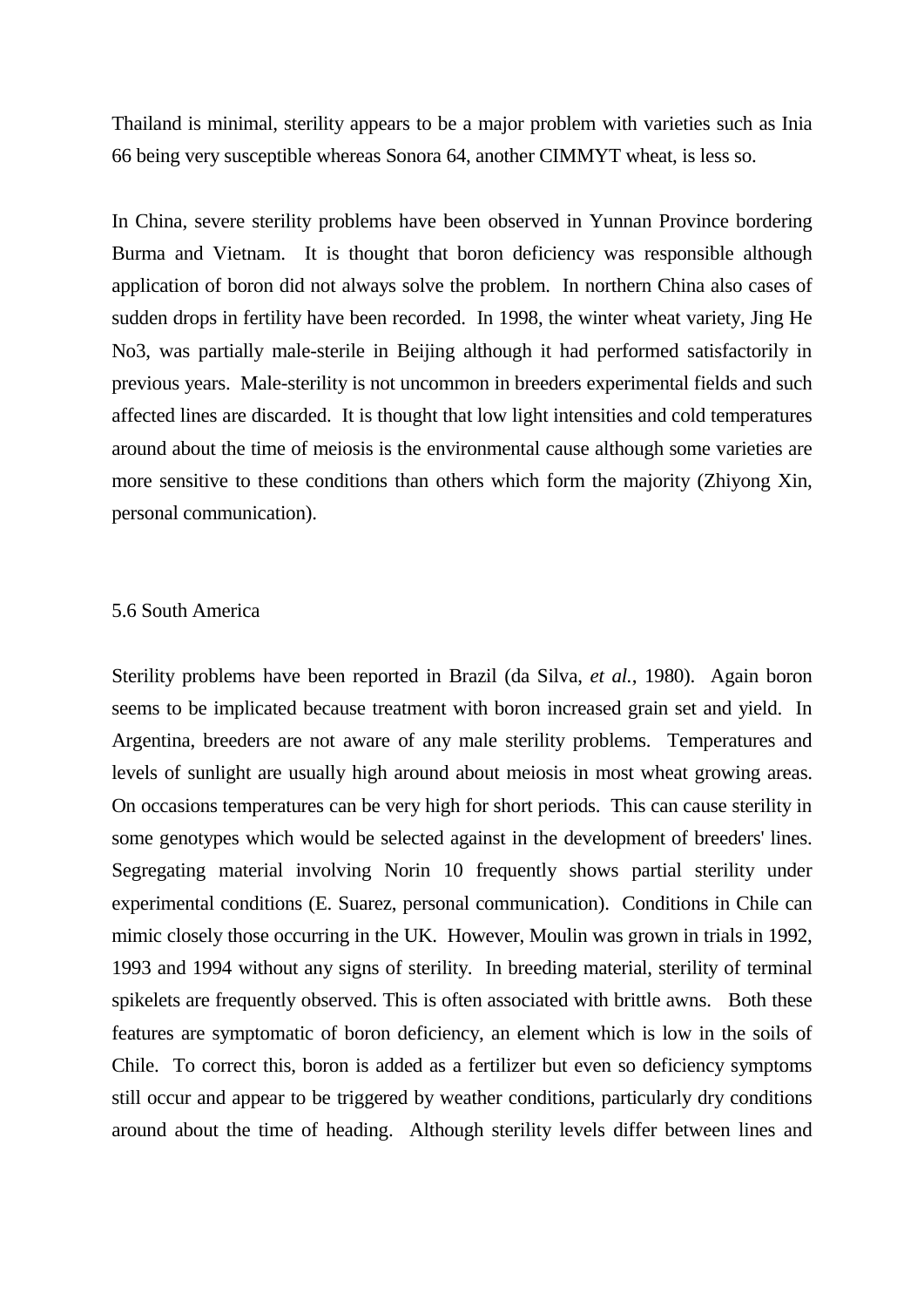Thailand is minimal, sterility appears to be a major problem with varieties such as Inia 66 being very susceptible whereas Sonora 64, another CIMMYT wheat, is less so.

In China, severe sterility problems have been observed in Yunnan Province bordering Burma and Vietnam. It is thought that boron deficiency was responsible although application of boron did not always solve the problem. In northern China also cases of sudden drops in fertility have been recorded. In 1998, the winter wheat variety, Jing He No3, was partially male-sterile in Beijing although it had performed satisfactorily in previous years. Male-sterility is not uncommon in breeders experimental fields and such affected lines are discarded. It is thought that low light intensities and cold temperatures around about the time of meiosis is the environmental cause although some varieties are more sensitive to these conditions than others which form the majority (Zhiyong Xin, personal communication).

#### 5.6 South America

Sterility problems have been reported in Brazil (da Silva, *et al.*, 1980). Again boron seems to be implicated because treatment with boron increased grain set and yield. In Argentina, breeders are not aware of any male sterility problems. Temperatures and levels of sunlight are usually high around about meiosis in most wheat growing areas. On occasions temperatures can be very high for short periods. This can cause sterility in some genotypes which would be selected against in the development of breeders' lines. Segregating material involving Norin 10 frequently shows partial sterility under experimental conditions (E. Suarez, personal communication). Conditions in Chile can mimic closely those occurring in the UK. However, Moulin was grown in trials in 1992, 1993 and 1994 without any signs of sterility. In breeding material, sterility of terminal spikelets are frequently observed. This is often associated with brittle awns. Both these features are symptomatic of boron deficiency, an element which is low in the soils of Chile. To correct this, boron is added as a fertilizer but even so deficiency symptoms still occur and appear to be triggered by weather conditions, particularly dry conditions around about the time of heading. Although sterility levels differ between lines and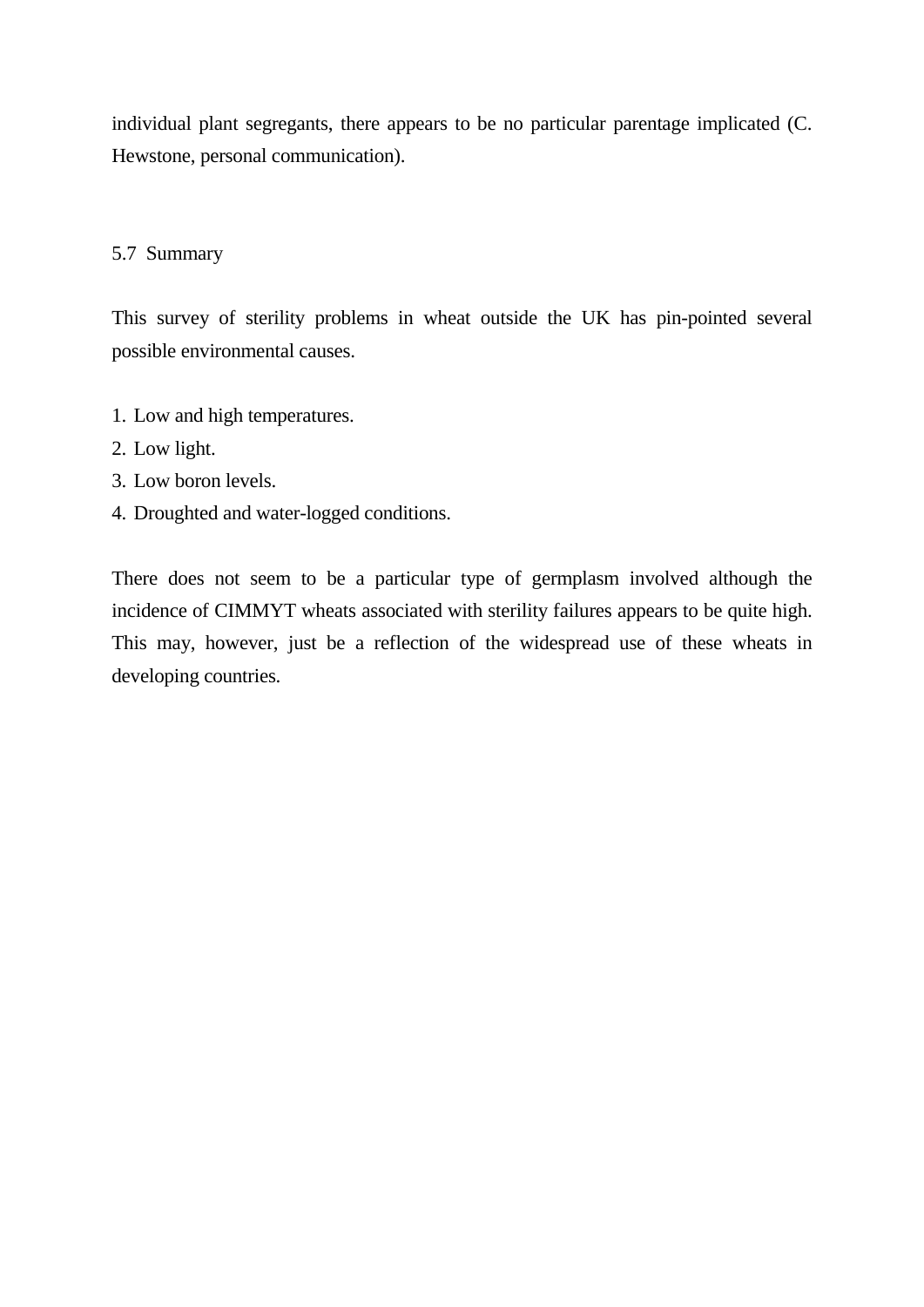individual plant segregants, there appears to be no particular parentage implicated (C. Hewstone, personal communication).

#### 5.7 Summary

This survey of sterility problems in wheat outside the UK has pin-pointed several possible environmental causes.

- 1. Low and high temperatures.
- 2. Low light.
- 3. Low boron levels.
- 4. Droughted and water-logged conditions.

There does not seem to be a particular type of germplasm involved although the incidence of CIMMYT wheats associated with sterility failures appears to be quite high. This may, however, just be a reflection of the widespread use of these wheats in developing countries.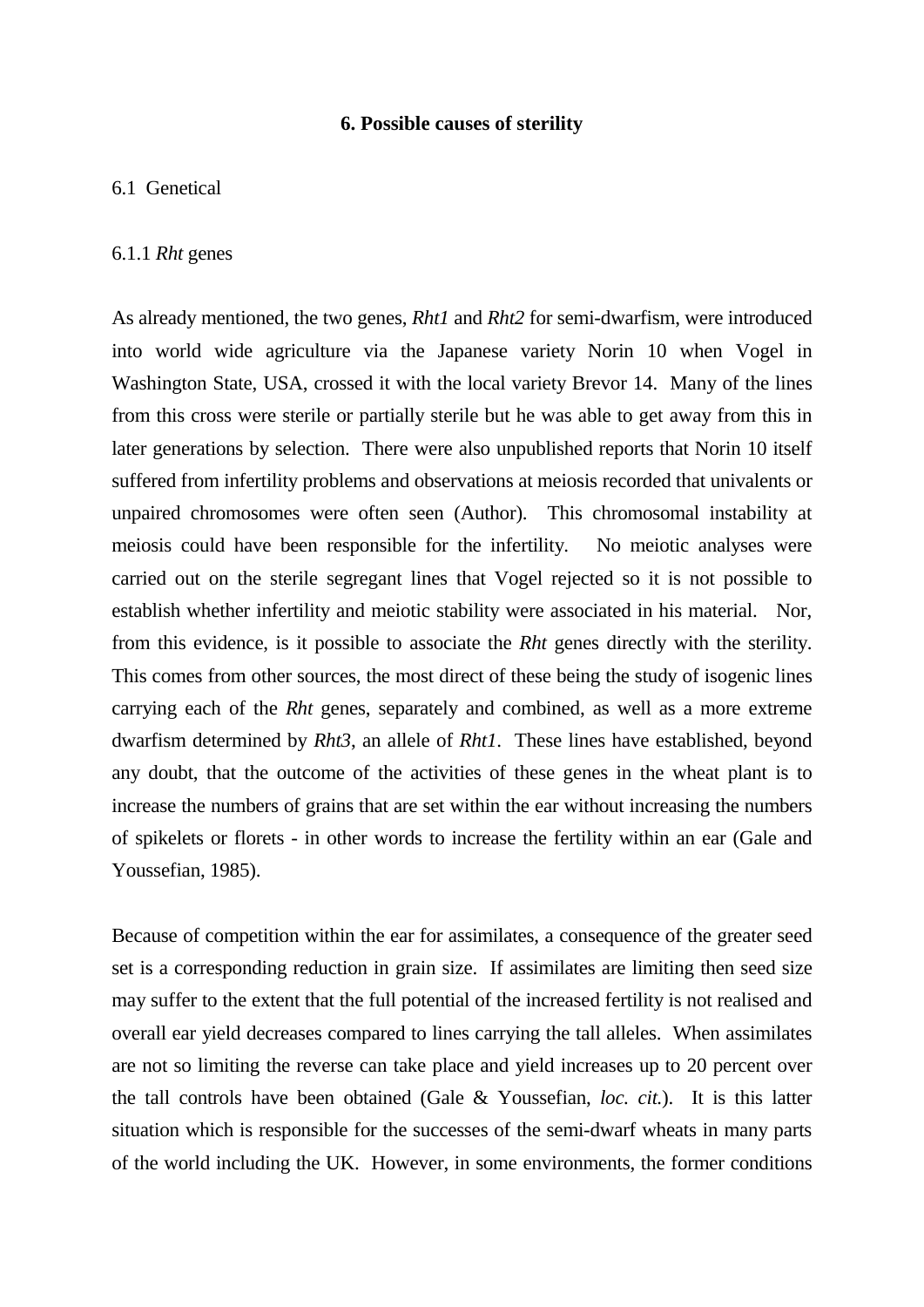## **6. Possible causes of sterility**

## 6.1 Genetical

### 6.1.1 *Rht* genes

As already mentioned, the two genes, *Rht1* and *Rht2* for semi-dwarfism, were introduced into world wide agriculture via the Japanese variety Norin 10 when Vogel in Washington State, USA, crossed it with the local variety Brevor 14. Many of the lines from this cross were sterile or partially sterile but he was able to get away from this in later generations by selection. There were also unpublished reports that Norin 10 itself suffered from infertility problems and observations at meiosis recorded that univalents or unpaired chromosomes were often seen (Author). This chromosomal instability at meiosis could have been responsible for the infertility. No meiotic analyses were carried out on the sterile segregant lines that Vogel rejected so it is not possible to establish whether infertility and meiotic stability were associated in his material. Nor, from this evidence, is it possible to associate the *Rht* genes directly with the sterility. This comes from other sources, the most direct of these being the study of isogenic lines carrying each of the *Rht* genes, separately and combined, as well as a more extreme dwarfism determined by *Rht3*, an allele of *Rht1*. These lines have established, beyond any doubt, that the outcome of the activities of these genes in the wheat plant is to increase the numbers of grains that are set within the ear without increasing the numbers of spikelets or florets - in other words to increase the fertility within an ear (Gale and Youssefian, 1985).

Because of competition within the ear for assimilates, a consequence of the greater seed set is a corresponding reduction in grain size. If assimilates are limiting then seed size may suffer to the extent that the full potential of the increased fertility is not realised and overall ear yield decreases compared to lines carrying the tall alleles. When assimilates are not so limiting the reverse can take place and yield increases up to 20 percent over the tall controls have been obtained (Gale & Youssefian, *loc. cit.*). It is this latter situation which is responsible for the successes of the semi-dwarf wheats in many parts of the world including the UK. However, in some environments, the former conditions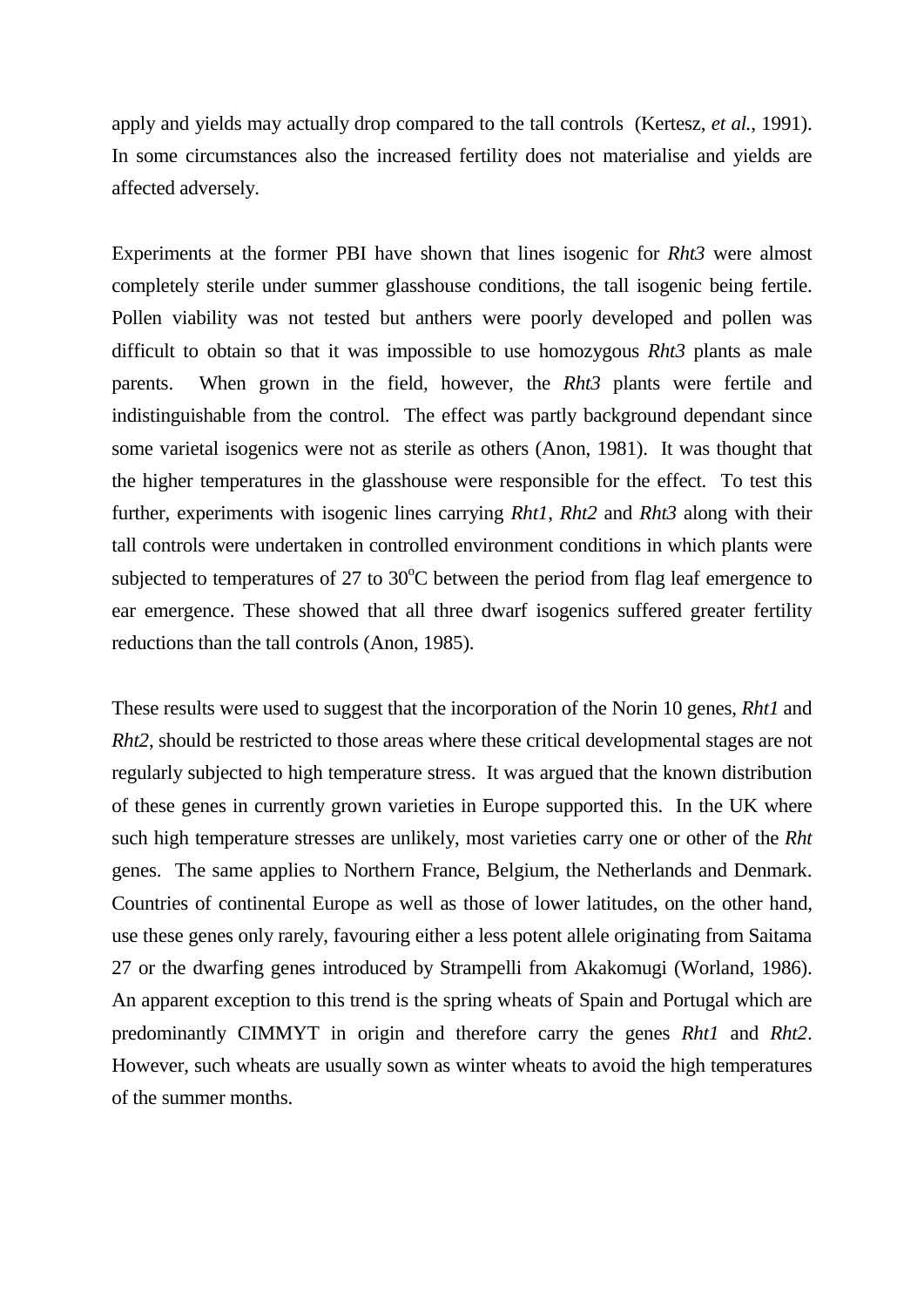apply and yields may actually drop compared to the tall controls (Kertesz, *et al.*, 1991). In some circumstances also the increased fertility does not materialise and yields are affected adversely.

Experiments at the former PBI have shown that lines isogenic for *Rht3* were almost completely sterile under summer glasshouse conditions, the tall isogenic being fertile. Pollen viability was not tested but anthers were poorly developed and pollen was difficult to obtain so that it was impossible to use homozygous *Rht3* plants as male parents. When grown in the field, however, the *Rht3* plants were fertile and indistinguishable from the control. The effect was partly background dependant since some varietal isogenics were not as sterile as others (Anon, 1981). It was thought that the higher temperatures in the glasshouse were responsible for the effect. To test this further, experiments with isogenic lines carrying *Rht1*, *Rht2* and *Rht3* along with their tall controls were undertaken in controlled environment conditions in which plants were subjected to temperatures of 27 to  $30^{\circ}$ C between the period from flag leaf emergence to ear emergence. These showed that all three dwarf isogenics suffered greater fertility reductions than the tall controls (Anon, 1985).

These results were used to suggest that the incorporation of the Norin 10 genes, *Rht1* and *Rht2*, should be restricted to those areas where these critical developmental stages are not regularly subjected to high temperature stress. It was argued that the known distribution of these genes in currently grown varieties in Europe supported this. In the UK where such high temperature stresses are unlikely, most varieties carry one or other of the *Rht* genes. The same applies to Northern France, Belgium, the Netherlands and Denmark. Countries of continental Europe as well as those of lower latitudes, on the other hand, use these genes only rarely, favouring either a less potent allele originating from Saitama 27 or the dwarfing genes introduced by Strampelli from Akakomugi (Worland, 1986). An apparent exception to this trend is the spring wheats of Spain and Portugal which are predominantly CIMMYT in origin and therefore carry the genes *Rht1* and *Rht2*. However, such wheats are usually sown as winter wheats to avoid the high temperatures of the summer months.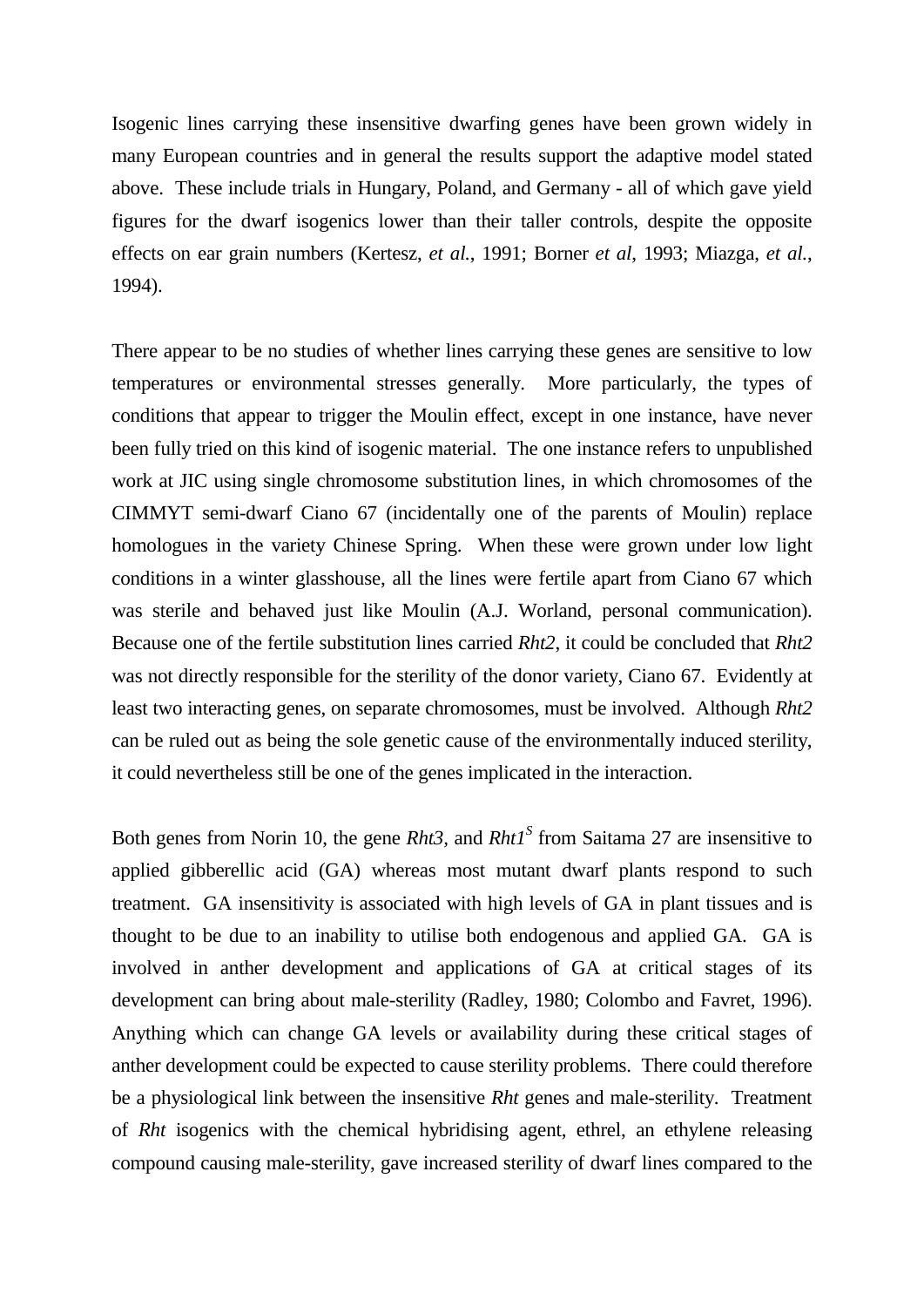Isogenic lines carrying these insensitive dwarfing genes have been grown widely in many European countries and in general the results support the adaptive model stated above. These include trials in Hungary, Poland, and Germany - all of which gave yield figures for the dwarf isogenics lower than their taller controls, despite the opposite effects on ear grain numbers (Kertesz, *et al.*, 1991; Borner *et al*, 1993; Miazga, *et al.*, 1994).

There appear to be no studies of whether lines carrying these genes are sensitive to low temperatures or environmental stresses generally. More particularly, the types of conditions that appear to trigger the Moulin effect, except in one instance, have never been fully tried on this kind of isogenic material. The one instance refers to unpublished work at JIC using single chromosome substitution lines, in which chromosomes of the CIMMYT semi-dwarf Ciano 67 (incidentally one of the parents of Moulin) replace homologues in the variety Chinese Spring. When these were grown under low light conditions in a winter glasshouse, all the lines were fertile apart from Ciano 67 which was sterile and behaved just like Moulin (A.J. Worland, personal communication). Because one of the fertile substitution lines carried *Rht2*, it could be concluded that *Rht2* was not directly responsible for the sterility of the donor variety, Ciano 67. Evidently at least two interacting genes, on separate chromosomes, must be involved. Although *Rht2* can be ruled out as being the sole genetic cause of the environmentally induced sterility, it could nevertheless still be one of the genes implicated in the interaction.

Both genes from Norin 10, the gene *Rht3*, and *Rht1<sup>S</sup>* from Saitama 27 are insensitive to applied gibberellic acid (GA) whereas most mutant dwarf plants respond to such treatment. GA insensitivity is associated with high levels of GA in plant tissues and is thought to be due to an inability to utilise both endogenous and applied GA. GA is involved in anther development and applications of GA at critical stages of its development can bring about male-sterility (Radley, 1980; Colombo and Favret, 1996). Anything which can change GA levels or availability during these critical stages of anther development could be expected to cause sterility problems. There could therefore be a physiological link between the insensitive *Rht* genes and male-sterility. Treatment of *Rht* isogenics with the chemical hybridising agent, ethrel, an ethylene releasing compound causing male-sterility, gave increased sterility of dwarf lines compared to the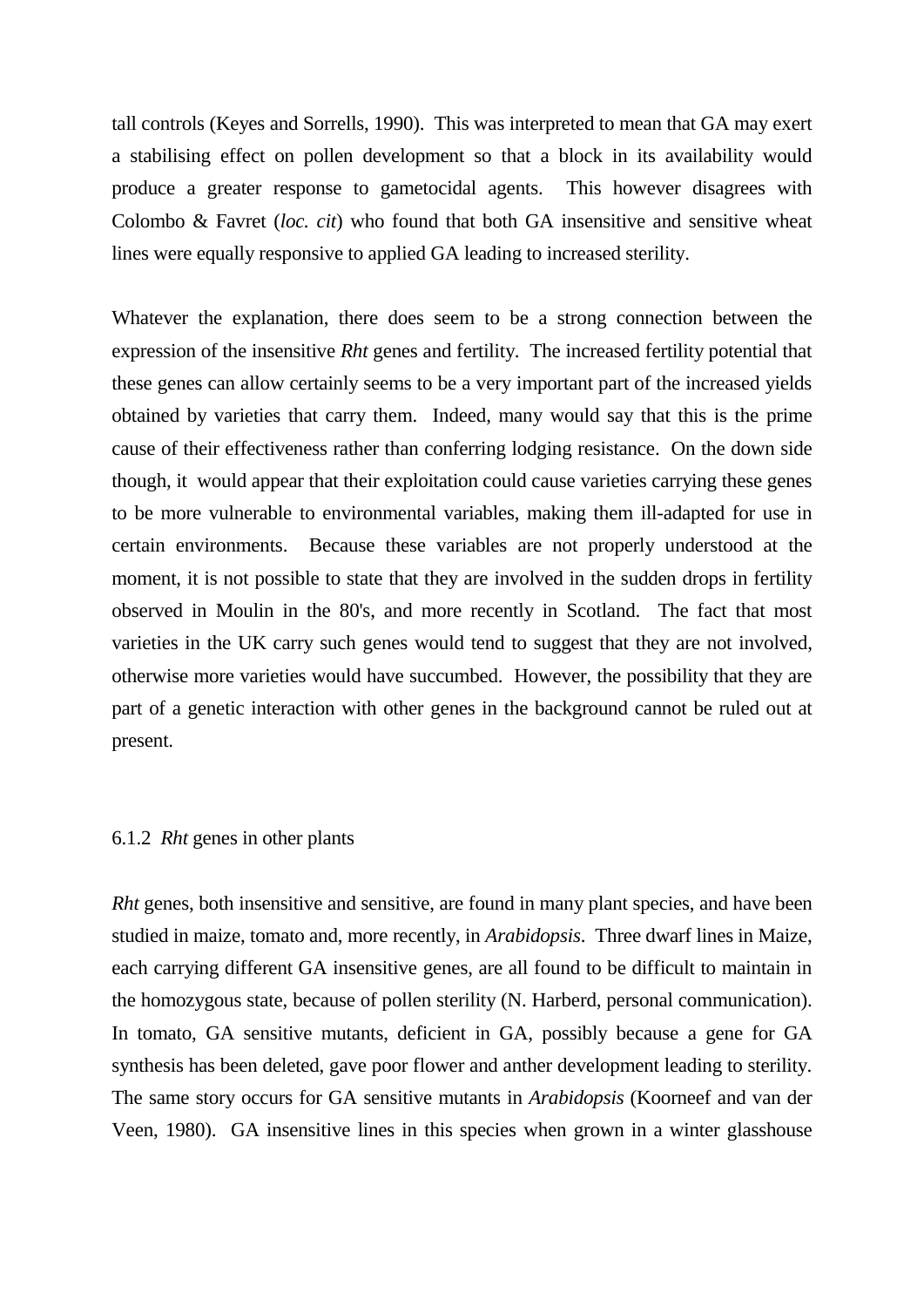tall controls (Keyes and Sorrells, 1990). This was interpreted to mean that GA may exert a stabilising effect on pollen development so that a block in its availability would produce a greater response to gametocidal agents. This however disagrees with Colombo & Favret (*loc. cit*) who found that both GA insensitive and sensitive wheat lines were equally responsive to applied GA leading to increased sterility.

Whatever the explanation, there does seem to be a strong connection between the expression of the insensitive *Rht* genes and fertility. The increased fertility potential that these genes can allow certainly seems to be a very important part of the increased yields obtained by varieties that carry them. Indeed, many would say that this is the prime cause of their effectiveness rather than conferring lodging resistance. On the down side though, it would appear that their exploitation could cause varieties carrying these genes to be more vulnerable to environmental variables, making them ill-adapted for use in certain environments. Because these variables are not properly understood at the moment, it is not possible to state that they are involved in the sudden drops in fertility observed in Moulin in the 80's, and more recently in Scotland. The fact that most varieties in the UK carry such genes would tend to suggest that they are not involved, otherwise more varieties would have succumbed. However, the possibility that they are part of a genetic interaction with other genes in the background cannot be ruled out at present.

#### 6.1.2 *Rht* genes in other plants

*Rht* genes, both insensitive and sensitive, are found in many plant species, and have been studied in maize, tomato and, more recently, in *Arabidopsis*. Three dwarf lines in Maize, each carrying different GA insensitive genes, are all found to be difficult to maintain in the homozygous state, because of pollen sterility (N. Harberd, personal communication). In tomato, GA sensitive mutants, deficient in GA, possibly because a gene for GA synthesis has been deleted, gave poor flower and anther development leading to sterility. The same story occurs for GA sensitive mutants in *Arabidopsis* (Koorneef and van der Veen, 1980). GA insensitive lines in this species when grown in a winter glasshouse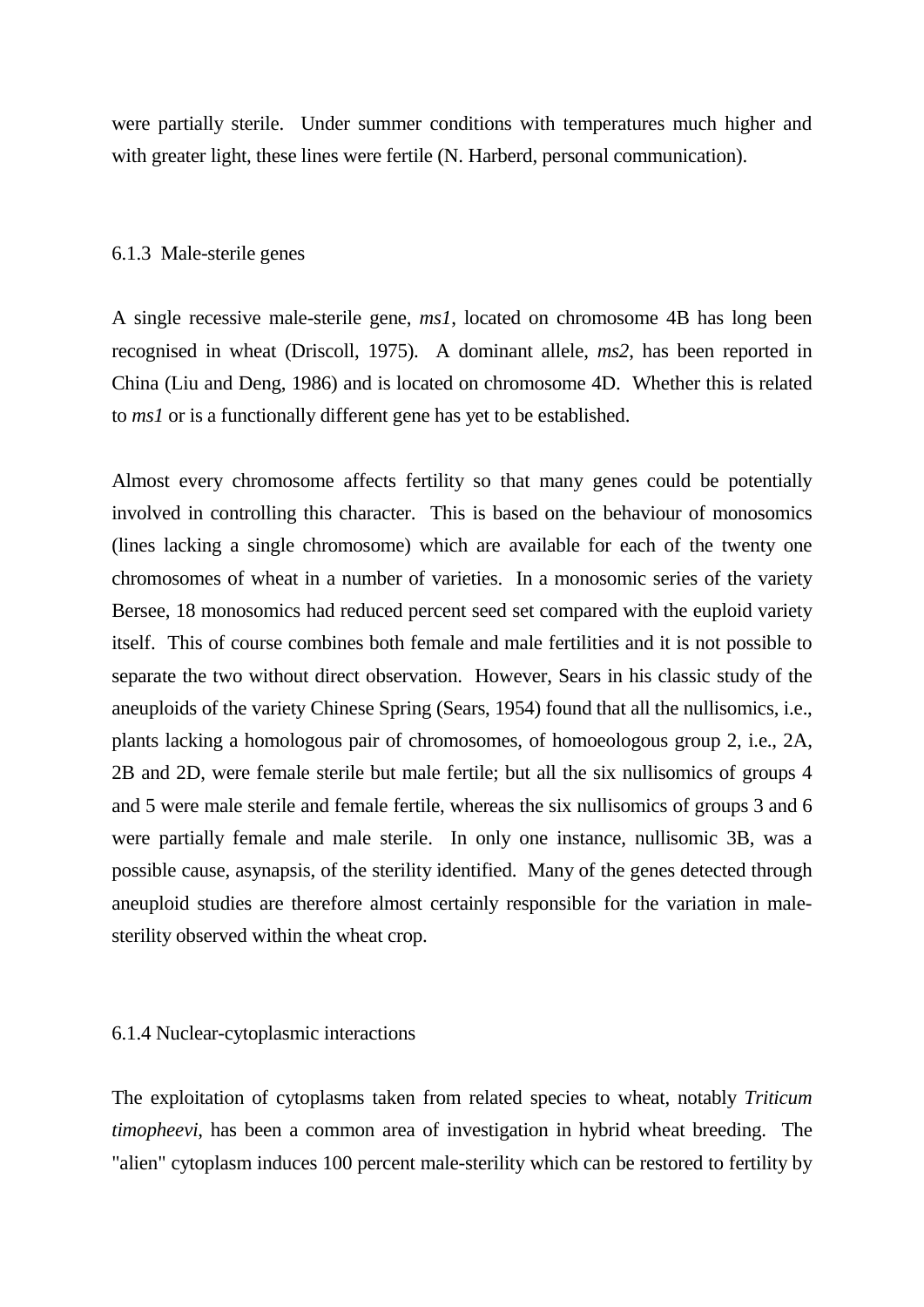were partially sterile. Under summer conditions with temperatures much higher and with greater light, these lines were fertile (N. Harberd, personal communication).

### 6.1.3 Male-sterile genes

A single recessive male-sterile gene, *ms1*, located on chromosome 4B has long been recognised in wheat (Driscoll, 1975). A dominant allele, *ms2*, has been reported in China (Liu and Deng, 1986) and is located on chromosome 4D. Whether this is related to *ms1* or is a functionally different gene has yet to be established.

Almost every chromosome affects fertility so that many genes could be potentially involved in controlling this character. This is based on the behaviour of monosomics (lines lacking a single chromosome) which are available for each of the twenty one chromosomes of wheat in a number of varieties. In a monosomic series of the variety Bersee, 18 monosomics had reduced percent seed set compared with the euploid variety itself. This of course combines both female and male fertilities and it is not possible to separate the two without direct observation. However, Sears in his classic study of the aneuploids of the variety Chinese Spring (Sears, 1954) found that all the nullisomics, i.e., plants lacking a homologous pair of chromosomes, of homoeologous group 2, i.e., 2A, 2B and 2D, were female sterile but male fertile; but all the six nullisomics of groups 4 and 5 were male sterile and female fertile, whereas the six nullisomics of groups 3 and 6 were partially female and male sterile. In only one instance, nullisomic 3B, was a possible cause, asynapsis, of the sterility identified. Many of the genes detected through aneuploid studies are therefore almost certainly responsible for the variation in malesterility observed within the wheat crop.

# 6.1.4 Nuclear-cytoplasmic interactions

The exploitation of cytoplasms taken from related species to wheat, notably *Triticum timopheevi*, has been a common area of investigation in hybrid wheat breeding. The "alien" cytoplasm induces 100 percent male-sterility which can be restored to fertility by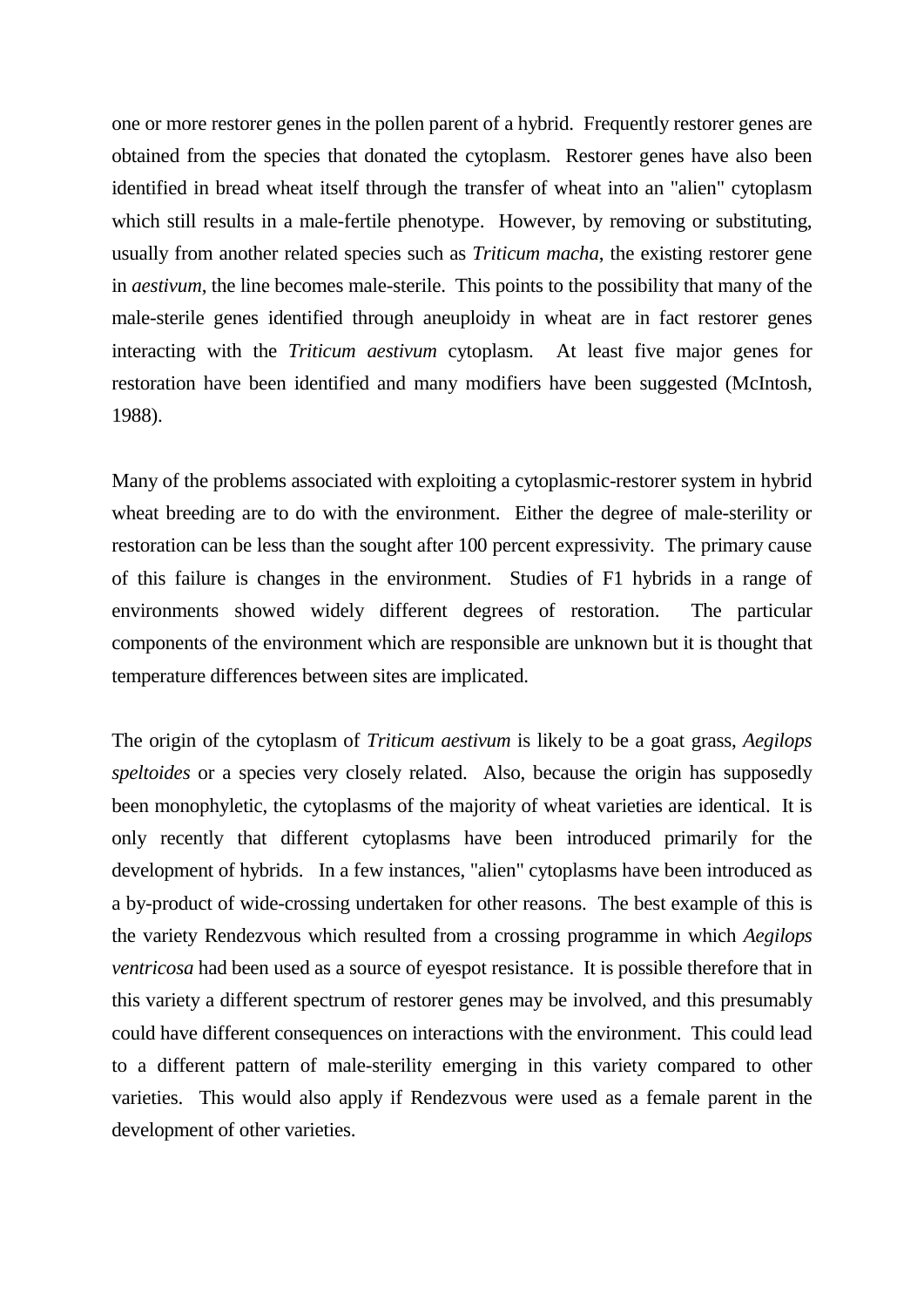one or more restorer genes in the pollen parent of a hybrid. Frequently restorer genes are obtained from the species that donated the cytoplasm. Restorer genes have also been identified in bread wheat itself through the transfer of wheat into an "alien" cytoplasm which still results in a male-fertile phenotype. However, by removing or substituting, usually from another related species such as *Triticum macha*, the existing restorer gene in *aestivum*, the line becomes male-sterile. This points to the possibility that many of the male-sterile genes identified through aneuploidy in wheat are in fact restorer genes interacting with the *Triticum aestivum* cytoplasm. At least five major genes for restoration have been identified and many modifiers have been suggested (McIntosh, 1988).

Many of the problems associated with exploiting a cytoplasmic-restorer system in hybrid wheat breeding are to do with the environment. Either the degree of male-sterility or restoration can be less than the sought after 100 percent expressivity. The primary cause of this failure is changes in the environment. Studies of F1 hybrids in a range of environments showed widely different degrees of restoration. The particular components of the environment which are responsible are unknown but it is thought that temperature differences between sites are implicated.

The origin of the cytoplasm of *Triticum aestivum* is likely to be a goat grass, *Aegilops speltoides* or a species very closely related. Also, because the origin has supposedly been monophyletic, the cytoplasms of the majority of wheat varieties are identical. It is only recently that different cytoplasms have been introduced primarily for the development of hybrids. In a few instances, "alien" cytoplasms have been introduced as a by-product of wide-crossing undertaken for other reasons. The best example of this is the variety Rendezvous which resulted from a crossing programme in which *Aegilops ventricosa* had been used as a source of eyespot resistance. It is possible therefore that in this variety a different spectrum of restorer genes may be involved, and this presumably could have different consequences on interactions with the environment. This could lead to a different pattern of male-sterility emerging in this variety compared to other varieties. This would also apply if Rendezvous were used as a female parent in the development of other varieties.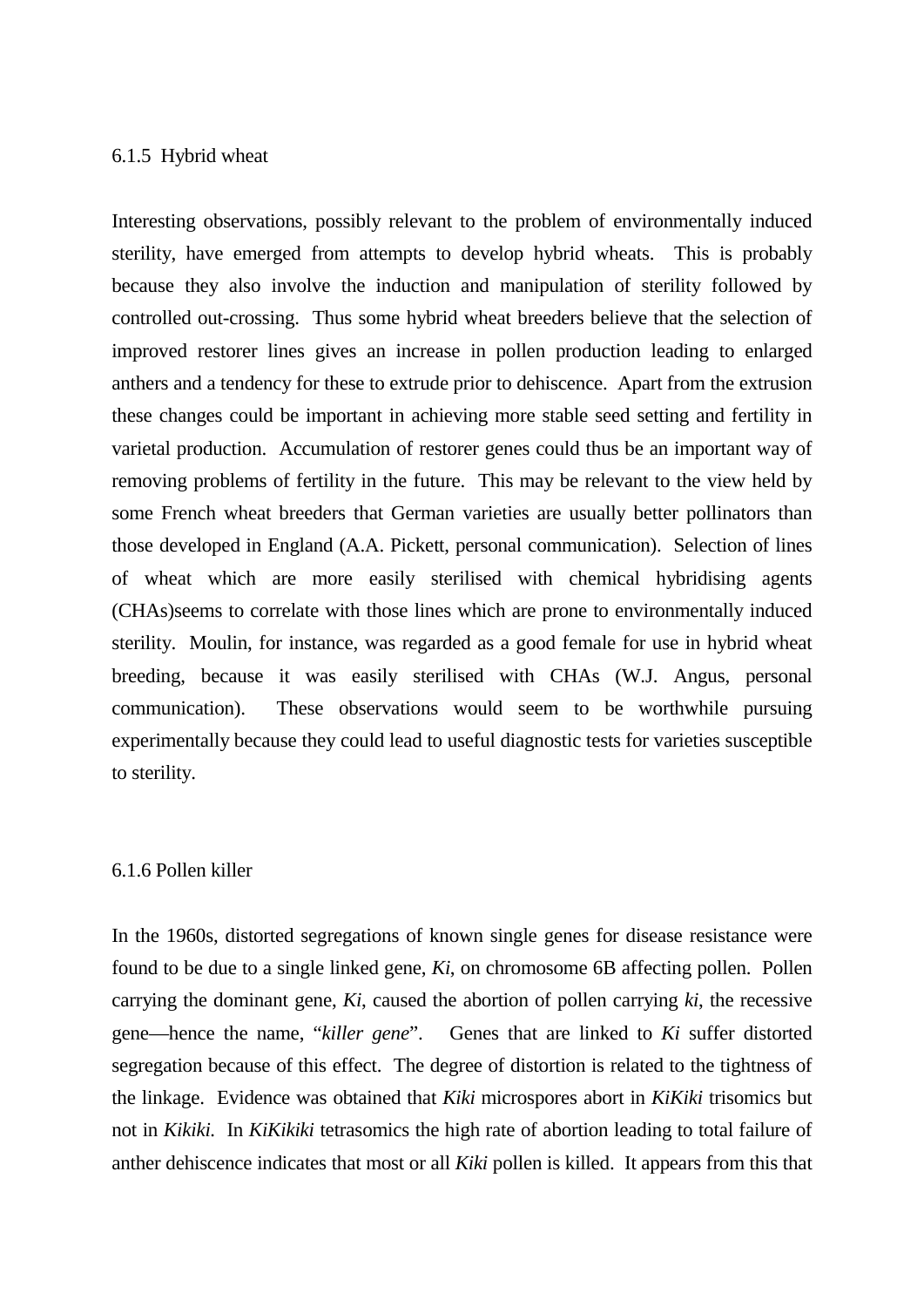### 6.1.5 Hybrid wheat

Interesting observations, possibly relevant to the problem of environmentally induced sterility, have emerged from attempts to develop hybrid wheats. This is probably because they also involve the induction and manipulation of sterility followed by controlled out-crossing. Thus some hybrid wheat breeders believe that the selection of improved restorer lines gives an increase in pollen production leading to enlarged anthers and a tendency for these to extrude prior to dehiscence. Apart from the extrusion these changes could be important in achieving more stable seed setting and fertility in varietal production. Accumulation of restorer genes could thus be an important way of removing problems of fertility in the future. This may be relevant to the view held by some French wheat breeders that German varieties are usually better pollinators than those developed in England (A.A. Pickett, personal communication). Selection of lines of wheat which are more easily sterilised with chemical hybridising agents (CHAs)seems to correlate with those lines which are prone to environmentally induced sterility. Moulin, for instance, was regarded as a good female for use in hybrid wheat breeding, because it was easily sterilised with CHAs (W.J. Angus, personal communication). These observations would seem to be worthwhile pursuing experimentally because they could lead to useful diagnostic tests for varieties susceptible to sterility.

### 6.1.6 Pollen killer

In the 1960s, distorted segregations of known single genes for disease resistance were found to be due to a single linked gene, *Ki*, on chromosome 6B affecting pollen. Pollen carrying the dominant gene, *Ki*, caused the abortion of pollen carrying *ki*, the recessive gene—hence the name, "*killer gene*". Genes that are linked to *Ki* suffer distorted segregation because of this effect. The degree of distortion is related to the tightness of the linkage. Evidence was obtained that *Kiki* microspores abort in *KiKiki* trisomics but not in *Kikiki.* In *KiKikiki* tetrasomics the high rate of abortion leading to total failure of anther dehiscence indicates that most or all *Kiki* pollen is killed. It appears from this that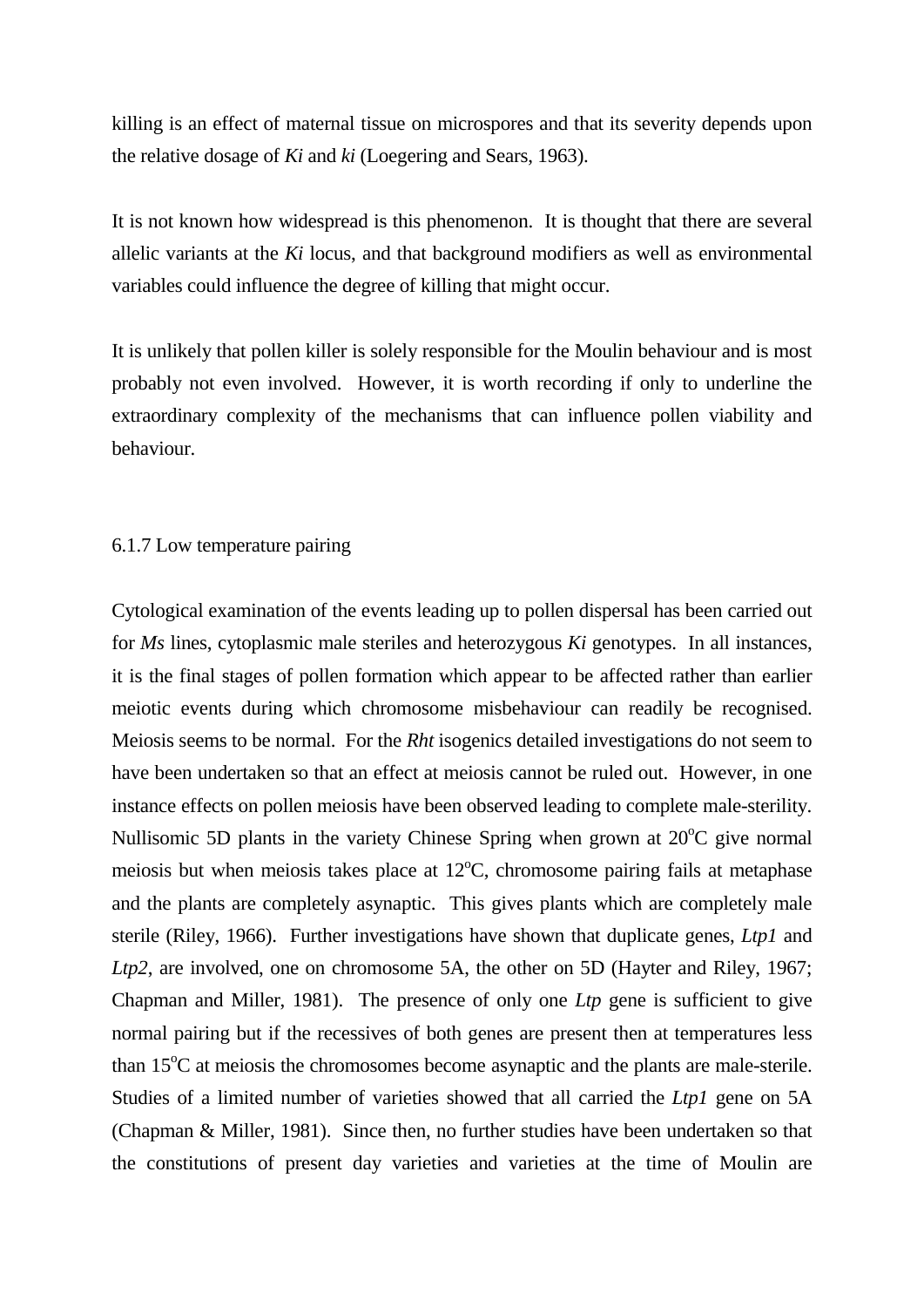killing is an effect of maternal tissue on microspores and that its severity depends upon the relative dosage of *Ki* and *ki* (Loegering and Sears, 1963).

It is not known how widespread is this phenomenon. It is thought that there are several allelic variants at the *Ki* locus, and that background modifiers as well as environmental variables could influence the degree of killing that might occur.

It is unlikely that pollen killer is solely responsible for the Moulin behaviour and is most probably not even involved. However, it is worth recording if only to underline the extraordinary complexity of the mechanisms that can influence pollen viability and behaviour.

### 6.1.7 Low temperature pairing

Cytological examination of the events leading up to pollen dispersal has been carried out for *Ms* lines, cytoplasmic male steriles and heterozygous *Ki* genotypes. In all instances, it is the final stages of pollen formation which appear to be affected rather than earlier meiotic events during which chromosome misbehaviour can readily be recognised. Meiosis seems to be normal. For the *Rht* isogenics detailed investigations do not seem to have been undertaken so that an effect at meiosis cannot be ruled out. However, in one instance effects on pollen meiosis have been observed leading to complete male-sterility. Nullisomic 5D plants in the variety Chinese Spring when grown at  $20^{\circ}$ C give normal meiosis but when meiosis takes place at  $12^{\circ}$ C, chromosome pairing fails at metaphase and the plants are completely asynaptic. This gives plants which are completely male sterile (Riley, 1966). Further investigations have shown that duplicate genes, *Ltp1* and *Ltp2*, are involved, one on chromosome 5A, the other on 5D (Hayter and Riley, 1967; Chapman and Miller, 1981). The presence of only one *Ltp* gene is sufficient to give normal pairing but if the recessives of both genes are present then at temperatures less than  $15^{\circ}$ C at meiosis the chromosomes become asynaptic and the plants are male-sterile. Studies of a limited number of varieties showed that all carried the *Ltp1* gene on 5A (Chapman & Miller, 1981). Since then, no further studies have been undertaken so that the constitutions of present day varieties and varieties at the time of Moulin are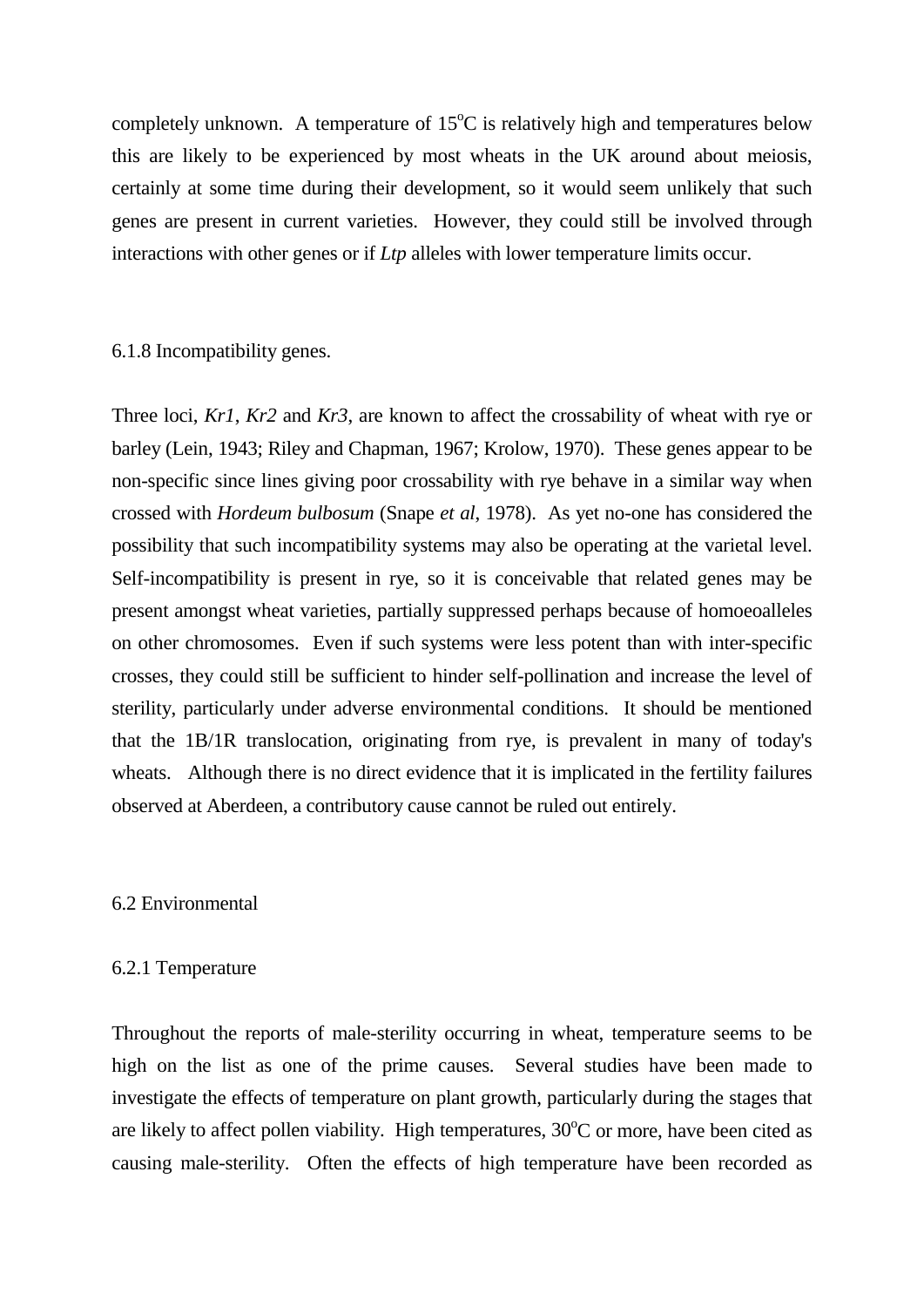completely unknown. A temperature of  $15^{\circ}$ C is relatively high and temperatures below this are likely to be experienced by most wheats in the UK around about meiosis, certainly at some time during their development, so it would seem unlikely that such genes are present in current varieties. However, they could still be involved through interactions with other genes or if *Ltp* alleles with lower temperature limits occur.

## 6.1.8 Incompatibility genes.

Three loci, *Kr1*, *Kr2* and *Kr3*, are known to affect the crossability of wheat with rye or barley (Lein, 1943; Riley and Chapman, 1967; Krolow, 1970). These genes appear to be non-specific since lines giving poor crossability with rye behave in a similar way when crossed with *Hordeum bulbosum* (Snape *et al*, 1978). As yet no-one has considered the possibility that such incompatibility systems may also be operating at the varietal level. Self-incompatibility is present in rye, so it is conceivable that related genes may be present amongst wheat varieties, partially suppressed perhaps because of homoeoalleles on other chromosomes. Even if such systems were less potent than with inter-specific crosses, they could still be sufficient to hinder self-pollination and increase the level of sterility, particularly under adverse environmental conditions. It should be mentioned that the 1B/1R translocation, originating from rye, is prevalent in many of today's wheats. Although there is no direct evidence that it is implicated in the fertility failures observed at Aberdeen, a contributory cause cannot be ruled out entirely.

## 6.2 Environmental

### 6.2.1 Temperature

Throughout the reports of male-sterility occurring in wheat, temperature seems to be high on the list as one of the prime causes. Several studies have been made to investigate the effects of temperature on plant growth, particularly during the stages that are likely to affect pollen viability. High temperatures,  $30^{\circ}$ C or more, have been cited as causing male-sterility. Often the effects of high temperature have been recorded as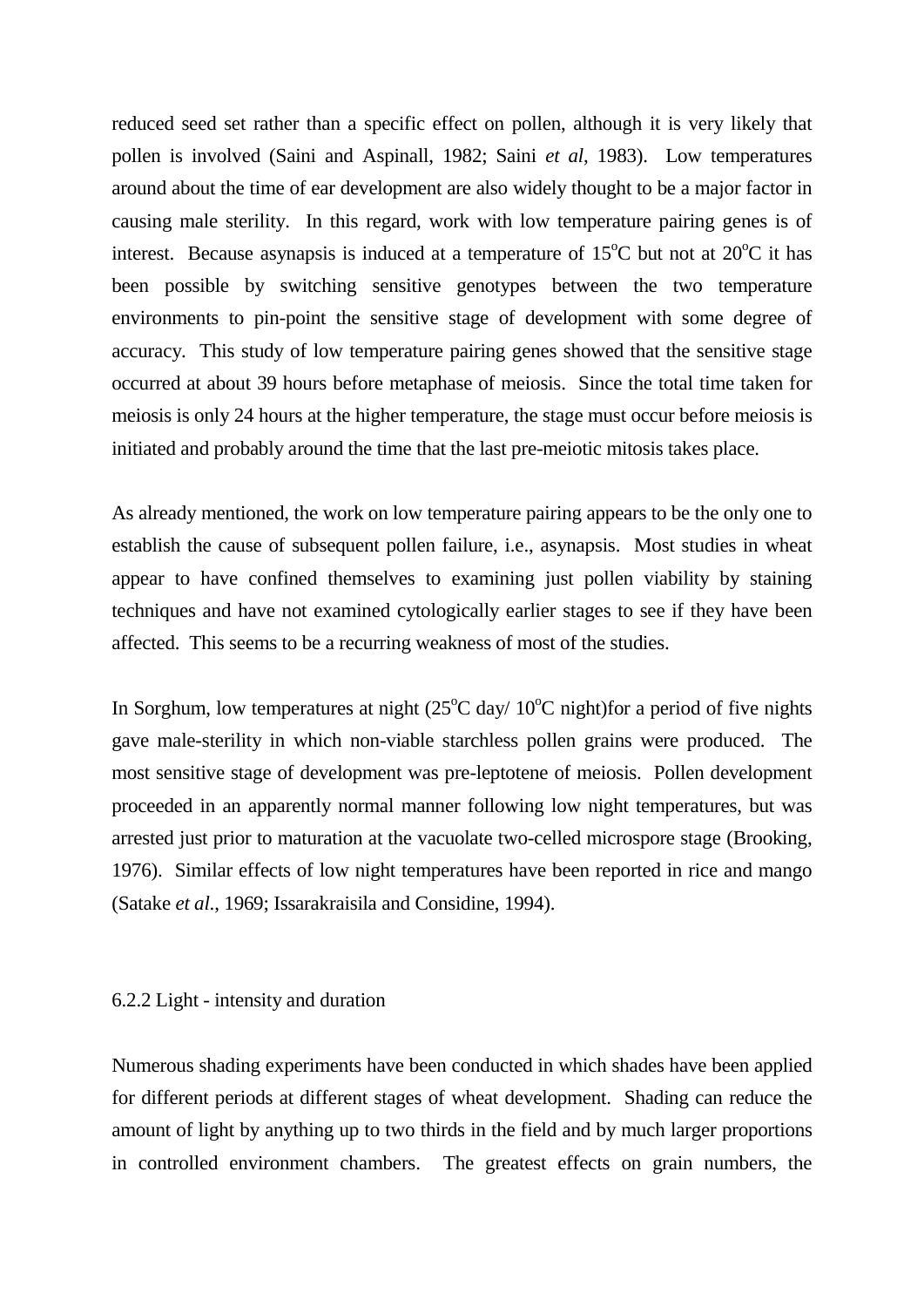reduced seed set rather than a specific effect on pollen, although it is very likely that pollen is involved (Saini and Aspinall, 1982; Saini *et al*, 1983). Low temperatures around about the time of ear development are also widely thought to be a major factor in causing male sterility. In this regard, work with low temperature pairing genes is of interest. Because asynapsis is induced at a temperature of  $15^{\circ}$ C but not at  $20^{\circ}$ C it has been possible by switching sensitive genotypes between the two temperature environments to pin-point the sensitive stage of development with some degree of accuracy. This study of low temperature pairing genes showed that the sensitive stage occurred at about 39 hours before metaphase of meiosis. Since the total time taken for meiosis is only 24 hours at the higher temperature, the stage must occur before meiosis is initiated and probably around the time that the last pre-meiotic mitosis takes place.

As already mentioned, the work on low temperature pairing appears to be the only one to establish the cause of subsequent pollen failure, i.e., asynapsis. Most studies in wheat appear to have confined themselves to examining just pollen viability by staining techniques and have not examined cytologically earlier stages to see if they have been affected. This seems to be a recurring weakness of most of the studies.

In Sorghum, low temperatures at night  $(25^{\circ}C \text{ day}/10^{\circ}C \text{ night})$  for a period of five nights gave male-sterility in which non-viable starchless pollen grains were produced. The most sensitive stage of development was pre-leptotene of meiosis. Pollen development proceeded in an apparently normal manner following low night temperatures, but was arrested just prior to maturation at the vacuolate two-celled microspore stage (Brooking, 1976). Similar effects of low night temperatures have been reported in rice and mango (Satake *et al*., 1969; Issarakraisila and Considine, 1994).

### 6.2.2 Light - intensity and duration

Numerous shading experiments have been conducted in which shades have been applied for different periods at different stages of wheat development. Shading can reduce the amount of light by anything up to two thirds in the field and by much larger proportions in controlled environment chambers. The greatest effects on grain numbers, the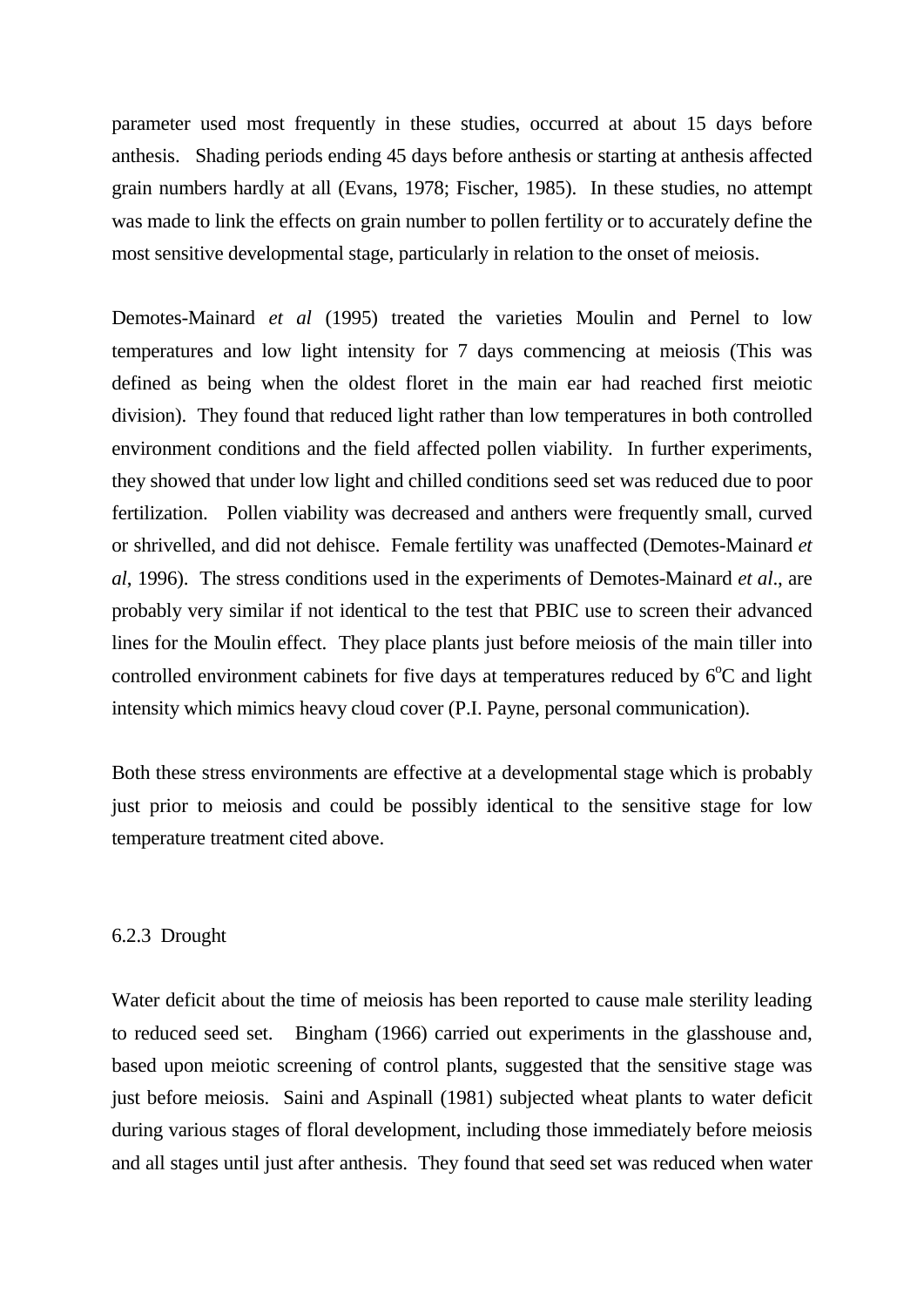parameter used most frequently in these studies, occurred at about 15 days before anthesis. Shading periods ending 45 days before anthesis or starting at anthesis affected grain numbers hardly at all (Evans, 1978; Fischer, 1985). In these studies, no attempt was made to link the effects on grain number to pollen fertility or to accurately define the most sensitive developmental stage, particularly in relation to the onset of meiosis.

Demotes-Mainard *et al* (1995) treated the varieties Moulin and Pernel to low temperatures and low light intensity for 7 days commencing at meiosis (This was defined as being when the oldest floret in the main ear had reached first meiotic division). They found that reduced light rather than low temperatures in both controlled environment conditions and the field affected pollen viability. In further experiments, they showed that under low light and chilled conditions seed set was reduced due to poor fertilization. Pollen viability was decreased and anthers were frequently small, curved or shrivelled, and did not dehisce. Female fertility was unaffected (Demotes-Mainard *et al*, 1996). The stress conditions used in the experiments of Demotes-Mainard *et al*., are probably very similar if not identical to the test that PBIC use to screen their advanced lines for the Moulin effect. They place plants just before meiosis of the main tiller into controlled environment cabinets for five days at temperatures reduced by  $6^{\circ}$ C and light intensity which mimics heavy cloud cover (P.I. Payne, personal communication).

Both these stress environments are effective at a developmental stage which is probably just prior to meiosis and could be possibly identical to the sensitive stage for low temperature treatment cited above.

### 6.2.3 Drought

Water deficit about the time of meiosis has been reported to cause male sterility leading to reduced seed set. Bingham (1966) carried out experiments in the glasshouse and, based upon meiotic screening of control plants, suggested that the sensitive stage was just before meiosis. Saini and Aspinall (1981) subjected wheat plants to water deficit during various stages of floral development, including those immediately before meiosis and all stages until just after anthesis. They found that seed set was reduced when water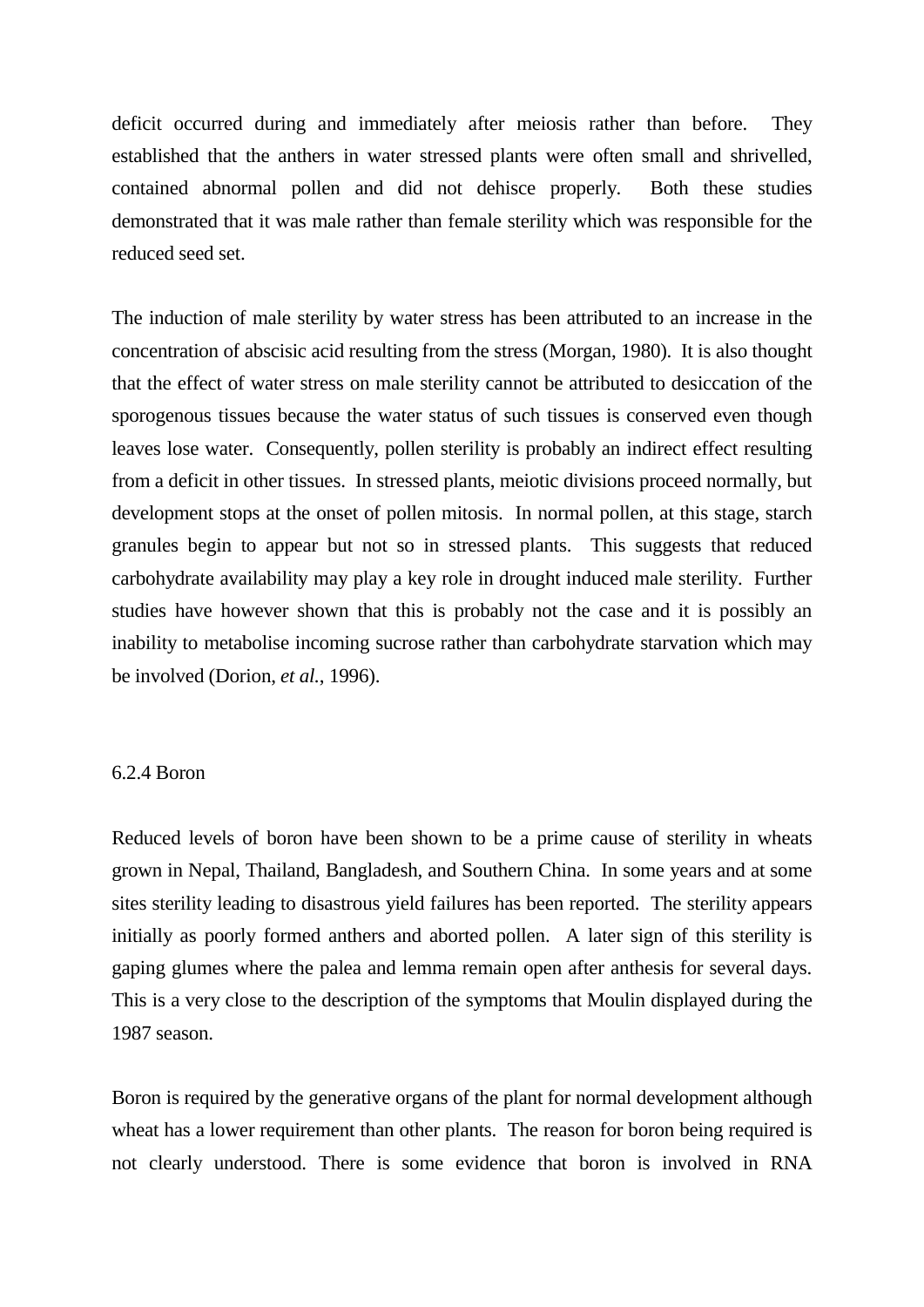deficit occurred during and immediately after meiosis rather than before. They established that the anthers in water stressed plants were often small and shrivelled, contained abnormal pollen and did not dehisce properly. Both these studies demonstrated that it was male rather than female sterility which was responsible for the reduced seed set.

The induction of male sterility by water stress has been attributed to an increase in the concentration of abscisic acid resulting from the stress (Morgan, 1980). It is also thought that the effect of water stress on male sterility cannot be attributed to desiccation of the sporogenous tissues because the water status of such tissues is conserved even though leaves lose water. Consequently, pollen sterility is probably an indirect effect resulting from a deficit in other tissues. In stressed plants, meiotic divisions proceed normally, but development stops at the onset of pollen mitosis. In normal pollen, at this stage, starch granules begin to appear but not so in stressed plants. This suggests that reduced carbohydrate availability may play a key role in drought induced male sterility. Further studies have however shown that this is probably not the case and it is possibly an inability to metabolise incoming sucrose rather than carbohydrate starvation which may be involved (Dorion, *et al.*, 1996).

# 6.2.4 Boron

Reduced levels of boron have been shown to be a prime cause of sterility in wheats grown in Nepal, Thailand, Bangladesh, and Southern China. In some years and at some sites sterility leading to disastrous yield failures has been reported. The sterility appears initially as poorly formed anthers and aborted pollen. A later sign of this sterility is gaping glumes where the palea and lemma remain open after anthesis for several days. This is a very close to the description of the symptoms that Moulin displayed during the 1987 season.

Boron is required by the generative organs of the plant for normal development although wheat has a lower requirement than other plants. The reason for boron being required is not clearly understood. There is some evidence that boron is involved in RNA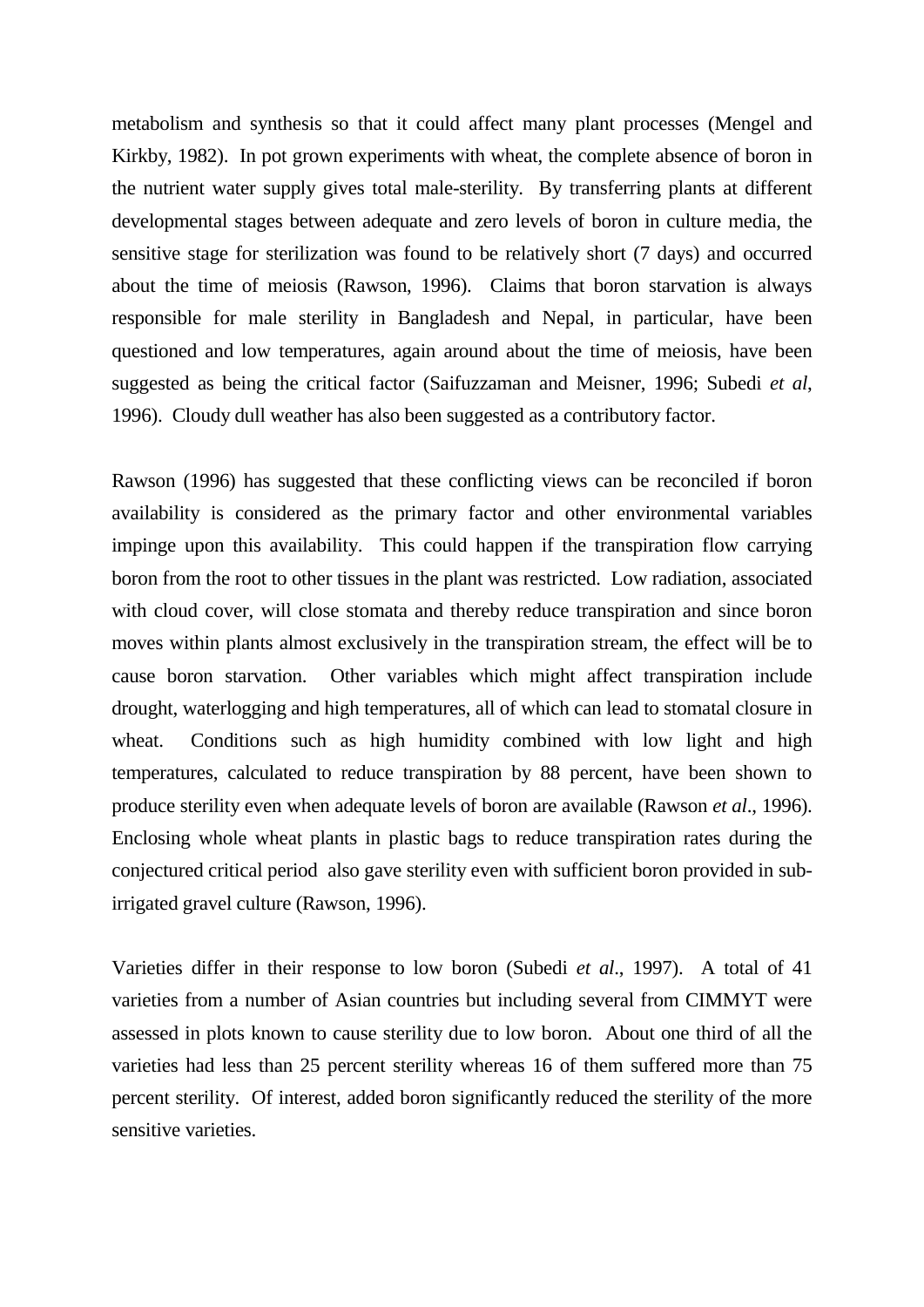metabolism and synthesis so that it could affect many plant processes (Mengel and Kirkby, 1982). In pot grown experiments with wheat, the complete absence of boron in the nutrient water supply gives total male-sterility. By transferring plants at different developmental stages between adequate and zero levels of boron in culture media, the sensitive stage for sterilization was found to be relatively short (7 days) and occurred about the time of meiosis (Rawson, 1996). Claims that boron starvation is always responsible for male sterility in Bangladesh and Nepal, in particular, have been questioned and low temperatures, again around about the time of meiosis, have been suggested as being the critical factor (Saifuzzaman and Meisner, 1996; Subedi *et al*, 1996). Cloudy dull weather has also been suggested as a contributory factor.

Rawson (1996) has suggested that these conflicting views can be reconciled if boron availability is considered as the primary factor and other environmental variables impinge upon this availability. This could happen if the transpiration flow carrying boron from the root to other tissues in the plant was restricted. Low radiation, associated with cloud cover, will close stomata and thereby reduce transpiration and since boron moves within plants almost exclusively in the transpiration stream, the effect will be to cause boron starvation. Other variables which might affect transpiration include drought, waterlogging and high temperatures, all of which can lead to stomatal closure in wheat. Conditions such as high humidity combined with low light and high temperatures, calculated to reduce transpiration by 88 percent, have been shown to produce sterility even when adequate levels of boron are available (Rawson *et al*., 1996). Enclosing whole wheat plants in plastic bags to reduce transpiration rates during the conjectured critical period also gave sterility even with sufficient boron provided in subirrigated gravel culture (Rawson, 1996).

Varieties differ in their response to low boron (Subedi *et al*., 1997). A total of 41 varieties from a number of Asian countries but including several from CIMMYT were assessed in plots known to cause sterility due to low boron. About one third of all the varieties had less than 25 percent sterility whereas 16 of them suffered more than 75 percent sterility. Of interest, added boron significantly reduced the sterility of the more sensitive varieties.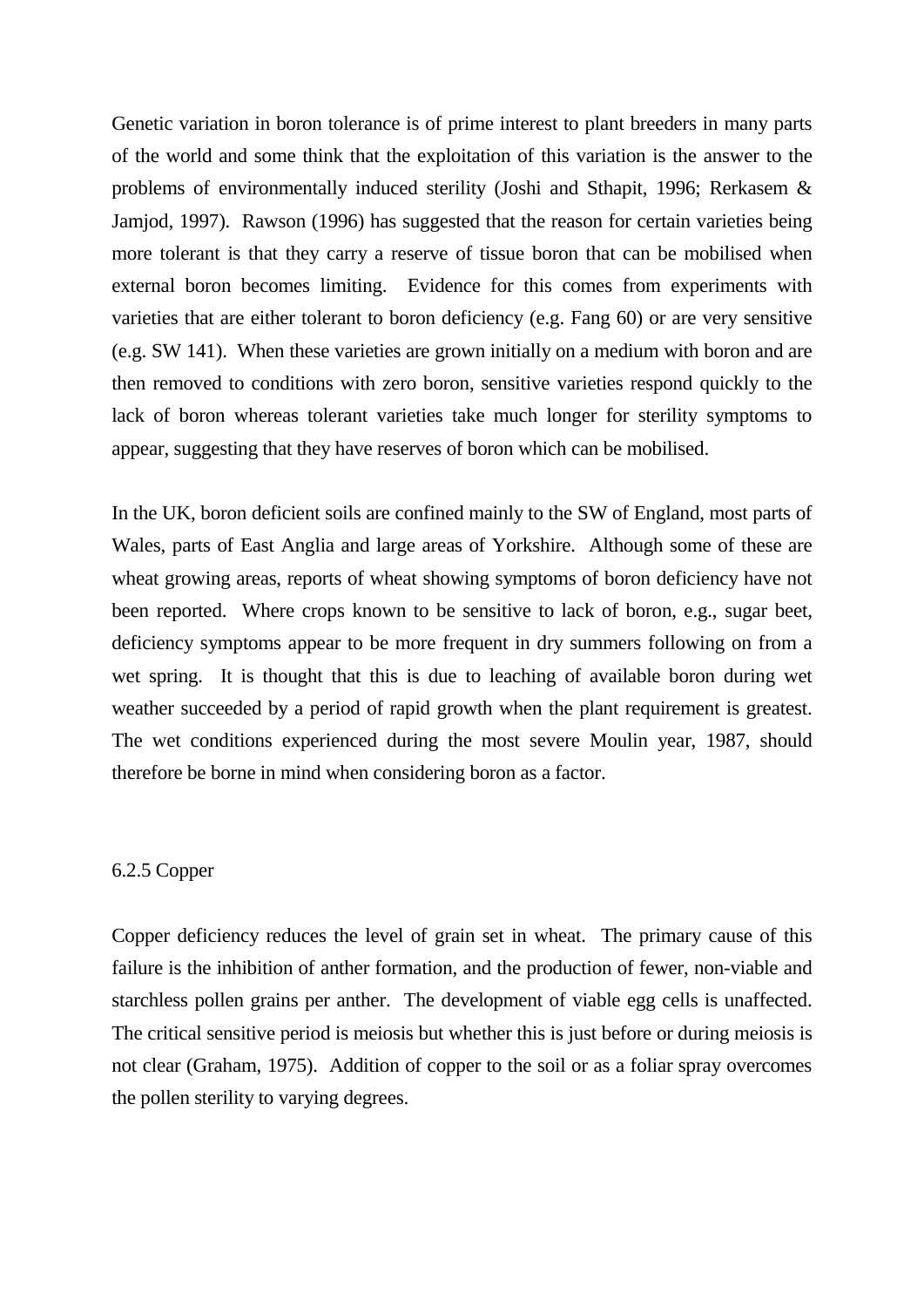Genetic variation in boron tolerance is of prime interest to plant breeders in many parts of the world and some think that the exploitation of this variation is the answer to the problems of environmentally induced sterility (Joshi and Sthapit, 1996; Rerkasem & Jamjod, 1997). Rawson (1996) has suggested that the reason for certain varieties being more tolerant is that they carry a reserve of tissue boron that can be mobilised when external boron becomes limiting. Evidence for this comes from experiments with varieties that are either tolerant to boron deficiency (e.g. Fang 60) or are very sensitive (e.g. SW 141). When these varieties are grown initially on a medium with boron and are then removed to conditions with zero boron, sensitive varieties respond quickly to the lack of boron whereas tolerant varieties take much longer for sterility symptoms to appear, suggesting that they have reserves of boron which can be mobilised.

In the UK, boron deficient soils are confined mainly to the SW of England, most parts of Wales, parts of East Anglia and large areas of Yorkshire. Although some of these are wheat growing areas, reports of wheat showing symptoms of boron deficiency have not been reported. Where crops known to be sensitive to lack of boron, e.g., sugar beet, deficiency symptoms appear to be more frequent in dry summers following on from a wet spring. It is thought that this is due to leaching of available boron during wet weather succeeded by a period of rapid growth when the plant requirement is greatest. The wet conditions experienced during the most severe Moulin year, 1987, should therefore be borne in mind when considering boron as a factor.

### 6.2.5 Copper

Copper deficiency reduces the level of grain set in wheat. The primary cause of this failure is the inhibition of anther formation, and the production of fewer, non-viable and starchless pollen grains per anther. The development of viable egg cells is unaffected. The critical sensitive period is meiosis but whether this is just before or during meiosis is not clear (Graham, 1975). Addition of copper to the soil or as a foliar spray overcomes the pollen sterility to varying degrees.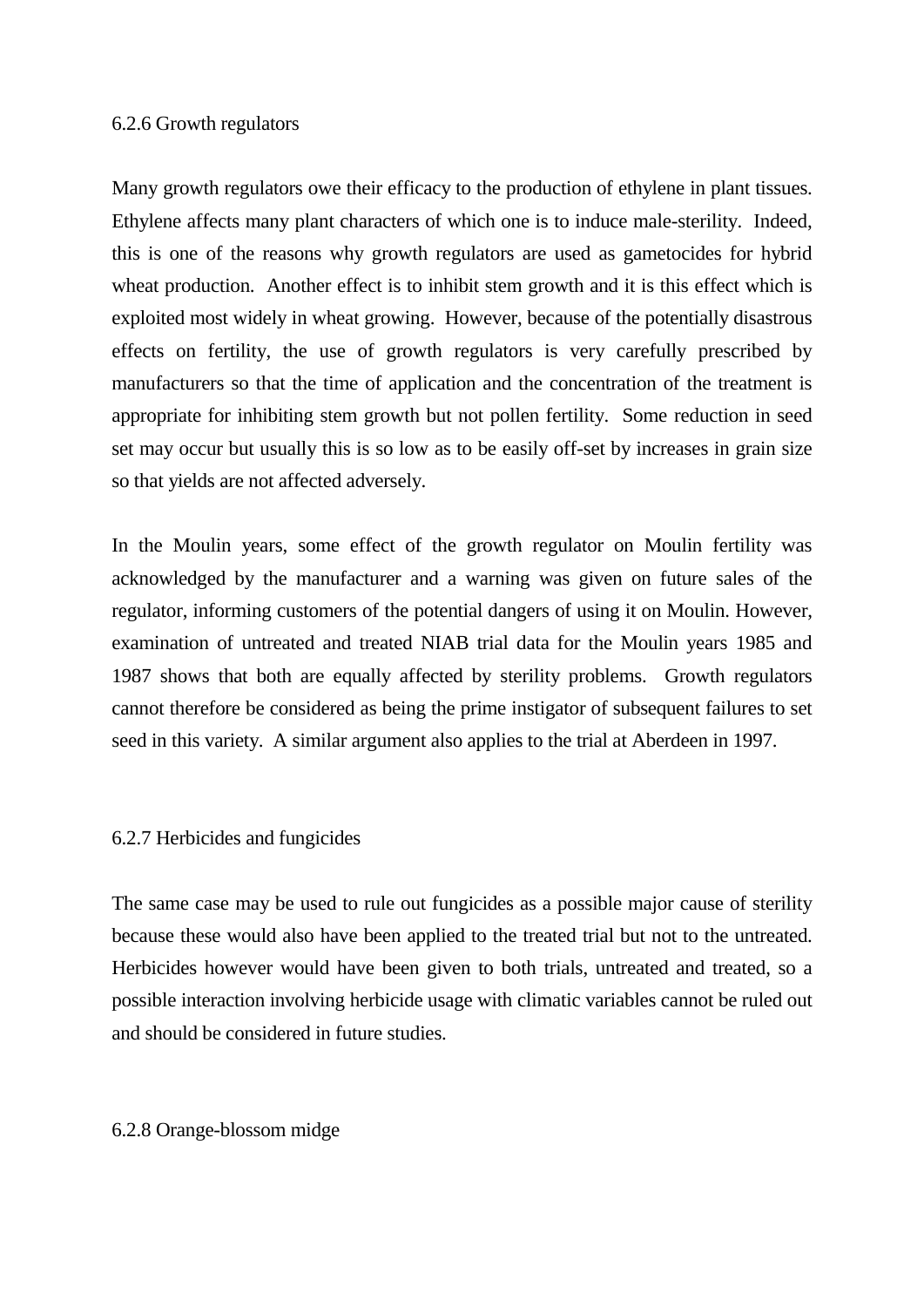## 6.2.6 Growth regulators

Many growth regulators owe their efficacy to the production of ethylene in plant tissues. Ethylene affects many plant characters of which one is to induce male-sterility. Indeed, this is one of the reasons why growth regulators are used as gametocides for hybrid wheat production. Another effect is to inhibit stem growth and it is this effect which is exploited most widely in wheat growing. However, because of the potentially disastrous effects on fertility, the use of growth regulators is very carefully prescribed by manufacturers so that the time of application and the concentration of the treatment is appropriate for inhibiting stem growth but not pollen fertility. Some reduction in seed set may occur but usually this is so low as to be easily off-set by increases in grain size so that yields are not affected adversely.

In the Moulin years, some effect of the growth regulator on Moulin fertility was acknowledged by the manufacturer and a warning was given on future sales of the regulator, informing customers of the potential dangers of using it on Moulin. However, examination of untreated and treated NIAB trial data for the Moulin years 1985 and 1987 shows that both are equally affected by sterility problems. Growth regulators cannot therefore be considered as being the prime instigator of subsequent failures to set seed in this variety. A similar argument also applies to the trial at Aberdeen in 1997.

# 6.2.7 Herbicides and fungicides

The same case may be used to rule out fungicides as a possible major cause of sterility because these would also have been applied to the treated trial but not to the untreated. Herbicides however would have been given to both trials, untreated and treated, so a possible interaction involving herbicide usage with climatic variables cannot be ruled out and should be considered in future studies.

### 6.2.8 Orange-blossom midge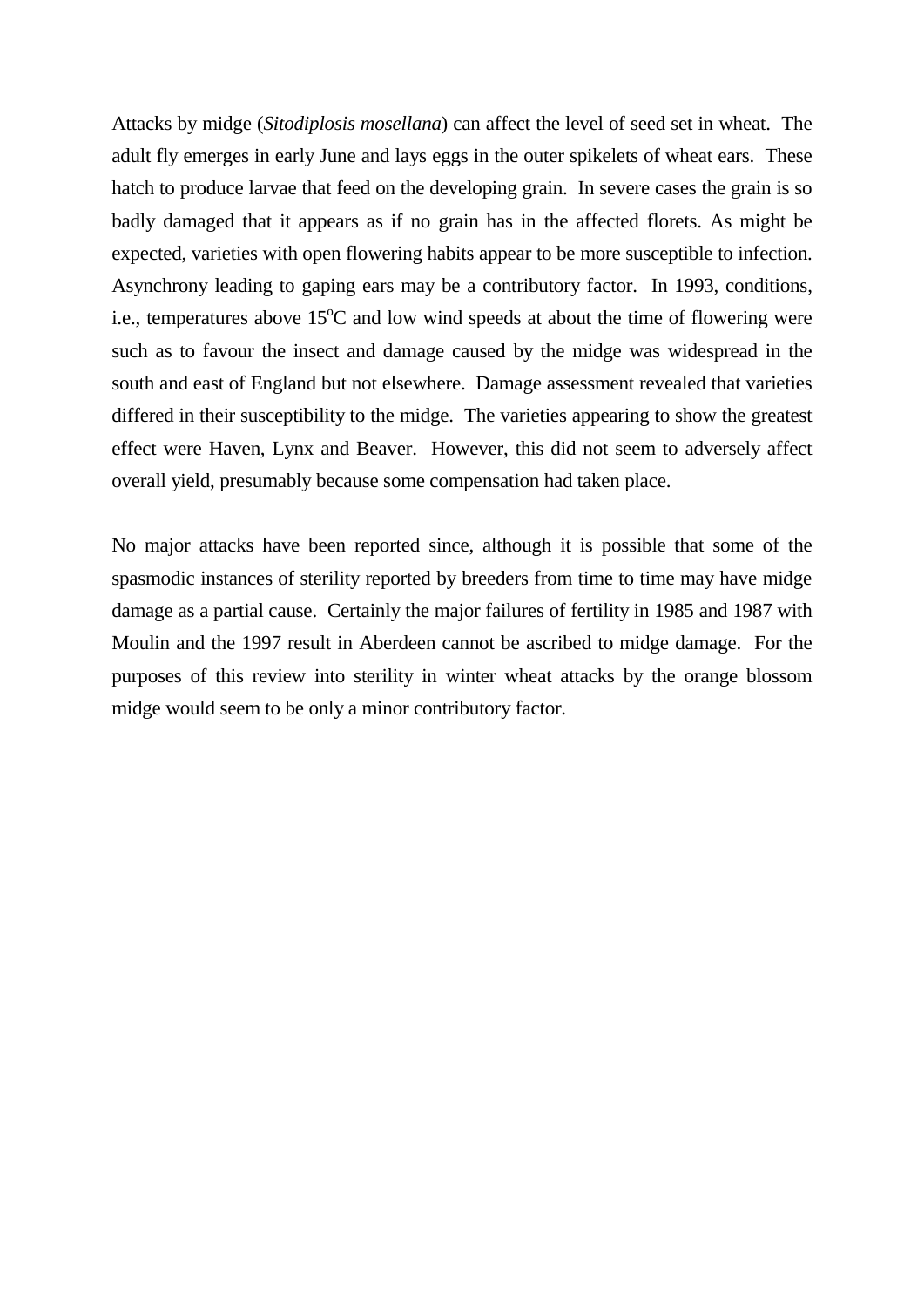Attacks by midge (*Sitodiplosis mosellana*) can affect the level of seed set in wheat. The adult fly emerges in early June and lays eggs in the outer spikelets of wheat ears. These hatch to produce larvae that feed on the developing grain. In severe cases the grain is so badly damaged that it appears as if no grain has in the affected florets. As might be expected, varieties with open flowering habits appear to be more susceptible to infection. Asynchrony leading to gaping ears may be a contributory factor. In 1993, conditions, i.e., temperatures above  $15^{\circ}$ C and low wind speeds at about the time of flowering were such as to favour the insect and damage caused by the midge was widespread in the south and east of England but not elsewhere. Damage assessment revealed that varieties differed in their susceptibility to the midge. The varieties appearing to show the greatest effect were Haven, Lynx and Beaver. However, this did not seem to adversely affect overall yield, presumably because some compensation had taken place.

No major attacks have been reported since, although it is possible that some of the spasmodic instances of sterility reported by breeders from time to time may have midge damage as a partial cause. Certainly the major failures of fertility in 1985 and 1987 with Moulin and the 1997 result in Aberdeen cannot be ascribed to midge damage. For the purposes of this review into sterility in winter wheat attacks by the orange blossom midge would seem to be only a minor contributory factor.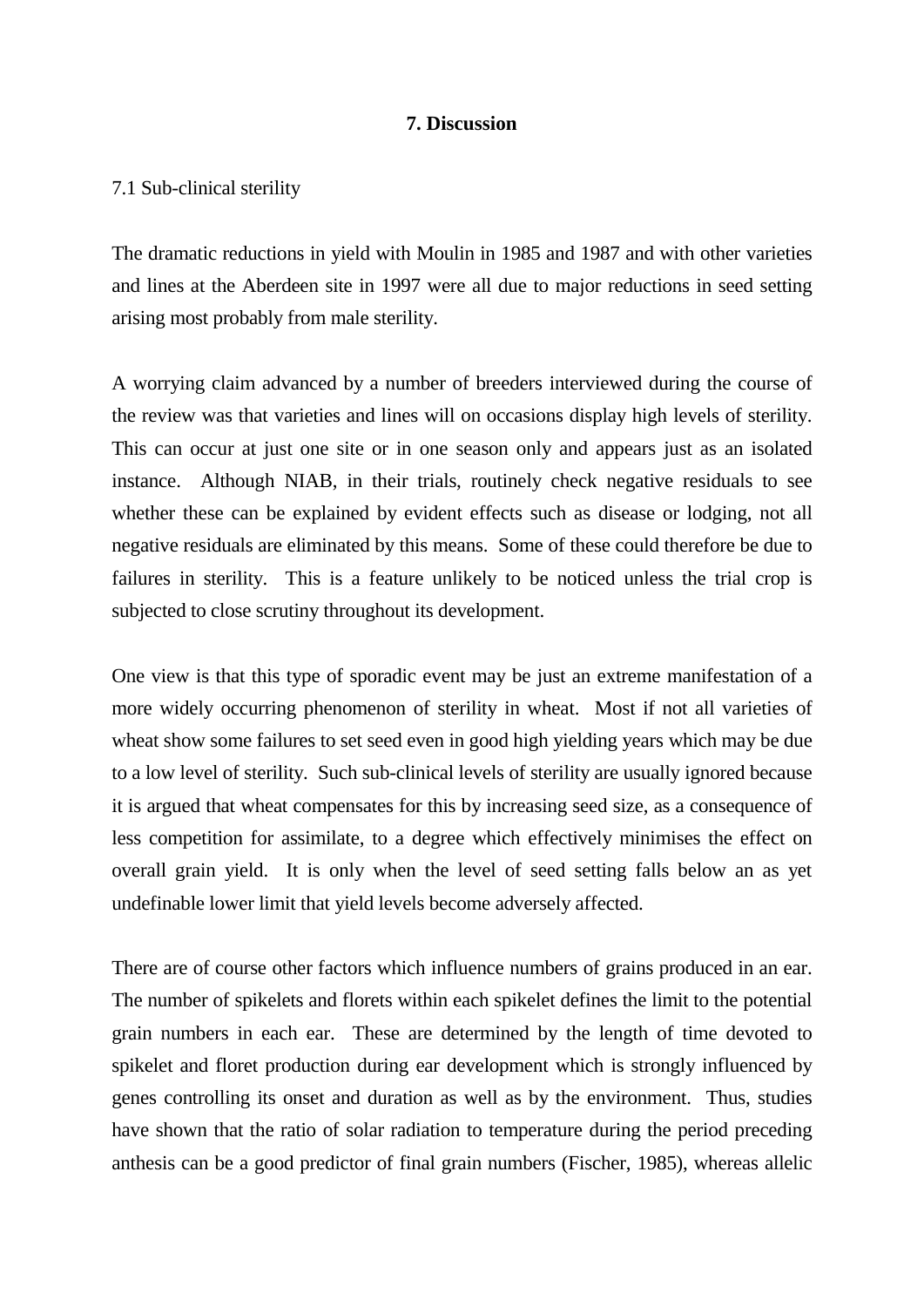# **7. Discussion**

# 7.1 Sub-clinical sterility

The dramatic reductions in yield with Moulin in 1985 and 1987 and with other varieties and lines at the Aberdeen site in 1997 were all due to major reductions in seed setting arising most probably from male sterility.

A worrying claim advanced by a number of breeders interviewed during the course of the review was that varieties and lines will on occasions display high levels of sterility. This can occur at just one site or in one season only and appears just as an isolated instance. Although NIAB, in their trials, routinely check negative residuals to see whether these can be explained by evident effects such as disease or lodging, not all negative residuals are eliminated by this means. Some of these could therefore be due to failures in sterility. This is a feature unlikely to be noticed unless the trial crop is subjected to close scrutiny throughout its development.

One view is that this type of sporadic event may be just an extreme manifestation of a more widely occurring phenomenon of sterility in wheat. Most if not all varieties of wheat show some failures to set seed even in good high yielding years which may be due to a low level of sterility. Such sub-clinical levels of sterility are usually ignored because it is argued that wheat compensates for this by increasing seed size, as a consequence of less competition for assimilate, to a degree which effectively minimises the effect on overall grain yield. It is only when the level of seed setting falls below an as yet undefinable lower limit that yield levels become adversely affected.

There are of course other factors which influence numbers of grains produced in an ear. The number of spikelets and florets within each spikelet defines the limit to the potential grain numbers in each ear. These are determined by the length of time devoted to spikelet and floret production during ear development which is strongly influenced by genes controlling its onset and duration as well as by the environment. Thus, studies have shown that the ratio of solar radiation to temperature during the period preceding anthesis can be a good predictor of final grain numbers (Fischer, 1985), whereas allelic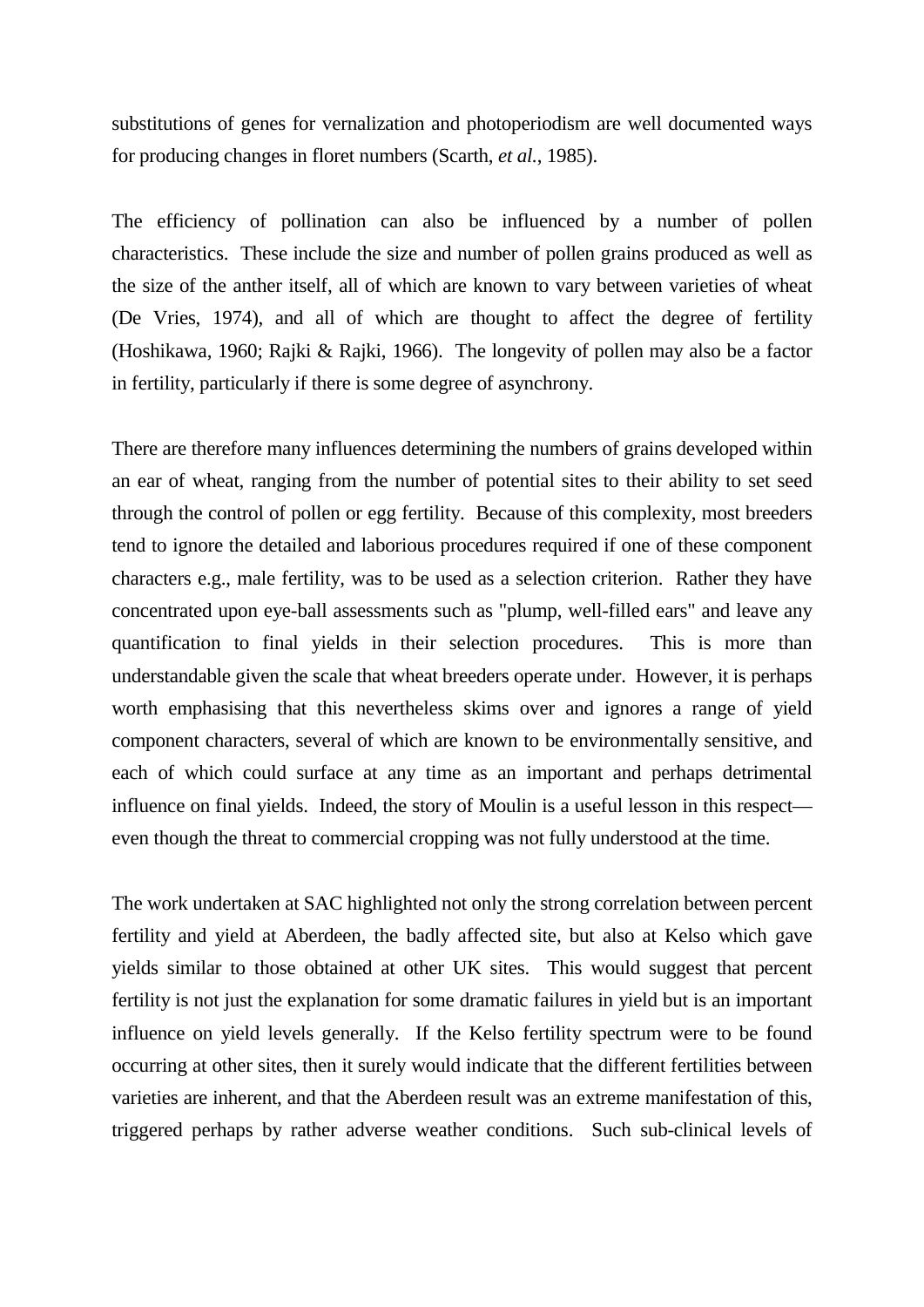substitutions of genes for vernalization and photoperiodism are well documented ways for producing changes in floret numbers (Scarth, *et al.*, 1985).

The efficiency of pollination can also be influenced by a number of pollen characteristics. These include the size and number of pollen grains produced as well as the size of the anther itself, all of which are known to vary between varieties of wheat (De Vries, 1974), and all of which are thought to affect the degree of fertility (Hoshikawa, 1960; Rajki & Rajki, 1966). The longevity of pollen may also be a factor in fertility, particularly if there is some degree of asynchrony.

There are therefore many influences determining the numbers of grains developed within an ear of wheat, ranging from the number of potential sites to their ability to set seed through the control of pollen or egg fertility. Because of this complexity, most breeders tend to ignore the detailed and laborious procedures required if one of these component characters e.g., male fertility, was to be used as a selection criterion. Rather they have concentrated upon eye-ball assessments such as "plump, well-filled ears" and leave any quantification to final yields in their selection procedures. This is more than understandable given the scale that wheat breeders operate under. However, it is perhaps worth emphasising that this nevertheless skims over and ignores a range of yield component characters, several of which are known to be environmentally sensitive, and each of which could surface at any time as an important and perhaps detrimental influence on final yields. Indeed, the story of Moulin is a useful lesson in this respect even though the threat to commercial cropping was not fully understood at the time.

The work undertaken at SAC highlighted not only the strong correlation between percent fertility and yield at Aberdeen, the badly affected site, but also at Kelso which gave yields similar to those obtained at other UK sites. This would suggest that percent fertility is not just the explanation for some dramatic failures in yield but is an important influence on yield levels generally. If the Kelso fertility spectrum were to be found occurring at other sites, then it surely would indicate that the different fertilities between varieties are inherent, and that the Aberdeen result was an extreme manifestation of this, triggered perhaps by rather adverse weather conditions. Such sub-clinical levels of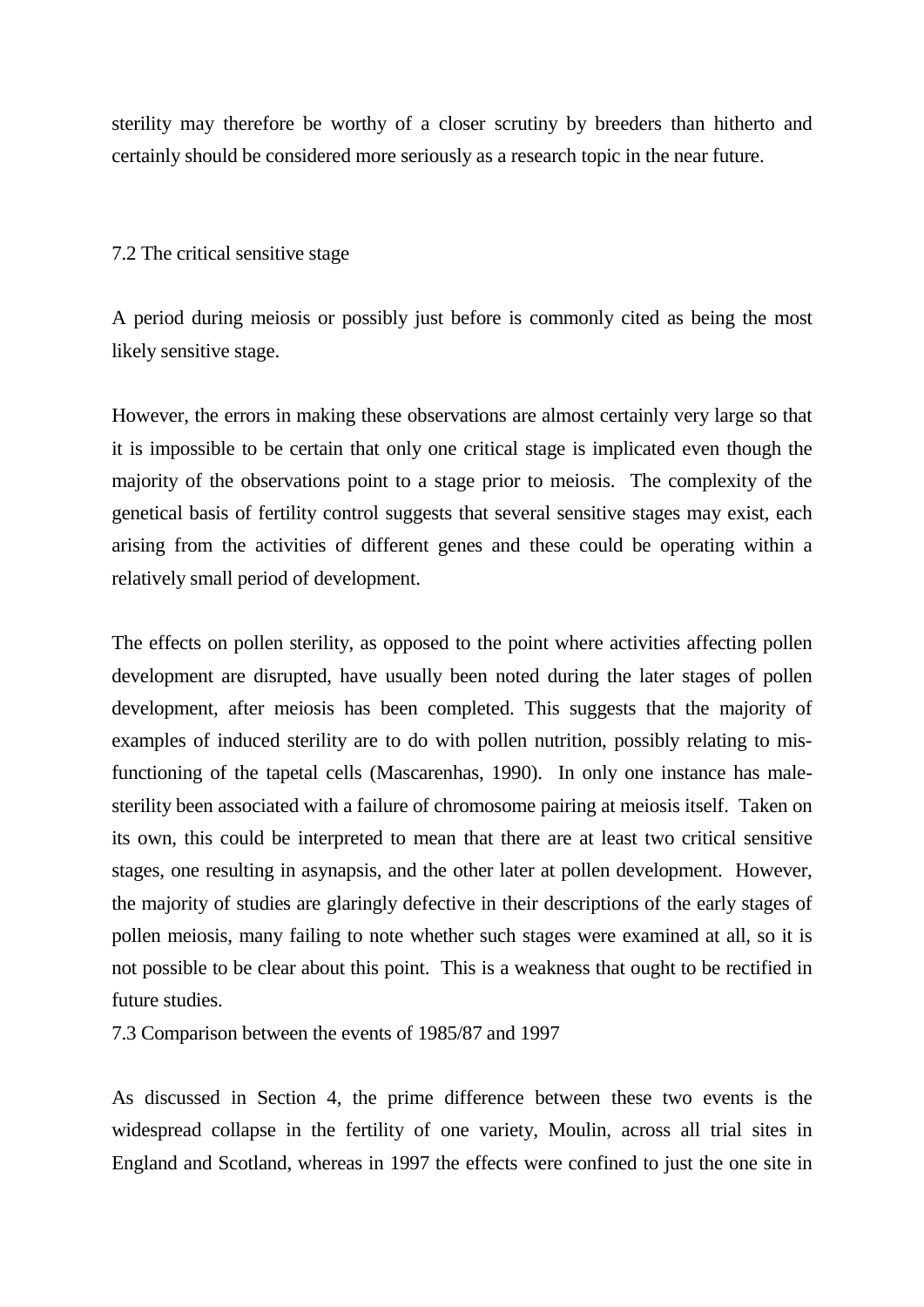sterility may therefore be worthy of a closer scrutiny by breeders than hitherto and certainly should be considered more seriously as a research topic in the near future.

# 7.2 The critical sensitive stage

A period during meiosis or possibly just before is commonly cited as being the most likely sensitive stage.

However, the errors in making these observations are almost certainly very large so that it is impossible to be certain that only one critical stage is implicated even though the majority of the observations point to a stage prior to meiosis. The complexity of the genetical basis of fertility control suggests that several sensitive stages may exist, each arising from the activities of different genes and these could be operating within a relatively small period of development.

The effects on pollen sterility, as opposed to the point where activities affecting pollen development are disrupted, have usually been noted during the later stages of pollen development, after meiosis has been completed. This suggests that the majority of examples of induced sterility are to do with pollen nutrition, possibly relating to misfunctioning of the tapetal cells (Mascarenhas, 1990). In only one instance has malesterility been associated with a failure of chromosome pairing at meiosis itself. Taken on its own, this could be interpreted to mean that there are at least two critical sensitive stages, one resulting in asynapsis, and the other later at pollen development. However, the majority of studies are glaringly defective in their descriptions of the early stages of pollen meiosis, many failing to note whether such stages were examined at all, so it is not possible to be clear about this point. This is a weakness that ought to be rectified in future studies.

7.3 Comparison between the events of 1985/87 and 1997

As discussed in Section 4, the prime difference between these two events is the widespread collapse in the fertility of one variety, Moulin, across all trial sites in England and Scotland, whereas in 1997 the effects were confined to just the one site in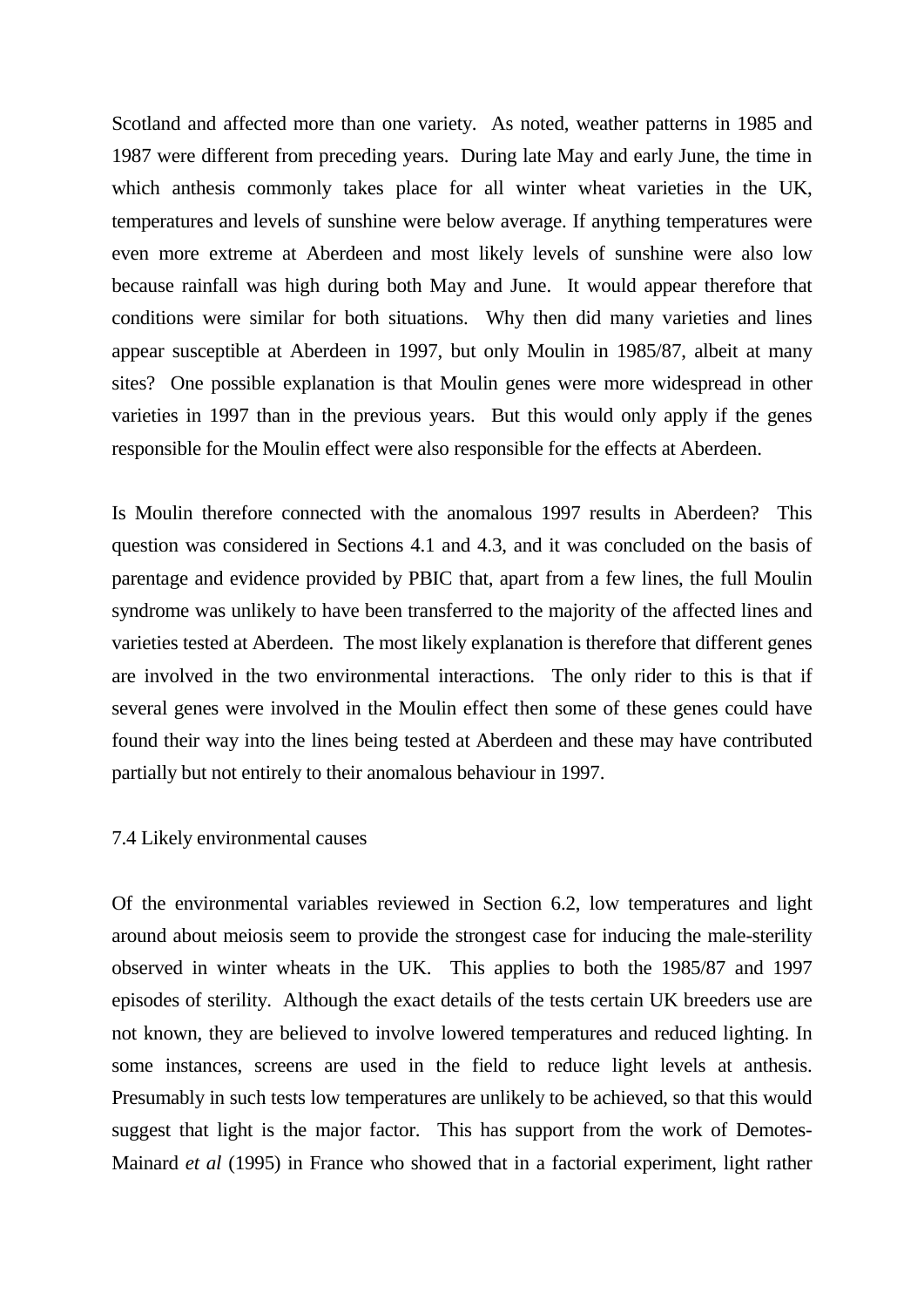Scotland and affected more than one variety. As noted, weather patterns in 1985 and 1987 were different from preceding years. During late May and early June, the time in which anthesis commonly takes place for all winter wheat varieties in the UK, temperatures and levels of sunshine were below average. If anything temperatures were even more extreme at Aberdeen and most likely levels of sunshine were also low because rainfall was high during both May and June. It would appear therefore that conditions were similar for both situations. Why then did many varieties and lines appear susceptible at Aberdeen in 1997, but only Moulin in 1985/87, albeit at many sites? One possible explanation is that Moulin genes were more widespread in other varieties in 1997 than in the previous years. But this would only apply if the genes responsible for the Moulin effect were also responsible for the effects at Aberdeen.

Is Moulin therefore connected with the anomalous 1997 results in Aberdeen? This question was considered in Sections 4.1 and 4.3, and it was concluded on the basis of parentage and evidence provided by PBIC that, apart from a few lines, the full Moulin syndrome was unlikely to have been transferred to the majority of the affected lines and varieties tested at Aberdeen. The most likely explanation is therefore that different genes are involved in the two environmental interactions. The only rider to this is that if several genes were involved in the Moulin effect then some of these genes could have found their way into the lines being tested at Aberdeen and these may have contributed partially but not entirely to their anomalous behaviour in 1997.

### 7.4 Likely environmental causes

Of the environmental variables reviewed in Section 6.2, low temperatures and light around about meiosis seem to provide the strongest case for inducing the male-sterility observed in winter wheats in the UK. This applies to both the 1985/87 and 1997 episodes of sterility. Although the exact details of the tests certain UK breeders use are not known, they are believed to involve lowered temperatures and reduced lighting. In some instances, screens are used in the field to reduce light levels at anthesis. Presumably in such tests low temperatures are unlikely to be achieved, so that this would suggest that light is the major factor. This has support from the work of Demotes-Mainard *et al* (1995) in France who showed that in a factorial experiment, light rather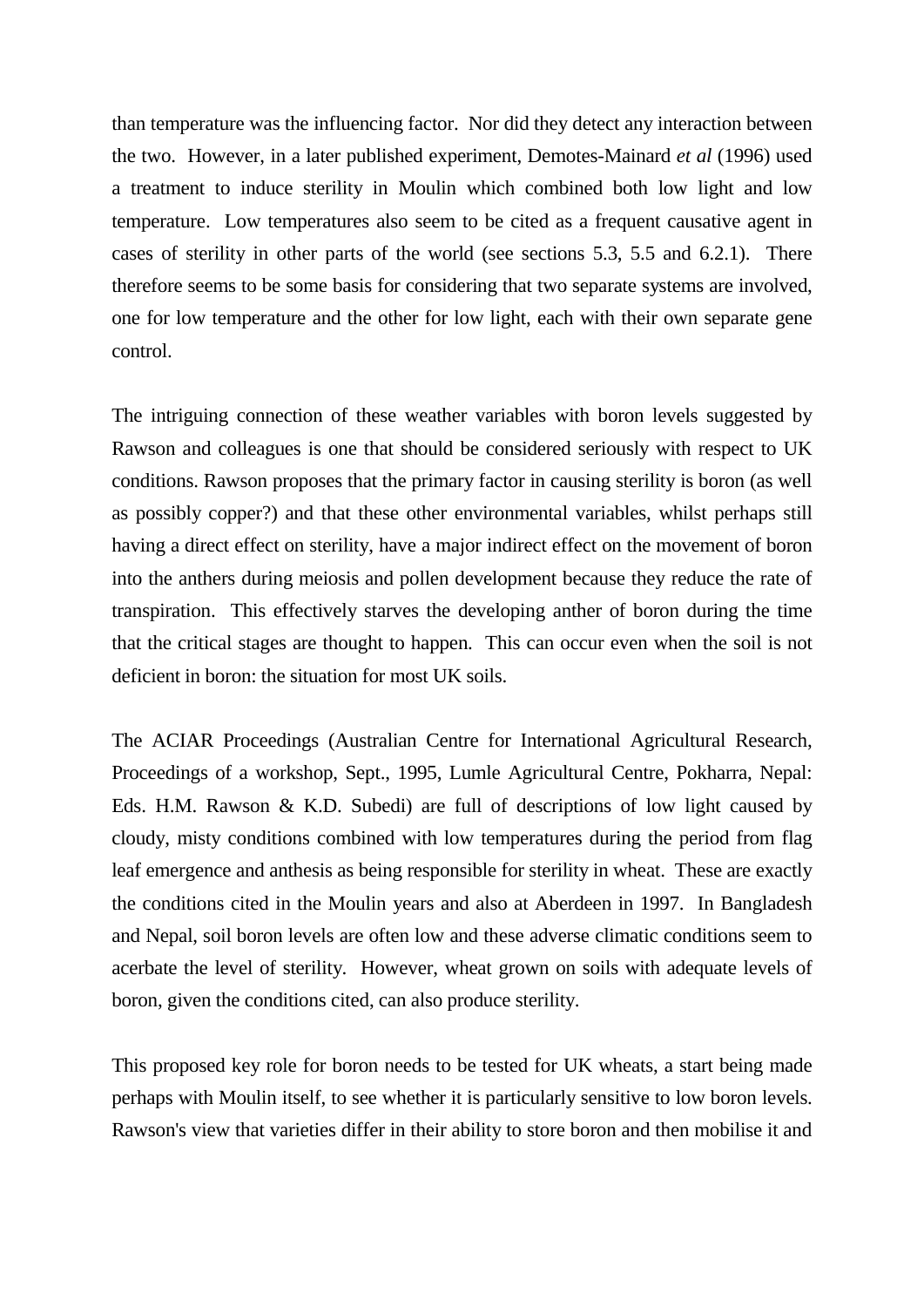than temperature was the influencing factor. Nor did they detect any interaction between the two. However, in a later published experiment, Demotes-Mainard *et al* (1996) used a treatment to induce sterility in Moulin which combined both low light and low temperature. Low temperatures also seem to be cited as a frequent causative agent in cases of sterility in other parts of the world (see sections 5.3, 5.5 and 6.2.1). There therefore seems to be some basis for considering that two separate systems are involved, one for low temperature and the other for low light, each with their own separate gene control.

The intriguing connection of these weather variables with boron levels suggested by Rawson and colleagues is one that should be considered seriously with respect to UK conditions. Rawson proposes that the primary factor in causing sterility is boron (as well as possibly copper?) and that these other environmental variables, whilst perhaps still having a direct effect on sterility, have a major indirect effect on the movement of boron into the anthers during meiosis and pollen development because they reduce the rate of transpiration. This effectively starves the developing anther of boron during the time that the critical stages are thought to happen. This can occur even when the soil is not deficient in boron: the situation for most UK soils.

The ACIAR Proceedings (Australian Centre for International Agricultural Research, Proceedings of a workshop, Sept., 1995, Lumle Agricultural Centre, Pokharra, Nepal: Eds. H.M. Rawson & K.D. Subedi) are full of descriptions of low light caused by cloudy, misty conditions combined with low temperatures during the period from flag leaf emergence and anthesis as being responsible for sterility in wheat. These are exactly the conditions cited in the Moulin years and also at Aberdeen in 1997. In Bangladesh and Nepal, soil boron levels are often low and these adverse climatic conditions seem to acerbate the level of sterility. However, wheat grown on soils with adequate levels of boron, given the conditions cited, can also produce sterility.

This proposed key role for boron needs to be tested for UK wheats, a start being made perhaps with Moulin itself, to see whether it is particularly sensitive to low boron levels. Rawson's view that varieties differ in their ability to store boron and then mobilise it and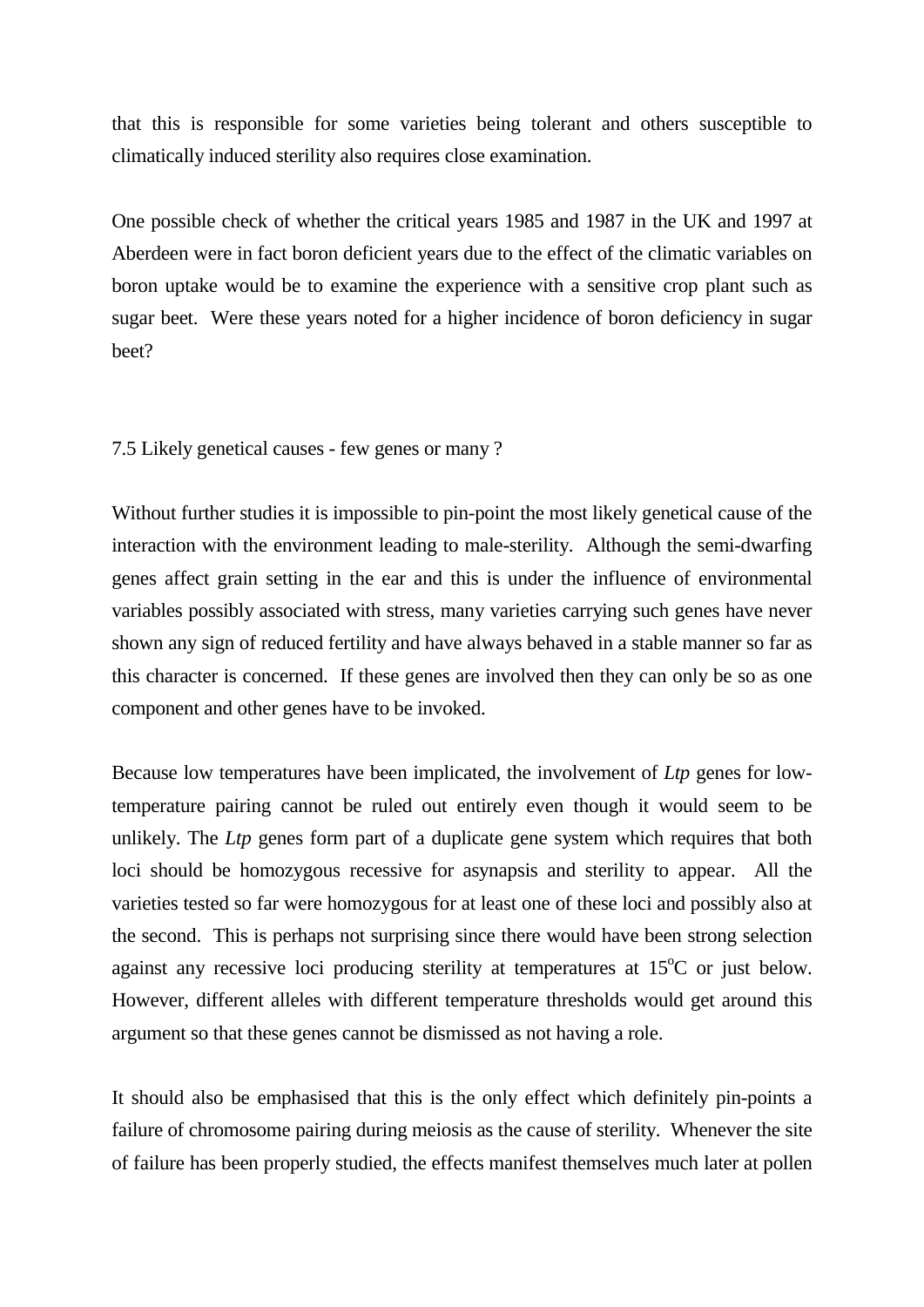that this is responsible for some varieties being tolerant and others susceptible to climatically induced sterility also requires close examination.

One possible check of whether the critical years 1985 and 1987 in the UK and 1997 at Aberdeen were in fact boron deficient years due to the effect of the climatic variables on boron uptake would be to examine the experience with a sensitive crop plant such as sugar beet. Were these years noted for a higher incidence of boron deficiency in sugar beet?

7.5 Likely genetical causes - few genes or many ?

Without further studies it is impossible to pin-point the most likely genetical cause of the interaction with the environment leading to male-sterility. Although the semi-dwarfing genes affect grain setting in the ear and this is under the influence of environmental variables possibly associated with stress, many varieties carrying such genes have never shown any sign of reduced fertility and have always behaved in a stable manner so far as this character is concerned. If these genes are involved then they can only be so as one component and other genes have to be invoked.

Because low temperatures have been implicated, the involvement of *Ltp* genes for lowtemperature pairing cannot be ruled out entirely even though it would seem to be unlikely. The *Ltp* genes form part of a duplicate gene system which requires that both loci should be homozygous recessive for asynapsis and sterility to appear. All the varieties tested so far were homozygous for at least one of these loci and possibly also at the second. This is perhaps not surprising since there would have been strong selection against any recessive loci producing sterility at temperatures at  $15^{\circ}$ C or just below. However, different alleles with different temperature thresholds would get around this argument so that these genes cannot be dismissed as not having a role.

It should also be emphasised that this is the only effect which definitely pin-points a failure of chromosome pairing during meiosis as the cause of sterility. Whenever the site of failure has been properly studied, the effects manifest themselves much later at pollen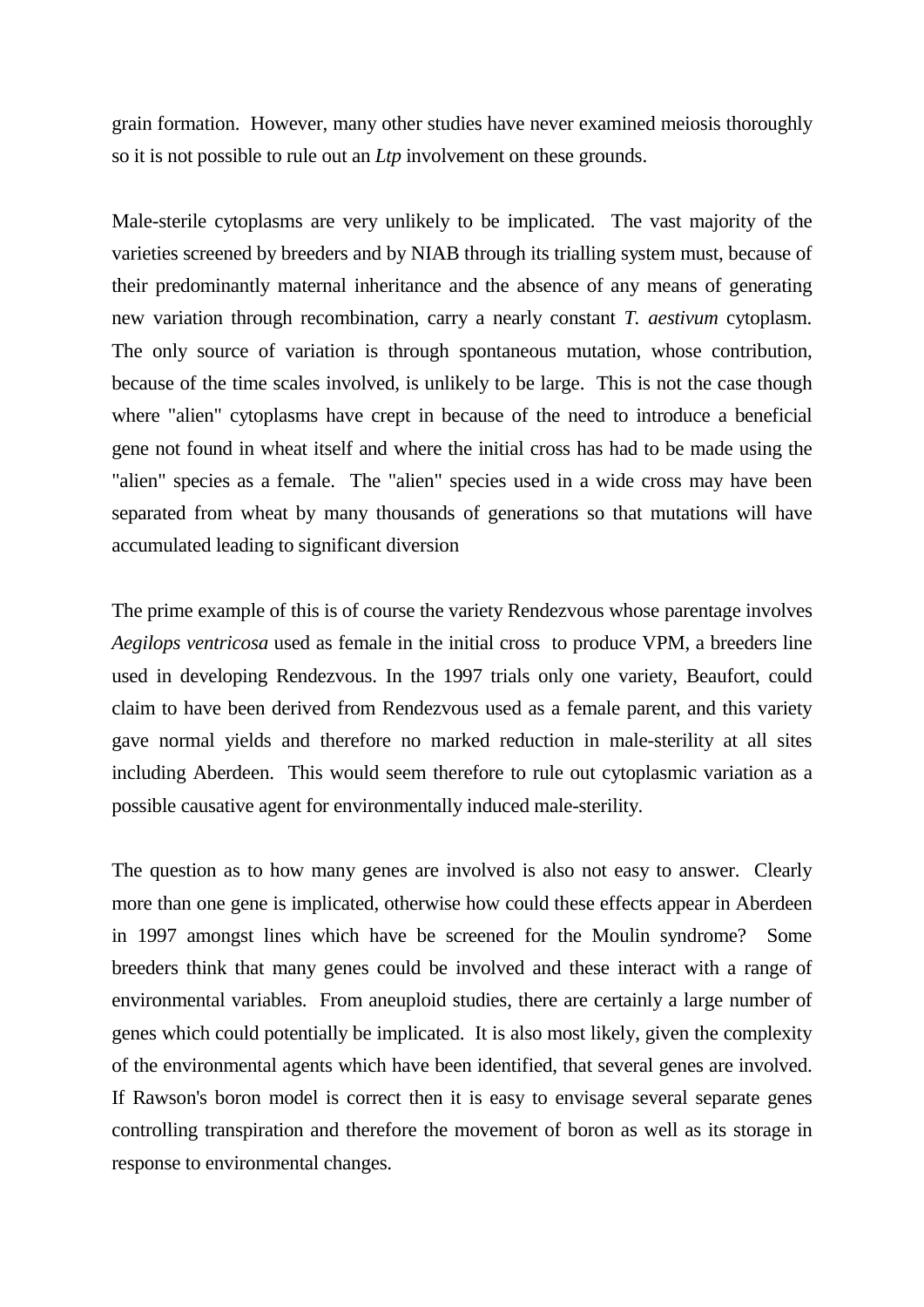grain formation. However, many other studies have never examined meiosis thoroughly so it is not possible to rule out an *Ltp* involvement on these grounds.

Male-sterile cytoplasms are very unlikely to be implicated. The vast majority of the varieties screened by breeders and by NIAB through its trialling system must, because of their predominantly maternal inheritance and the absence of any means of generating new variation through recombination, carry a nearly constant *T. aestivum* cytoplasm. The only source of variation is through spontaneous mutation, whose contribution, because of the time scales involved, is unlikely to be large. This is not the case though where "alien" cytoplasms have crept in because of the need to introduce a beneficial gene not found in wheat itself and where the initial cross has had to be made using the "alien" species as a female. The "alien" species used in a wide cross may have been separated from wheat by many thousands of generations so that mutations will have accumulated leading to significant diversion

The prime example of this is of course the variety Rendezvous whose parentage involves *Aegilops ventricosa* used as female in the initial cross to produce VPM, a breeders line used in developing Rendezvous. In the 1997 trials only one variety, Beaufort, could claim to have been derived from Rendezvous used as a female parent, and this variety gave normal yields and therefore no marked reduction in male-sterility at all sites including Aberdeen. This would seem therefore to rule out cytoplasmic variation as a possible causative agent for environmentally induced male-sterility.

The question as to how many genes are involved is also not easy to answer. Clearly more than one gene is implicated, otherwise how could these effects appear in Aberdeen in 1997 amongst lines which have be screened for the Moulin syndrome? Some breeders think that many genes could be involved and these interact with a range of environmental variables. From aneuploid studies, there are certainly a large number of genes which could potentially be implicated. It is also most likely, given the complexity of the environmental agents which have been identified, that several genes are involved. If Rawson's boron model is correct then it is easy to envisage several separate genes controlling transpiration and therefore the movement of boron as well as its storage in response to environmental changes.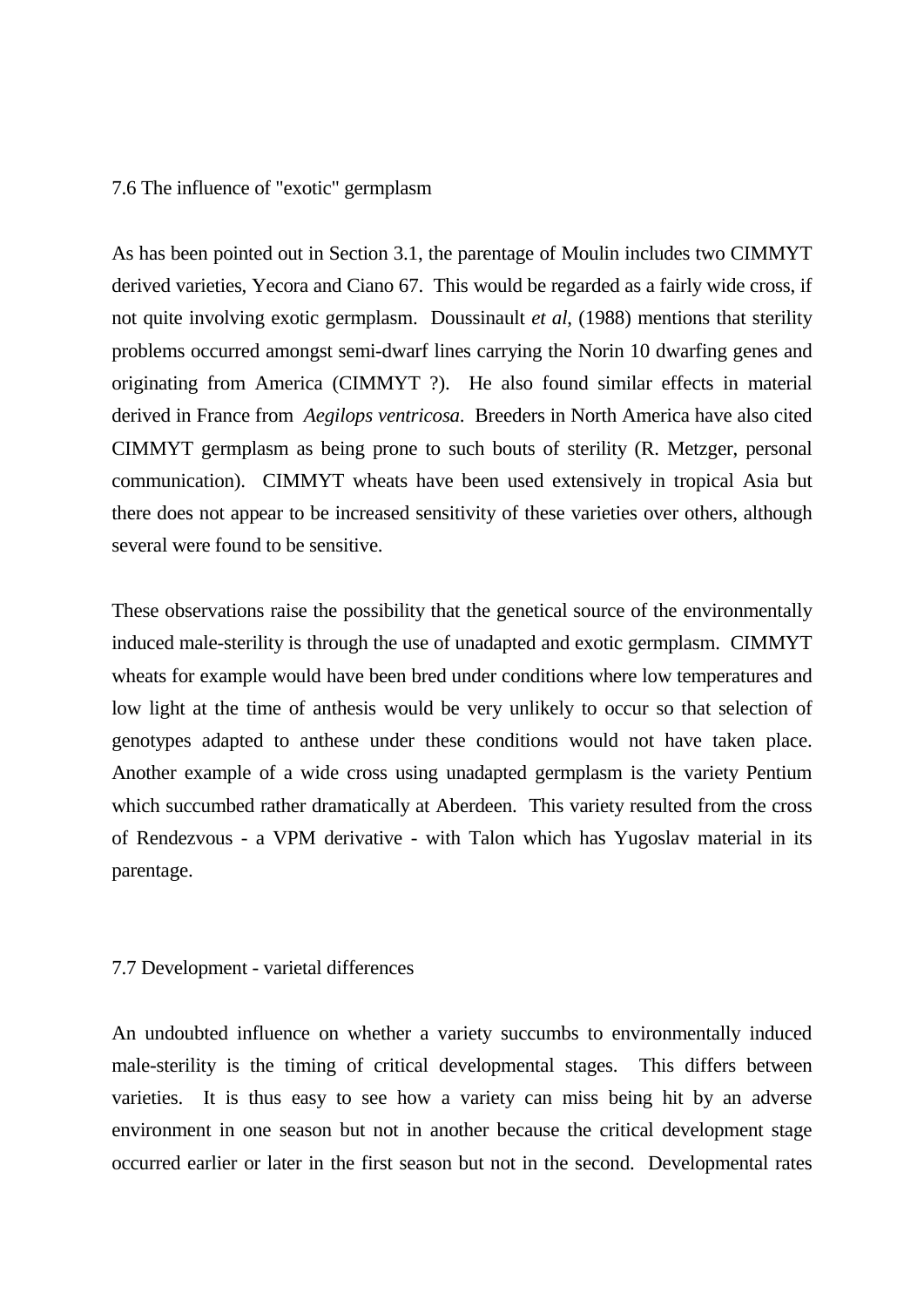# 7.6 The influence of "exotic" germplasm

As has been pointed out in Section 3.1, the parentage of Moulin includes two CIMMYT derived varieties, Yecora and Ciano 67. This would be regarded as a fairly wide cross, if not quite involving exotic germplasm. Doussinault *et al*, (1988) mentions that sterility problems occurred amongst semi-dwarf lines carrying the Norin 10 dwarfing genes and originating from America (CIMMYT ?). He also found similar effects in material derived in France from *Aegilops ventricosa*. Breeders in North America have also cited CIMMYT germplasm as being prone to such bouts of sterility (R. Metzger, personal communication). CIMMYT wheats have been used extensively in tropical Asia but there does not appear to be increased sensitivity of these varieties over others, although several were found to be sensitive.

These observations raise the possibility that the genetical source of the environmentally induced male-sterility is through the use of unadapted and exotic germplasm. CIMMYT wheats for example would have been bred under conditions where low temperatures and low light at the time of anthesis would be very unlikely to occur so that selection of genotypes adapted to anthese under these conditions would not have taken place. Another example of a wide cross using unadapted germplasm is the variety Pentium which succumbed rather dramatically at Aberdeen. This variety resulted from the cross of Rendezvous - a VPM derivative - with Talon which has Yugoslav material in its parentage.

#### 7.7 Development - varietal differences

An undoubted influence on whether a variety succumbs to environmentally induced male-sterility is the timing of critical developmental stages. This differs between varieties. It is thus easy to see how a variety can miss being hit by an adverse environment in one season but not in another because the critical development stage occurred earlier or later in the first season but not in the second. Developmental rates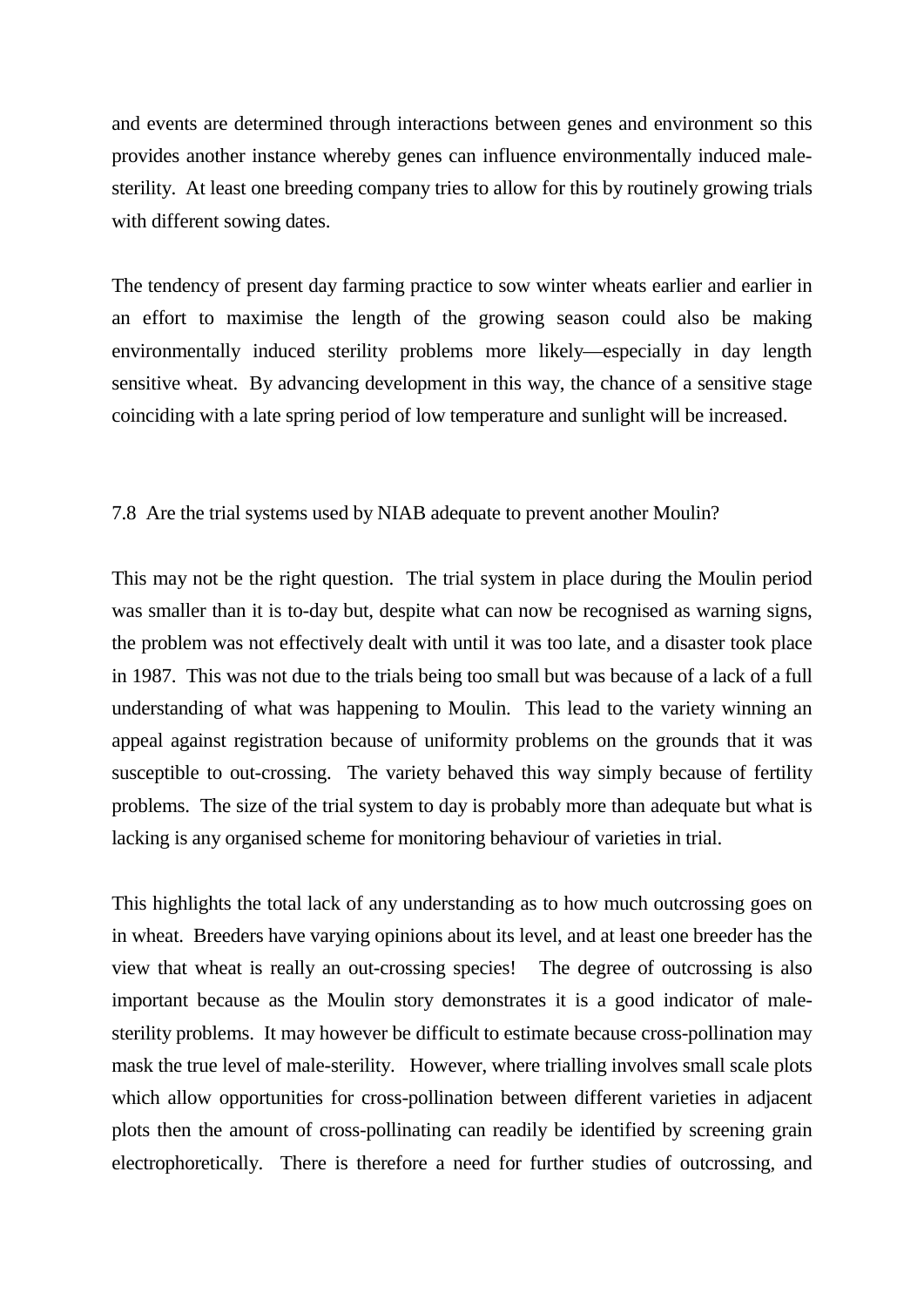and events are determined through interactions between genes and environment so this provides another instance whereby genes can influence environmentally induced malesterility. At least one breeding company tries to allow for this by routinely growing trials with different sowing dates.

The tendency of present day farming practice to sow winter wheats earlier and earlier in an effort to maximise the length of the growing season could also be making environmentally induced sterility problems more likely—especially in day length sensitive wheat. By advancing development in this way, the chance of a sensitive stage coinciding with a late spring period of low temperature and sunlight will be increased.

# 7.8 Are the trial systems used by NIAB adequate to prevent another Moulin?

This may not be the right question. The trial system in place during the Moulin period was smaller than it is to-day but, despite what can now be recognised as warning signs, the problem was not effectively dealt with until it was too late, and a disaster took place in 1987. This was not due to the trials being too small but was because of a lack of a full understanding of what was happening to Moulin. This lead to the variety winning an appeal against registration because of uniformity problems on the grounds that it was susceptible to out-crossing. The variety behaved this way simply because of fertility problems. The size of the trial system to day is probably more than adequate but what is lacking is any organised scheme for monitoring behaviour of varieties in trial.

This highlights the total lack of any understanding as to how much outcrossing goes on in wheat. Breeders have varying opinions about its level, and at least one breeder has the view that wheat is really an out-crossing species! The degree of outcrossing is also important because as the Moulin story demonstrates it is a good indicator of malesterility problems. It may however be difficult to estimate because cross-pollination may mask the true level of male-sterility. However, where trialling involves small scale plots which allow opportunities for cross-pollination between different varieties in adjacent plots then the amount of cross-pollinating can readily be identified by screening grain electrophoretically. There is therefore a need for further studies of outcrossing, and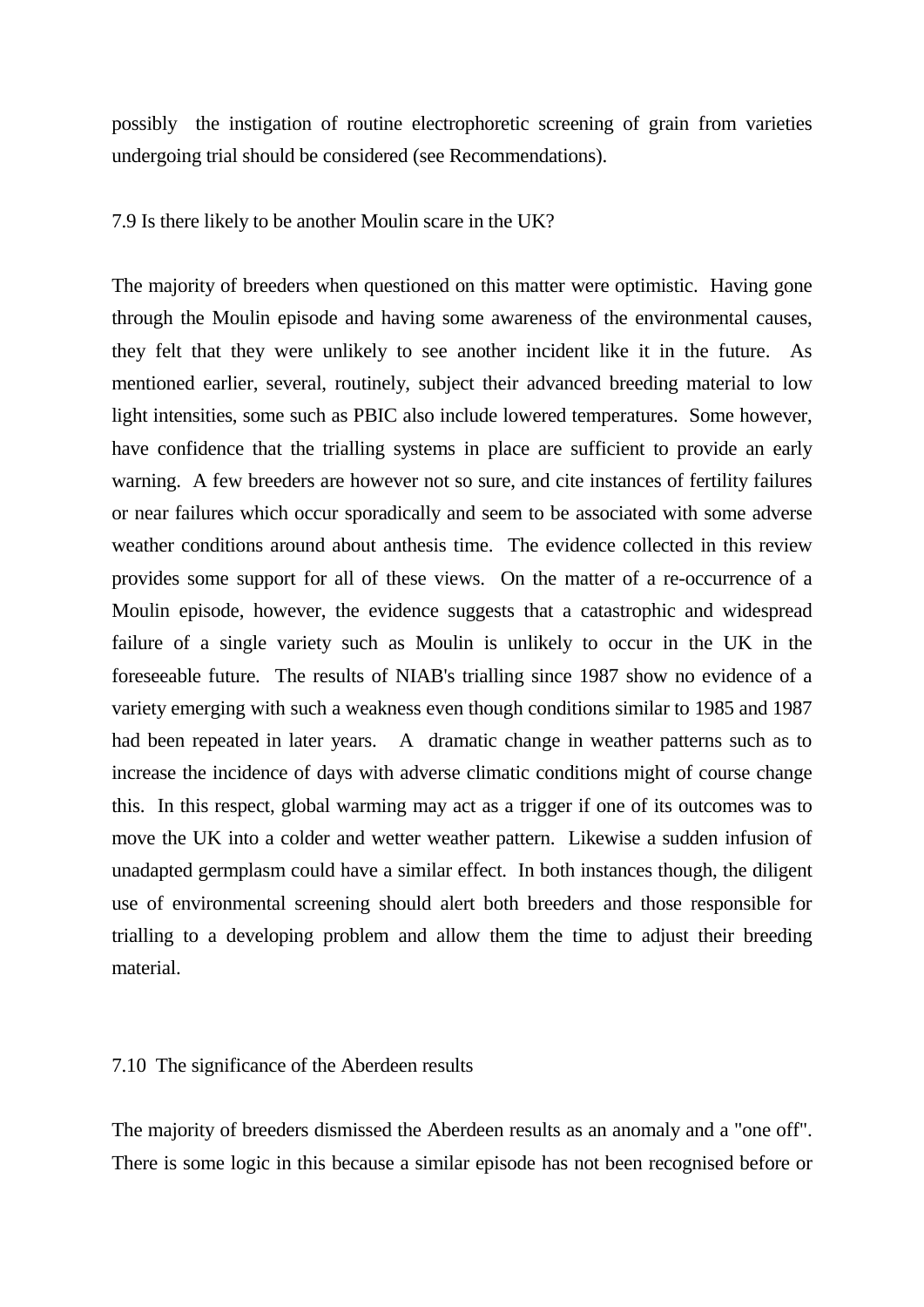possibly the instigation of routine electrophoretic screening of grain from varieties undergoing trial should be considered (see Recommendations).

7.9 Is there likely to be another Moulin scare in the UK?

The majority of breeders when questioned on this matter were optimistic. Having gone through the Moulin episode and having some awareness of the environmental causes, they felt that they were unlikely to see another incident like it in the future. As mentioned earlier, several, routinely, subject their advanced breeding material to low light intensities, some such as PBIC also include lowered temperatures. Some however, have confidence that the trialling systems in place are sufficient to provide an early warning. A few breeders are however not so sure, and cite instances of fertility failures or near failures which occur sporadically and seem to be associated with some adverse weather conditions around about anthesis time. The evidence collected in this review provides some support for all of these views. On the matter of a re-occurrence of a Moulin episode, however, the evidence suggests that a catastrophic and widespread failure of a single variety such as Moulin is unlikely to occur in the UK in the foreseeable future. The results of NIAB's trialling since 1987 show no evidence of a variety emerging with such a weakness even though conditions similar to 1985 and 1987 had been repeated in later years. A dramatic change in weather patterns such as to increase the incidence of days with adverse climatic conditions might of course change this. In this respect, global warming may act as a trigger if one of its outcomes was to move the UK into a colder and wetter weather pattern. Likewise a sudden infusion of unadapted germplasm could have a similar effect. In both instances though, the diligent use of environmental screening should alert both breeders and those responsible for trialling to a developing problem and allow them the time to adjust their breeding material.

# 7.10 The significance of the Aberdeen results

The majority of breeders dismissed the Aberdeen results as an anomaly and a "one off". There is some logic in this because a similar episode has not been recognised before or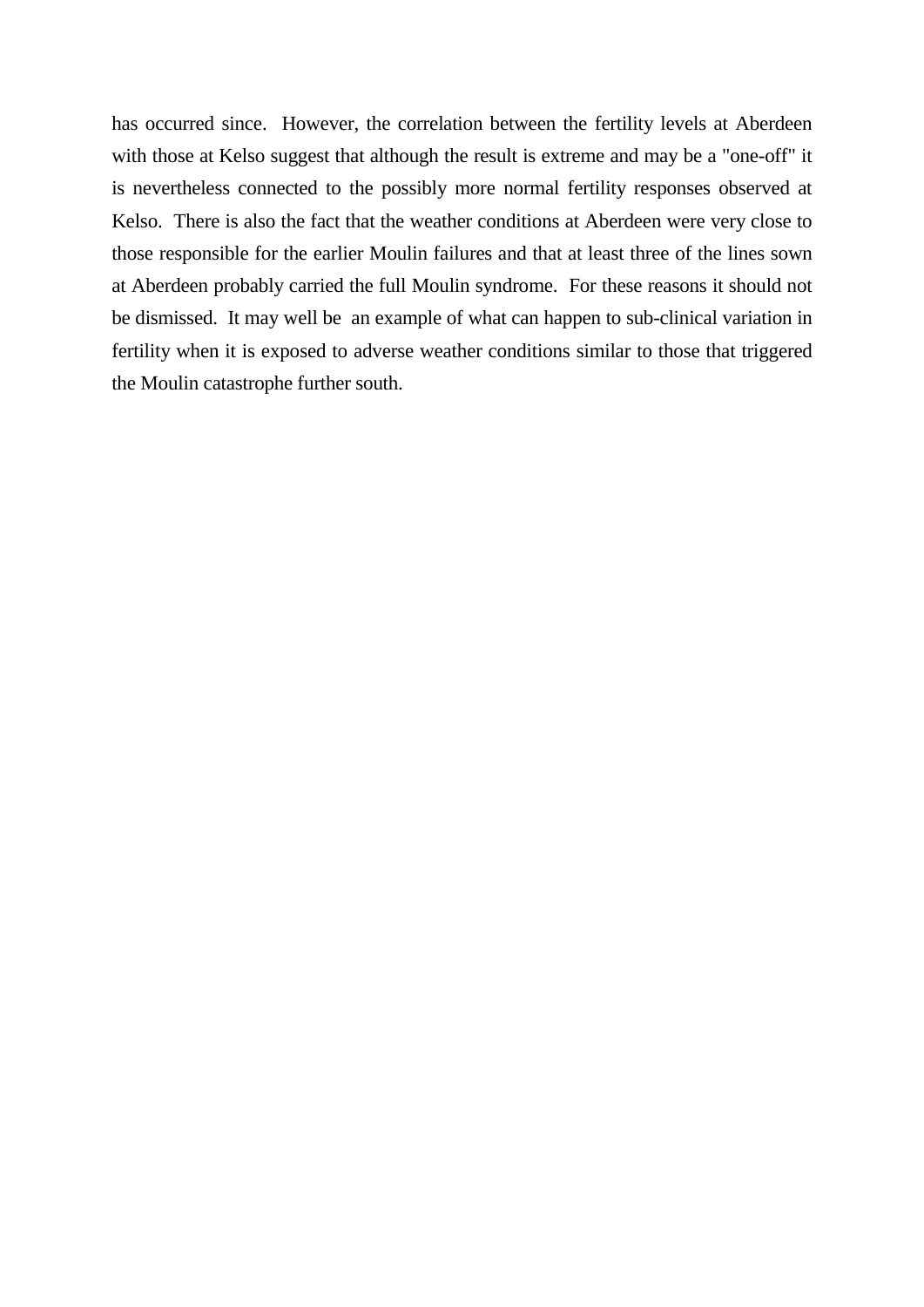has occurred since. However, the correlation between the fertility levels at Aberdeen with those at Kelso suggest that although the result is extreme and may be a "one-off" it is nevertheless connected to the possibly more normal fertility responses observed at Kelso. There is also the fact that the weather conditions at Aberdeen were very close to those responsible for the earlier Moulin failures and that at least three of the lines sown at Aberdeen probably carried the full Moulin syndrome. For these reasons it should not be dismissed. It may well be an example of what can happen to sub-clinical variation in fertility when it is exposed to adverse weather conditions similar to those that triggered the Moulin catastrophe further south.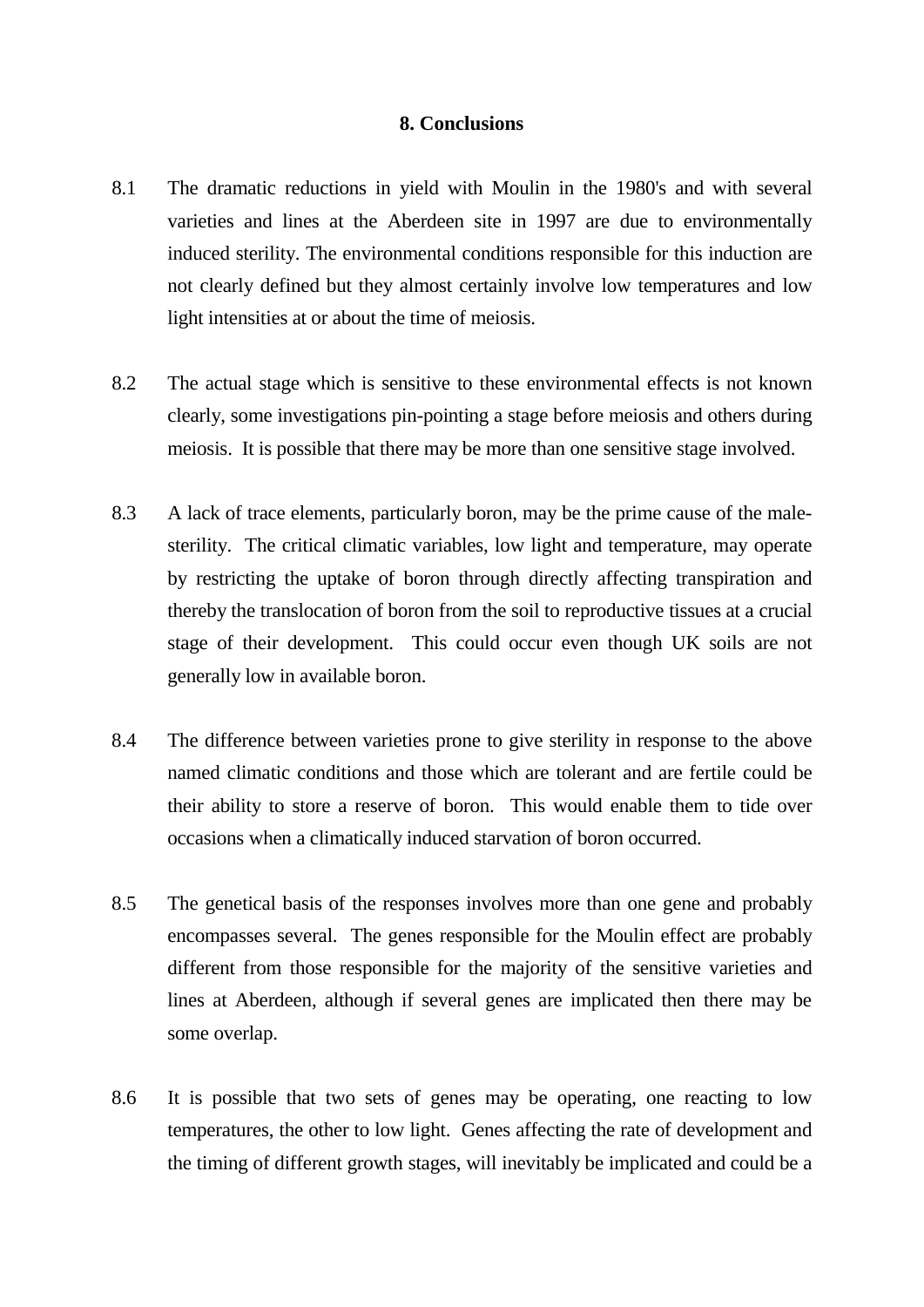# **8. Conclusions**

- 8.1 The dramatic reductions in yield with Moulin in the 1980's and with several varieties and lines at the Aberdeen site in 1997 are due to environmentally induced sterility. The environmental conditions responsible for this induction are not clearly defined but they almost certainly involve low temperatures and low light intensities at or about the time of meiosis.
- 8.2 The actual stage which is sensitive to these environmental effects is not known clearly, some investigations pin-pointing a stage before meiosis and others during meiosis. It is possible that there may be more than one sensitive stage involved.
- 8.3 A lack of trace elements, particularly boron, may be the prime cause of the malesterility. The critical climatic variables, low light and temperature, may operate by restricting the uptake of boron through directly affecting transpiration and thereby the translocation of boron from the soil to reproductive tissues at a crucial stage of their development. This could occur even though UK soils are not generally low in available boron.
- 8.4 The difference between varieties prone to give sterility in response to the above named climatic conditions and those which are tolerant and are fertile could be their ability to store a reserve of boron. This would enable them to tide over occasions when a climatically induced starvation of boron occurred.
- 8.5 The genetical basis of the responses involves more than one gene and probably encompasses several. The genes responsible for the Moulin effect are probably different from those responsible for the majority of the sensitive varieties and lines at Aberdeen, although if several genes are implicated then there may be some overlap.
- 8.6 It is possible that two sets of genes may be operating, one reacting to low temperatures, the other to low light. Genes affecting the rate of development and the timing of different growth stages, will inevitably be implicated and could be a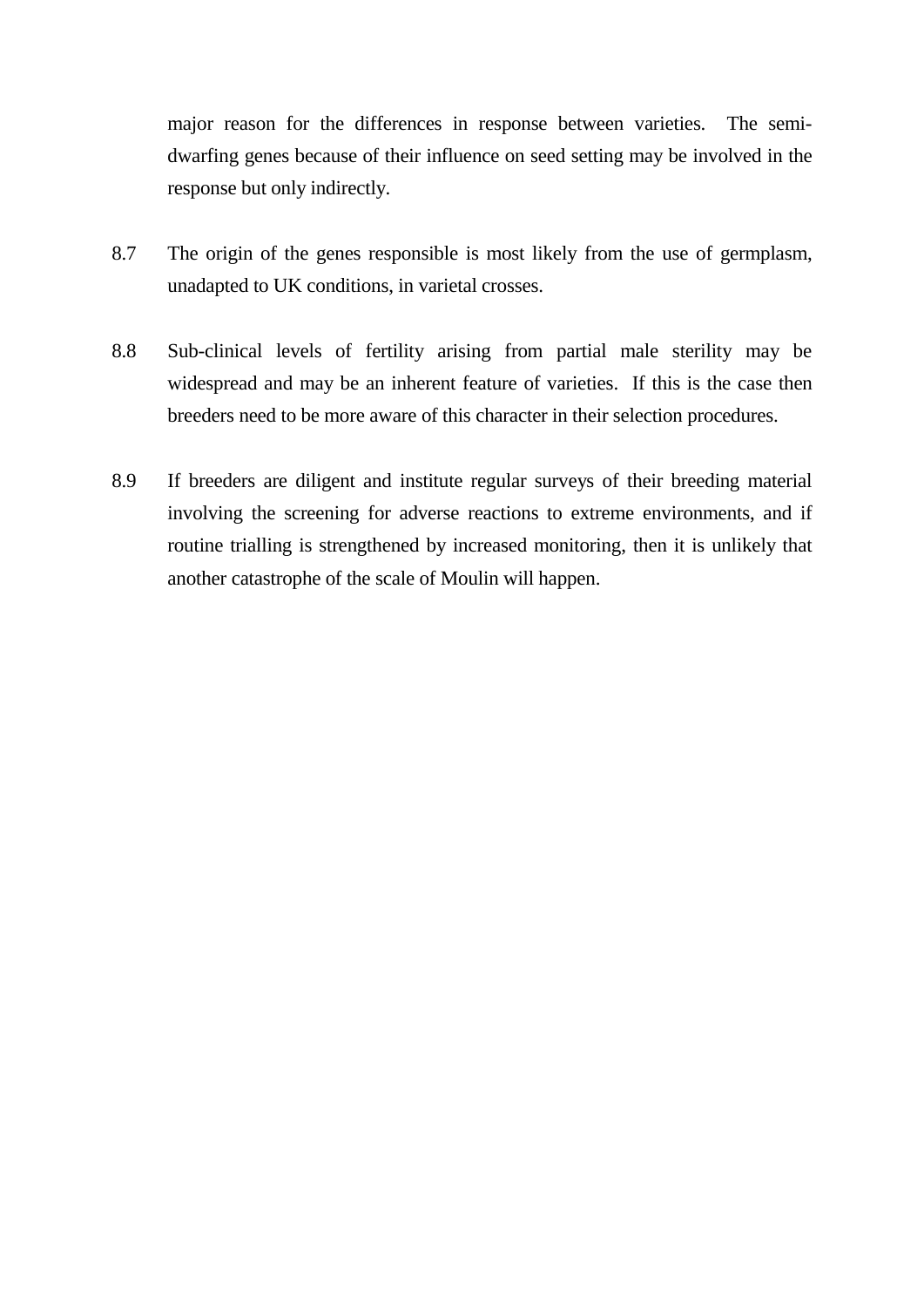major reason for the differences in response between varieties. The semidwarfing genes because of their influence on seed setting may be involved in the response but only indirectly.

- 8.7 The origin of the genes responsible is most likely from the use of germplasm, unadapted to UK conditions, in varietal crosses.
- 8.8 Sub-clinical levels of fertility arising from partial male sterility may be widespread and may be an inherent feature of varieties. If this is the case then breeders need to be more aware of this character in their selection procedures.
- 8.9 If breeders are diligent and institute regular surveys of their breeding material involving the screening for adverse reactions to extreme environments, and if routine trialling is strengthened by increased monitoring, then it is unlikely that another catastrophe of the scale of Moulin will happen.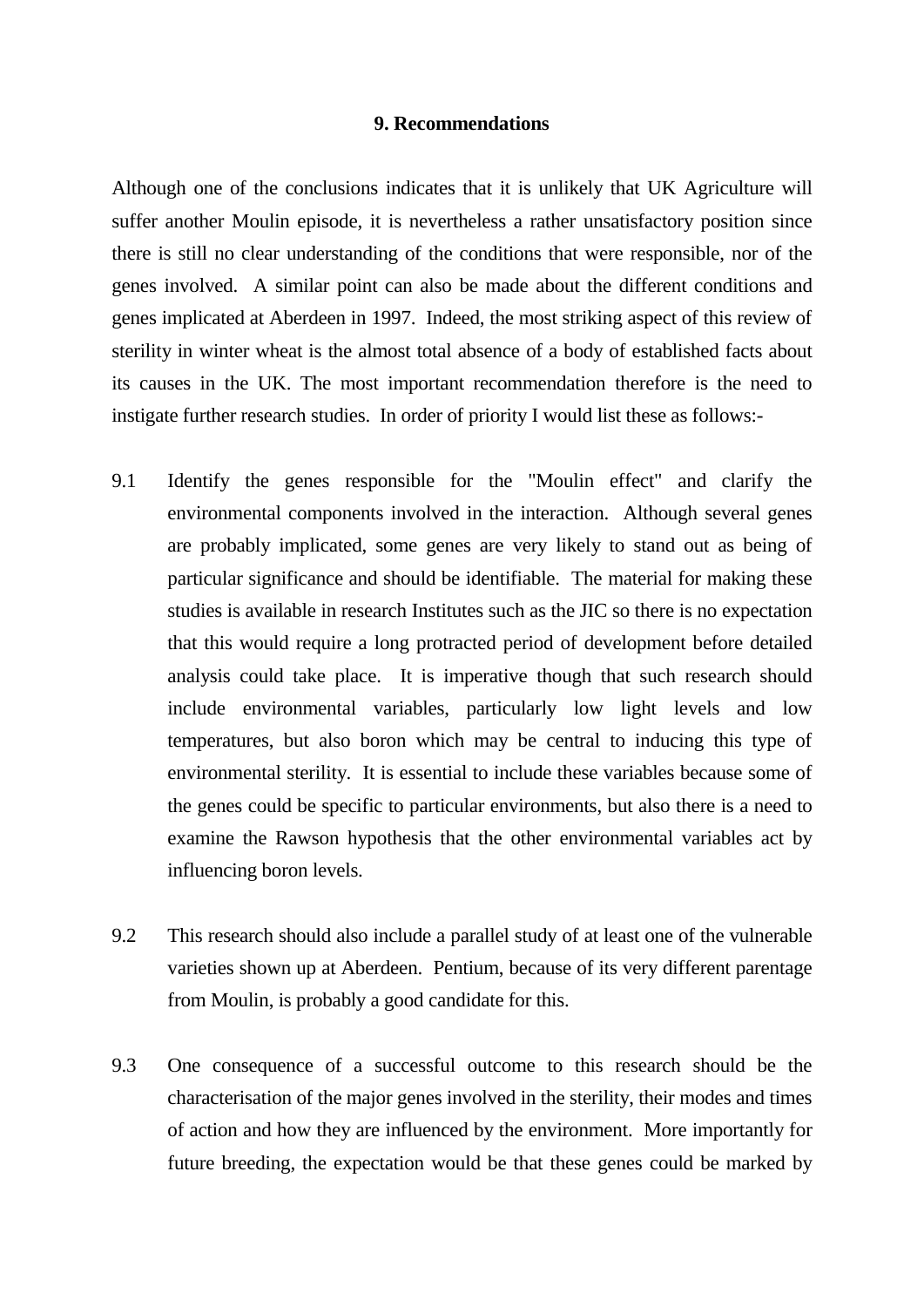### **9. Recommendations**

Although one of the conclusions indicates that it is unlikely that UK Agriculture will suffer another Moulin episode, it is nevertheless a rather unsatisfactory position since there is still no clear understanding of the conditions that were responsible, nor of the genes involved. A similar point can also be made about the different conditions and genes implicated at Aberdeen in 1997. Indeed, the most striking aspect of this review of sterility in winter wheat is the almost total absence of a body of established facts about its causes in the UK. The most important recommendation therefore is the need to instigate further research studies. In order of priority I would list these as follows:-

- 9.1 Identify the genes responsible for the "Moulin effect" and clarify the environmental components involved in the interaction. Although several genes are probably implicated, some genes are very likely to stand out as being of particular significance and should be identifiable. The material for making these studies is available in research Institutes such as the JIC so there is no expectation that this would require a long protracted period of development before detailed analysis could take place. It is imperative though that such research should include environmental variables, particularly low light levels and low temperatures, but also boron which may be central to inducing this type of environmental sterility. It is essential to include these variables because some of the genes could be specific to particular environments, but also there is a need to examine the Rawson hypothesis that the other environmental variables act by influencing boron levels.
- 9.2 This research should also include a parallel study of at least one of the vulnerable varieties shown up at Aberdeen. Pentium, because of its very different parentage from Moulin, is probably a good candidate for this.
- 9.3 One consequence of a successful outcome to this research should be the characterisation of the major genes involved in the sterility, their modes and times of action and how they are influenced by the environment. More importantly for future breeding, the expectation would be that these genes could be marked by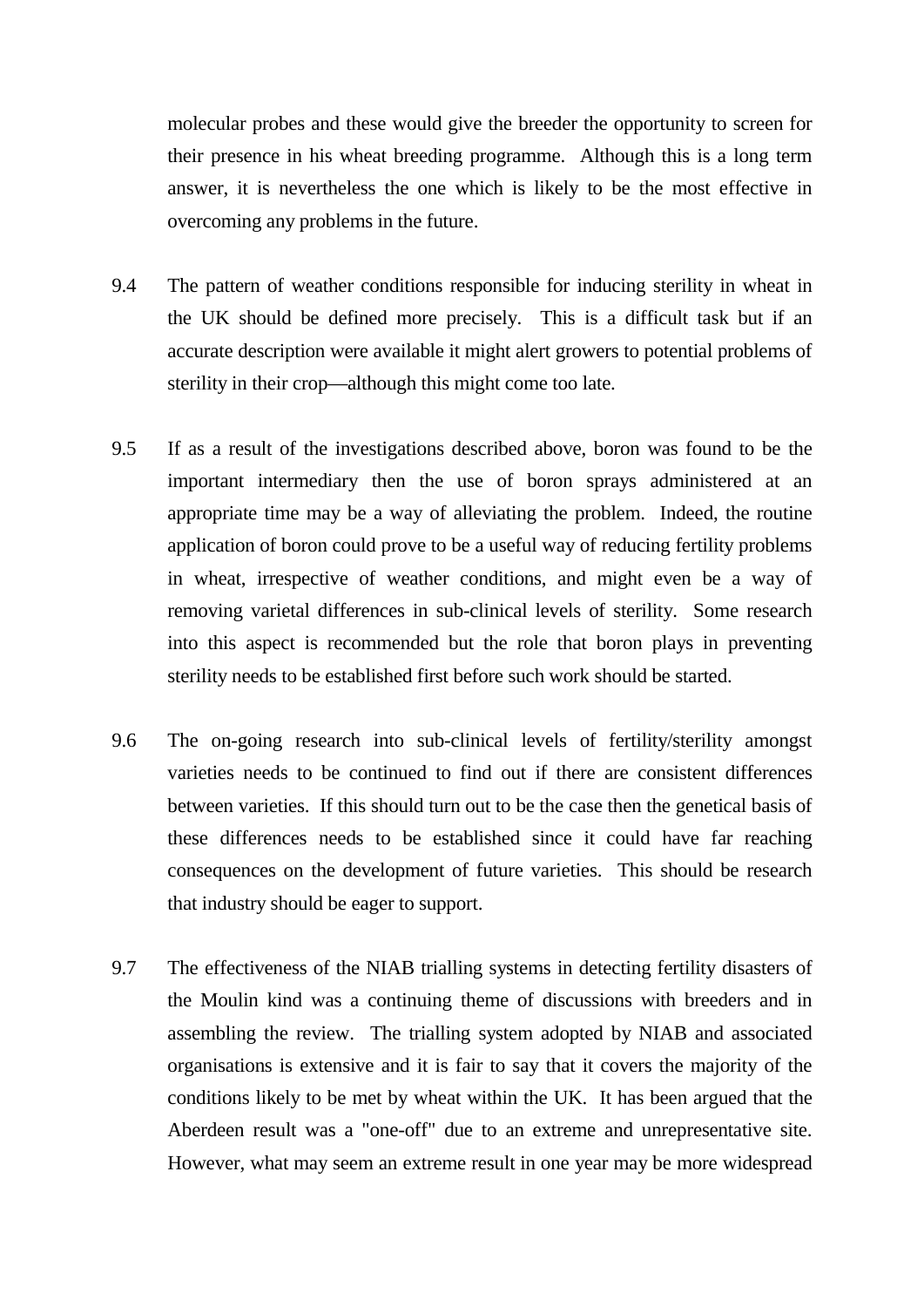molecular probes and these would give the breeder the opportunity to screen for their presence in his wheat breeding programme. Although this is a long term answer, it is nevertheless the one which is likely to be the most effective in overcoming any problems in the future.

- 9.4 The pattern of weather conditions responsible for inducing sterility in wheat in the UK should be defined more precisely. This is a difficult task but if an accurate description were available it might alert growers to potential problems of sterility in their crop—although this might come too late.
- 9.5 If as a result of the investigations described above, boron was found to be the important intermediary then the use of boron sprays administered at an appropriate time may be a way of alleviating the problem. Indeed, the routine application of boron could prove to be a useful way of reducing fertility problems in wheat, irrespective of weather conditions, and might even be a way of removing varietal differences in sub-clinical levels of sterility. Some research into this aspect is recommended but the role that boron plays in preventing sterility needs to be established first before such work should be started.
- 9.6 The on-going research into sub-clinical levels of fertility/sterility amongst varieties needs to be continued to find out if there are consistent differences between varieties. If this should turn out to be the case then the genetical basis of these differences needs to be established since it could have far reaching consequences on the development of future varieties. This should be research that industry should be eager to support.
- 9.7 The effectiveness of the NIAB trialling systems in detecting fertility disasters of the Moulin kind was a continuing theme of discussions with breeders and in assembling the review. The trialling system adopted by NIAB and associated organisations is extensive and it is fair to say that it covers the majority of the conditions likely to be met by wheat within the UK. It has been argued that the Aberdeen result was a "one-off" due to an extreme and unrepresentative site. However, what may seem an extreme result in one year may be more widespread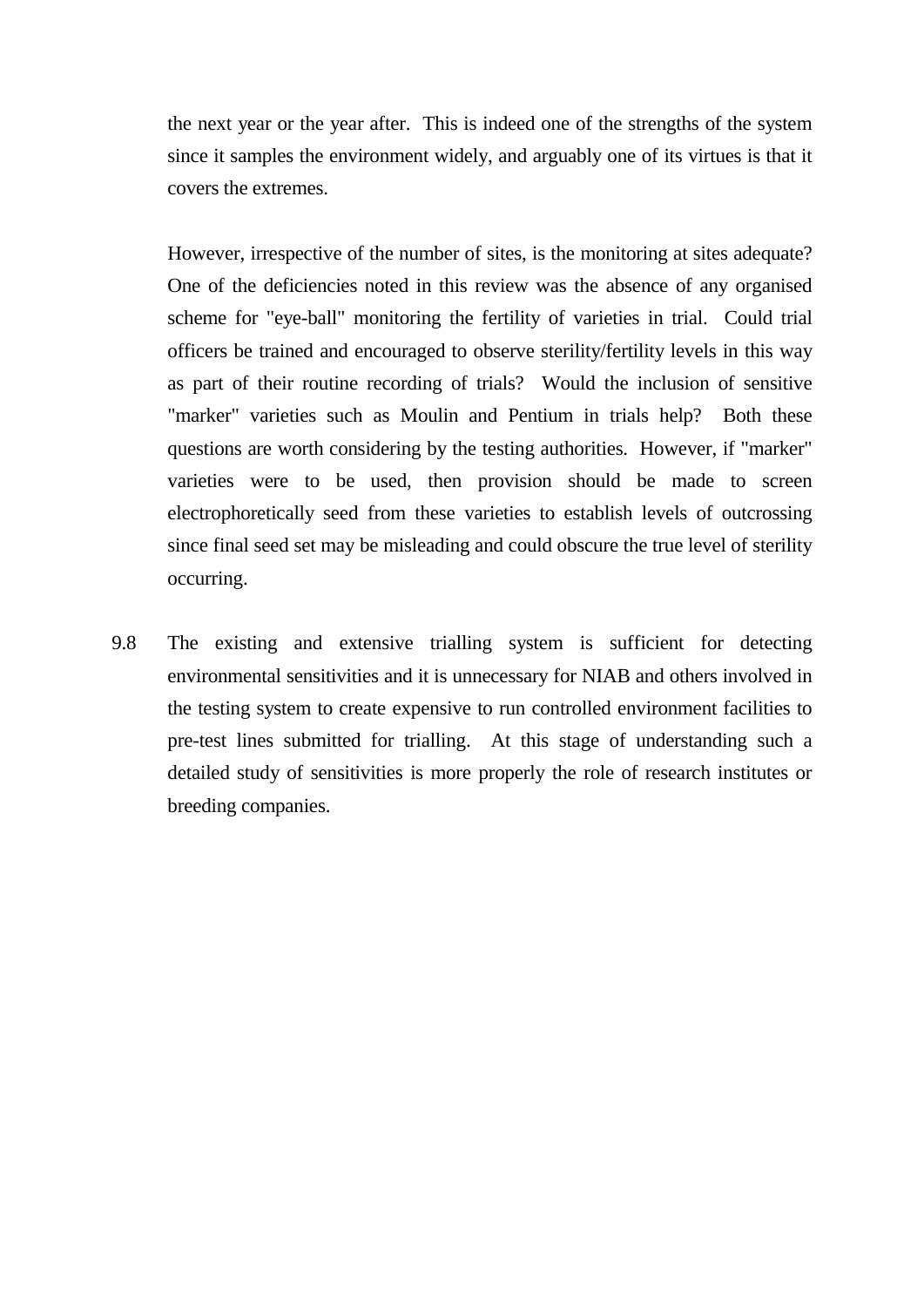the next year or the year after. This is indeed one of the strengths of the system since it samples the environment widely, and arguably one of its virtues is that it covers the extremes.

However, irrespective of the number of sites, is the monitoring at sites adequate? One of the deficiencies noted in this review was the absence of any organised scheme for "eye-ball" monitoring the fertility of varieties in trial. Could trial officers be trained and encouraged to observe sterility/fertility levels in this way as part of their routine recording of trials? Would the inclusion of sensitive "marker" varieties such as Moulin and Pentium in trials help? Both these questions are worth considering by the testing authorities. However, if "marker" varieties were to be used, then provision should be made to screen electrophoretically seed from these varieties to establish levels of outcrossing since final seed set may be misleading and could obscure the true level of sterility occurring.

9.8 The existing and extensive trialling system is sufficient for detecting environmental sensitivities and it is unnecessary for NIAB and others involved in the testing system to create expensive to run controlled environment facilities to pre-test lines submitted for trialling. At this stage of understanding such a detailed study of sensitivities is more properly the role of research institutes or breeding companies.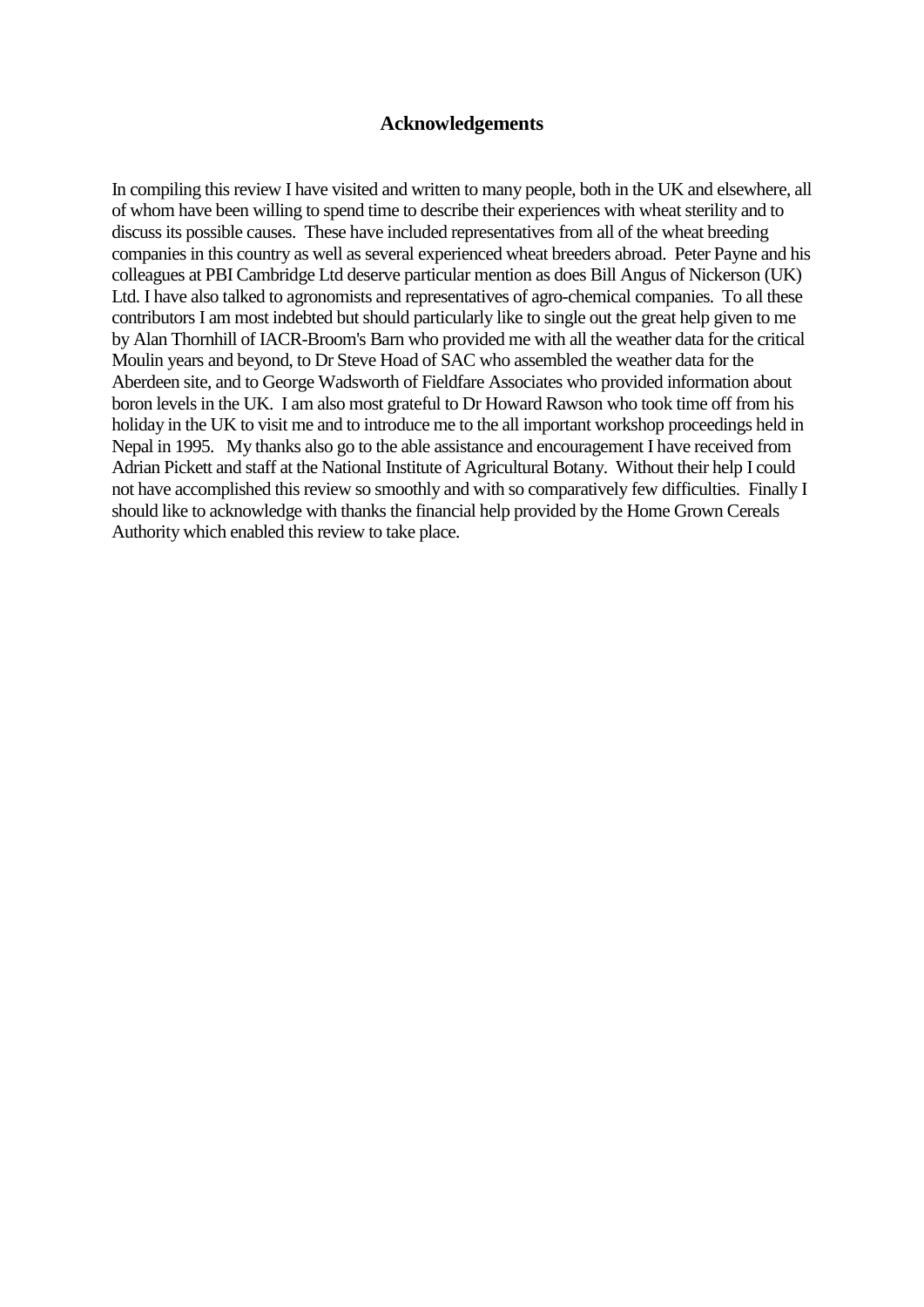## **Acknowledgements**

In compiling this review I have visited and written to many people, both in the UK and elsewhere, all of whom have been willing to spend time to describe their experiences with wheat sterility and to discuss its possible causes. These have included representatives from all of the wheat breeding companies in this country as well as several experienced wheat breeders abroad. Peter Payne and his colleagues at PBI Cambridge Ltd deserve particular mention as does Bill Angus of Nickerson (UK) Ltd. I have also talked to agronomists and representatives of agro-chemical companies. To all these contributors I am most indebted but should particularly like to single out the great help given to me by Alan Thornhill of IACR-Broom's Barn who provided me with all the weather data for the critical Moulin years and beyond, to Dr Steve Hoad of SAC who assembled the weather data for the Aberdeen site, and to George Wadsworth of Fieldfare Associates who provided information about boron levels in the UK. I am also most grateful to Dr Howard Rawson who took time off from his holiday in the UK to visit me and to introduce me to the all important workshop proceedings held in Nepal in 1995. My thanks also go to the able assistance and encouragement I have received from Adrian Pickett and staff at the National Institute of Agricultural Botany. Without their help I could not have accomplished this review so smoothly and with so comparatively few difficulties. Finally I should like to acknowledge with thanks the financial help provided by the Home Grown Cereals Authority which enabled this review to take place.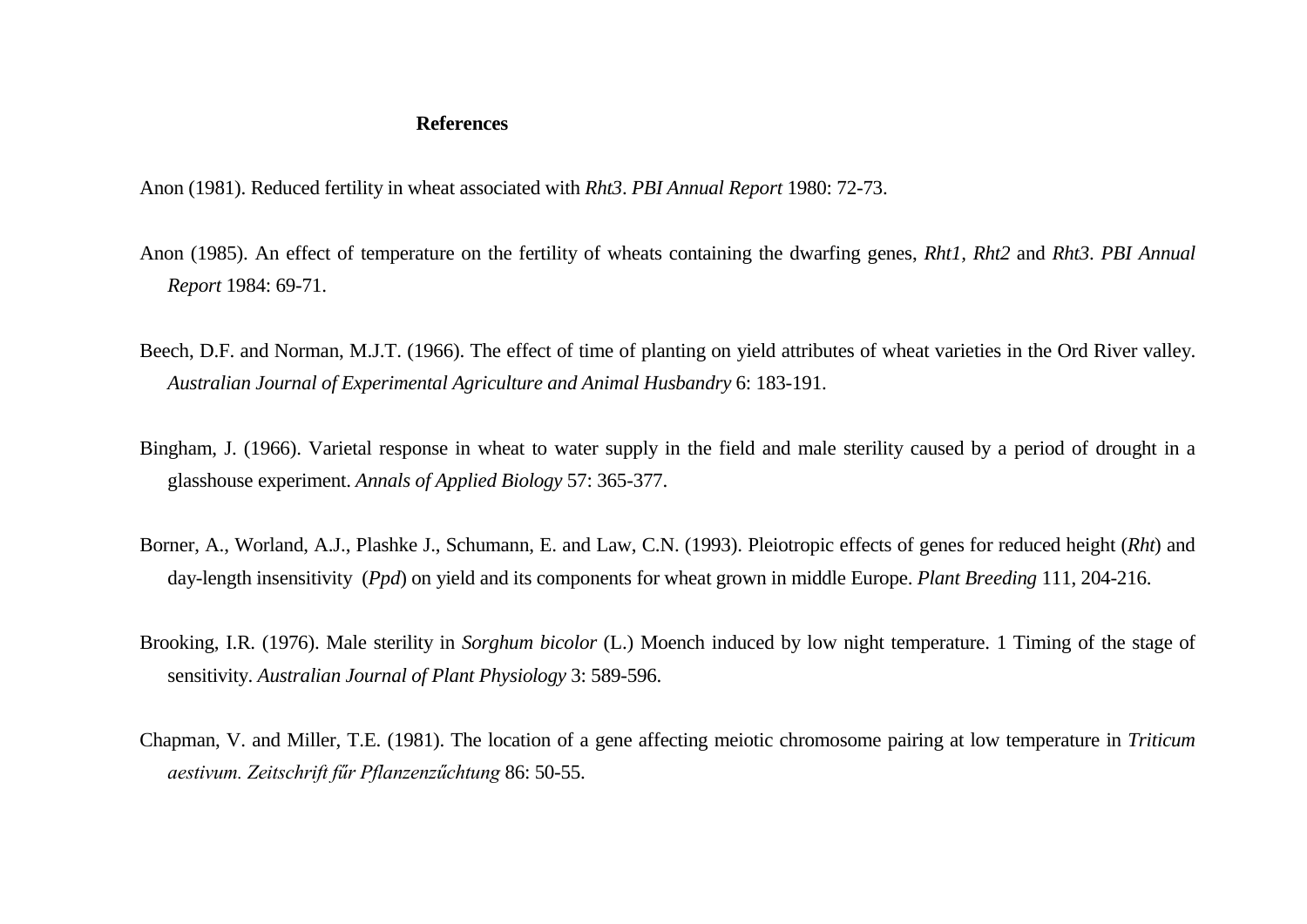# **References**

Anon (1981). Reduced fertility in wheat associated with *Rht3*. *PBI Annual Report* 1980: 72-73.

- Anon (1985). An effect of temperature on the fertility of wheats containing the dwarfing genes, *Rht1, Rht2* and *Rht3*. *PBI Annual Report* 1984: 69-71.
- Beech, D.F. and Norman, M.J.T. (1966). The effect of time of planting on yield attributes of wheat varieties in the Ord River valley. *Australian Journal of Experimental Agriculture and Animal Husbandry* 6: 183-191.
- Bingham, J. (1966). Varietal response in wheat to water supply in the field and male sterility caused by a period of drought in a glasshouse experiment. *Annals of Applied Biology* 57: 365-377.
- Borner, A., Worland, A.J., Plashke J., Schumann, E. and Law, C.N. (1993). Pleiotropic effects of genes for reduced height (*Rht*) and day-length insensitivity (*Ppd*) on yield and its components for wheat grown in middle Europe. *Plant Breeding* 111, 204-216.
- Brooking, I.R. (1976). Male sterility in *Sorghum bicolor* (L.) Moench induced by low night temperature. 1 Timing of the stage of sensitivity. *Australian Journal of Plant Physiology* 3: 589-596.
- Chapman, V. and Miller, T.E. (1981). The location of a gene affecting meiotic chromosome pairing at low temperature in *Triticum aestivum. Zeitschrift fűr Pflanzenzűchtung* 86: 50-55.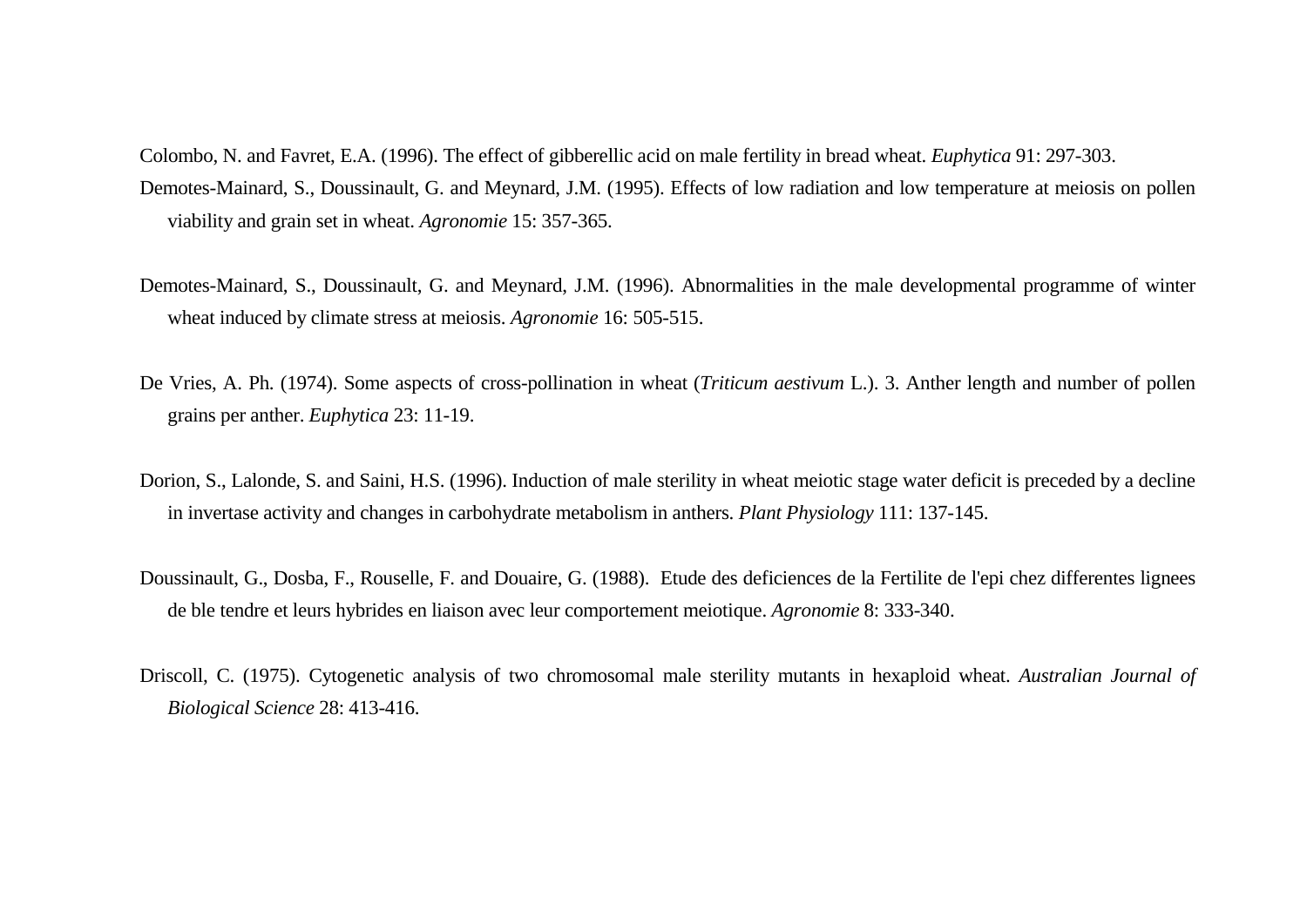- Colombo, N. and Favret, E.A. (1996). The effect of gibberellic acid on male fertility in bread wheat. *Euphytica* 91: 297-303. Demotes-Mainard, S., Doussinault, G. and Meynard, J.M. (1995). Effects of low radiation and low temperature at meiosis on pollen viability and grain set in wheat. *Agronomie* 15: 357-365.
- Demotes-Mainard, S., Doussinault, G. and Meynard, J.M. (1996). Abnormalities in the male developmental programme of winter wheat induced by climate stress at meiosis. *Agronomie* 16: 505-515.
- De Vries, A. Ph. (1974). Some aspects of cross-pollination in wheat (*Triticum aestivum* L.). 3. Anther length and number of pollen grains per anther. *Euphytica* 23: 11-19.
- Dorion, S., Lalonde, S. and Saini, H.S. (1996). Induction of male sterility in wheat meiotic stage water deficit is preceded by a decline in invertase activity and changes in carbohydrate metabolism in anthers. *Plant Physiology* 111: 137-145.
- Doussinault, G., Dosba, F., Rouselle, F. and Douaire, G. (1988). Etude des deficiences de la Fertilite de l'epi chez differentes lignees de ble tendre et leurs hybrides en liaison avec leur comportement meiotique. *Agronomie* 8: 333-340.
- Driscoll, C. (1975). Cytogenetic analysis of two chromosomal male sterility mutants in hexaploid wheat. *Australian Journal of Biological Science* 28: 413-416.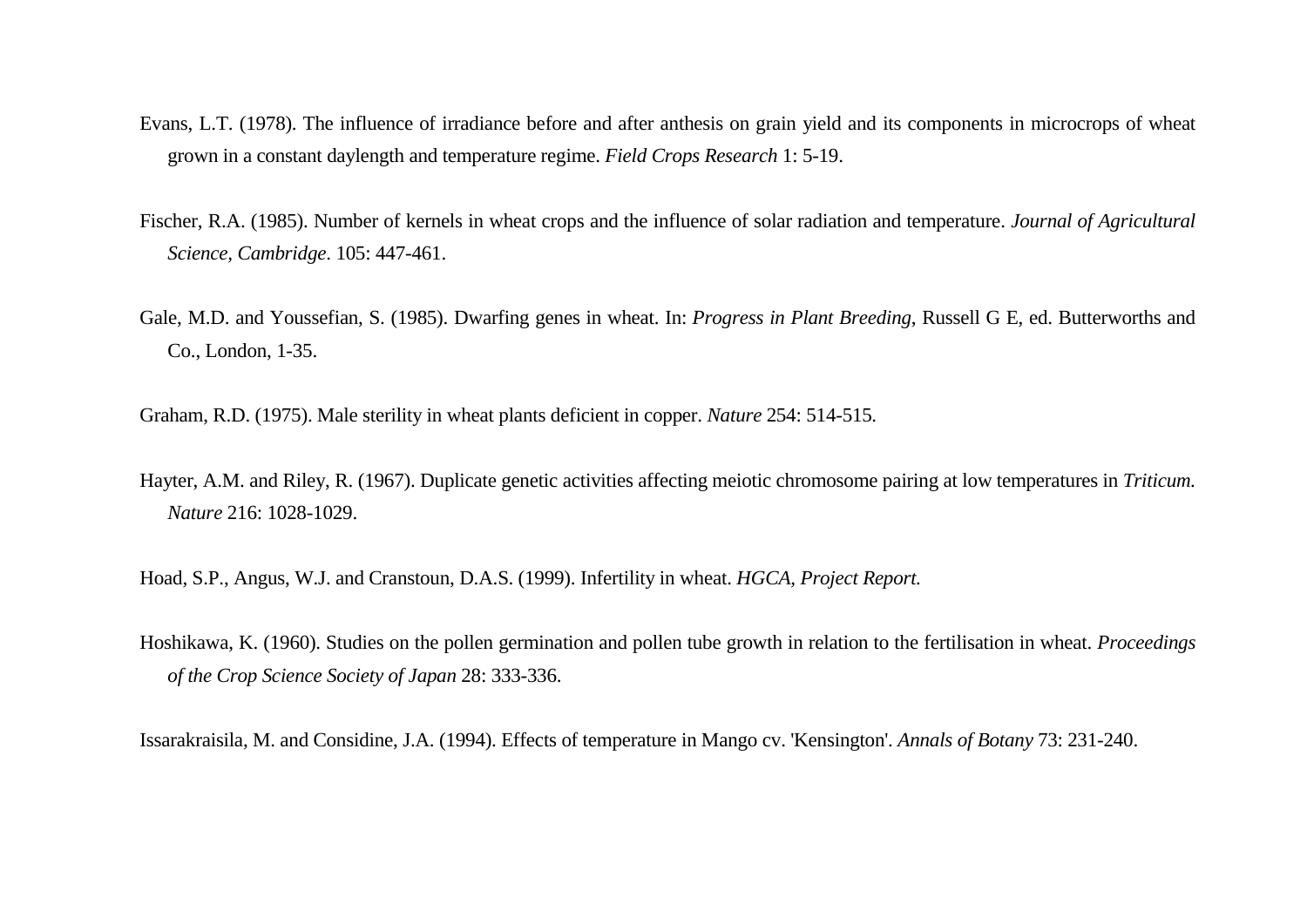- Evans, L.T. (1978). The influence of irradiance before and after anthesis on grain yield and its components in microcrops of wheat grown in a constant daylength and temperature regime. *Field Crops Research* 1: 5-19.
- Fischer, R.A. (1985). Number of kernels in wheat crops and the influence of solar radiation and temperature. *Journal of Agricultural Science, Cambridge*. 105: 447-461.
- Gale, M.D. and Youssefian, S. (1985). Dwarfing genes in wheat. In: *Progress in Plant Breeding*, Russell G E, ed. Butterworths and Co., London, 1-35.
- Graham, R.D. (1975). Male sterility in wheat plants deficient in copper. *Nature* 254: 514-515.
- Hayter, A.M. and Riley, R. (1967). Duplicate genetic activities affecting meiotic chromosome pairing at low temperatures in *Triticum*. *Nature* 216: 1028-1029.
- Hoad, S.P., Angus, W.J. and Cranstoun, D.A.S. (1999). Infertility in wheat. *HGCA, Project Report.*
- Hoshikawa, K. (1960). Studies on the pollen germination and pollen tube growth in relation to the fertilisation in wheat. *Proceedings of the Crop Science Society of Japan* 28: 333-336.

Issarakraisila, M. and Considine, J.A. (1994). Effects of temperature in Mango cv. 'Kensington'. *Annals of Botany* 73: 231-240.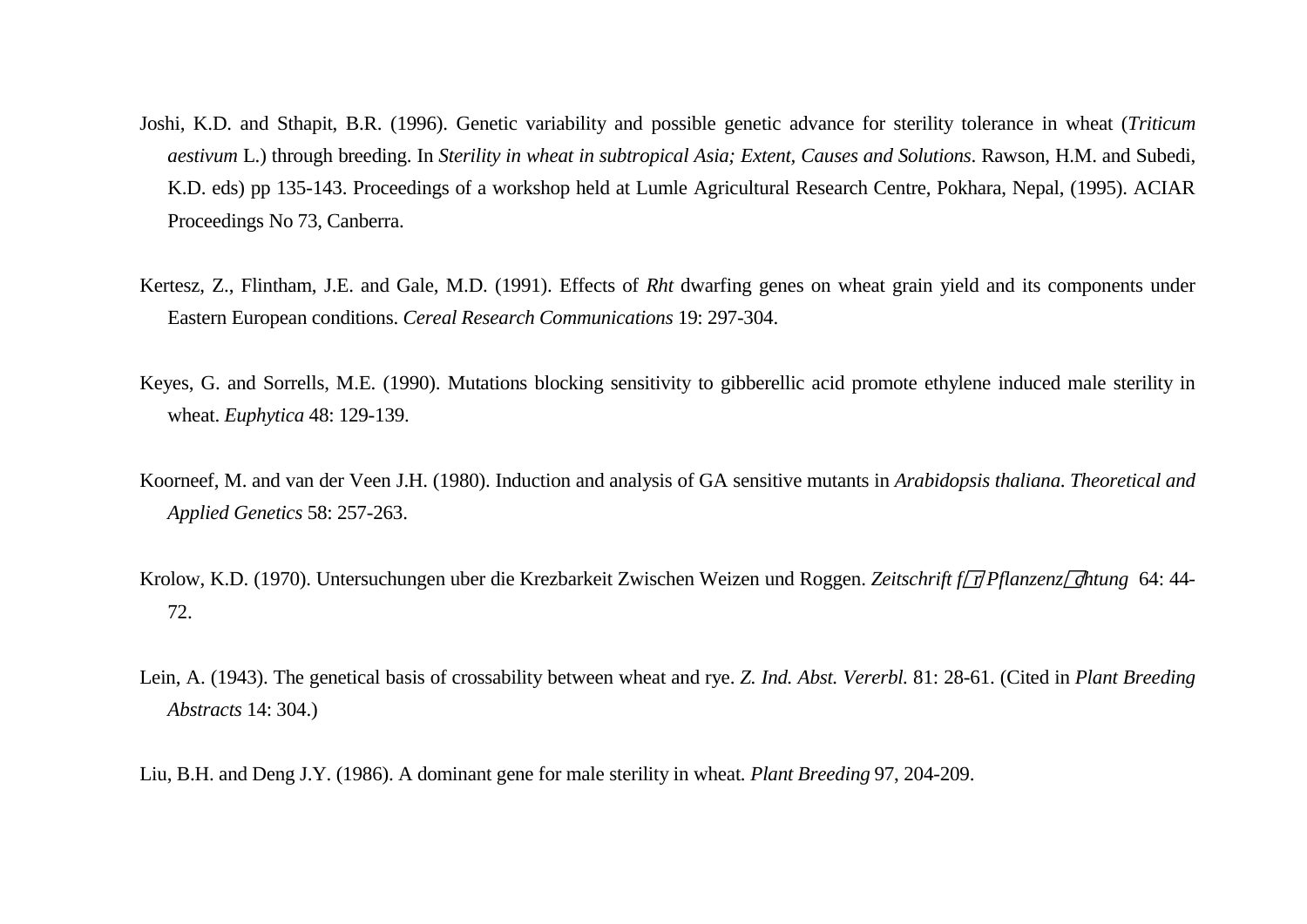- Joshi, K.D. and Sthapit, B.R. (1996). Genetic variability and possible genetic advance for sterility tolerance in wheat (*Triticum aestivum* L.) through breeding. In *Sterility in wheat in subtropical Asia; Extent, Causes and Solutions*. Rawson, H.M. and Subedi, K.D. eds) pp 135-143. Proceedings of a workshop held at Lumle Agricultural Research Centre, Pokhara, Nepal, (1995). ACIAR Proceedings No 73, Canberra.
- Kertesz, Z., Flintham, J.E. and Gale, M.D. (1991). Effects of *Rht* dwarfing genes on wheat grain yield and its components under Eastern European conditions. *Cereal Research Communications* 19: 297-304.
- Keyes, G. and Sorrells, M.E. (1990). Mutations blocking sensitivity to gibberellic acid promote ethylene induced male sterility in wheat. *Euphytica* 48: 129-139.
- Koorneef, M. and van der Veen J.H. (1980). Induction and analysis of GA sensitive mutants in *Arabidopsis thaliana*. *Theoretical and Applied Genetics* 58: 257-263.
- Krolow, K.D. (1970). Untersuchungen uber die Krezbarkeit Zwischen Weizen und Roggen. Zeitschrift f/ $\eta$ Pflanzenz/ $\eta$ htung 64: 44-72.
- Lein, A. (1943). The genetical basis of crossability between wheat and rye. *Z. Ind. Abst. Vererbl.* 81: 28-61. (Cited in *Plant Breeding Abstracts* 14: 304.)
- Liu, B.H. and Deng J.Y. (1986). A dominant gene for male sterility in wheat*. Plant Breeding* 97, 204-209.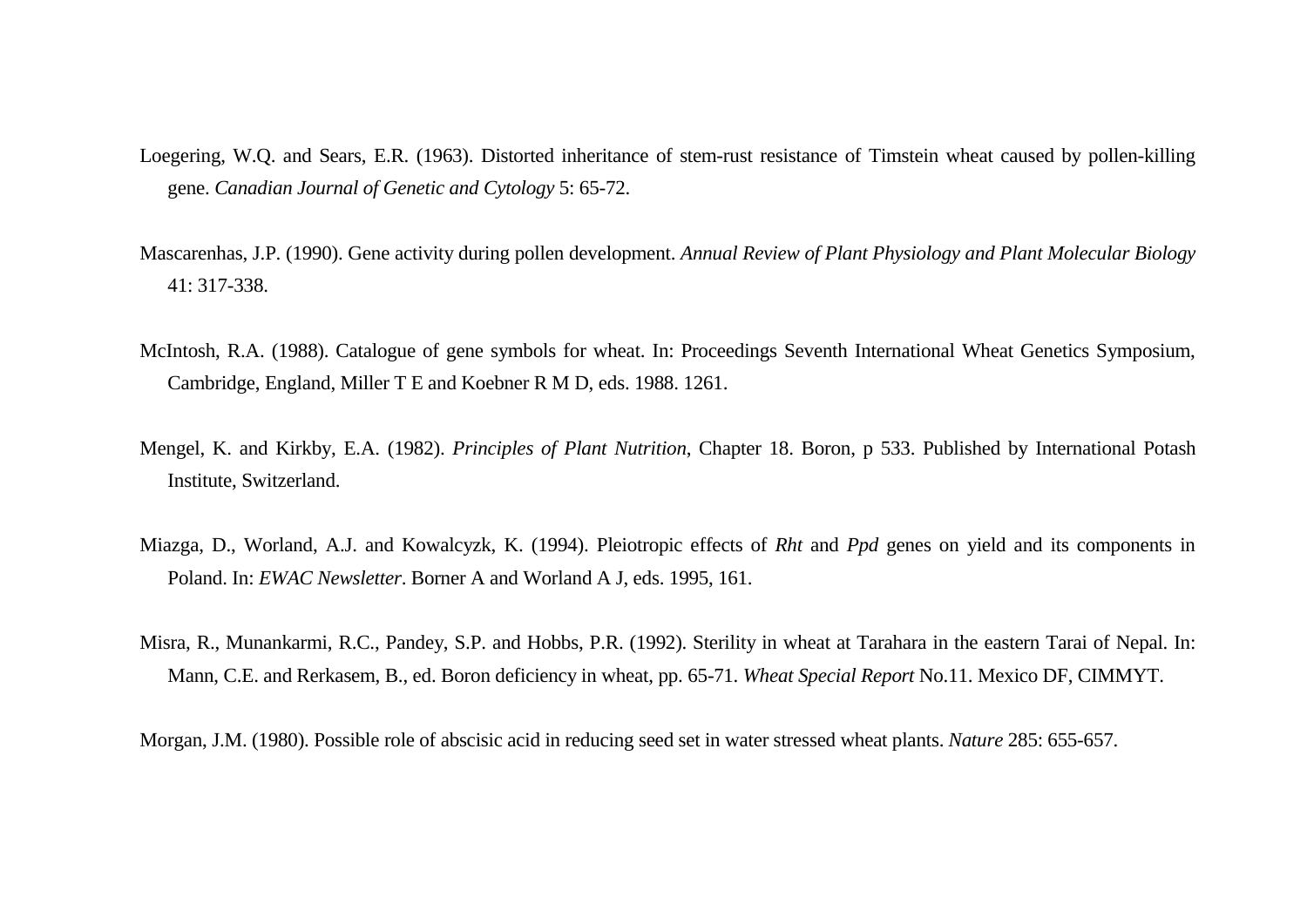- Loegering, W.Q. and Sears, E.R. (1963). Distorted inheritance of stem-rust resistance of Timstein wheat caused by pollen-killing gene. *Canadian Journal of Genetic and Cytology* 5: 65-72.
- Mascarenhas, J.P. (1990). Gene activity during pollen development. *Annual Review of Plant Physiology and Plant Molecular Biology* 41: 317-338.
- McIntosh, R.A. (1988). Catalogue of gene symbols for wheat. In: Proceedings Seventh International Wheat Genetics Symposium, Cambridge, England, Miller T E and Koebner R M D, eds. 1988. 1261.
- Mengel, K. and Kirkby, E.A. (1982). *Principles of Plant Nutrition*, Chapter 18. Boron, p 533. Published by International Potash Institute, Switzerland.
- Miazga, D., Worland, A.J. and Kowalcyzk, K. (1994). Pleiotropic effects of *Rht* and *Ppd* genes on yield and its components in Poland. In: *EWAC Newsletter*. Borner A and Worland A J, eds. 1995, 161.
- Misra, R., Munankarmi, R.C., Pandey, S.P. and Hobbs, P.R. (1992). Sterility in wheat at Tarahara in the eastern Tarai of Nepal. In: Mann, C.E. and Rerkasem, B., ed. Boron deficiency in wheat, pp. 65-71. *Wheat Special Report* No.11. Mexico DF, CIMMYT.

Morgan, J.M. (1980). Possible role of abscisic acid in reducing seed set in water stressed wheat plants. *Nature* 285: 655-657.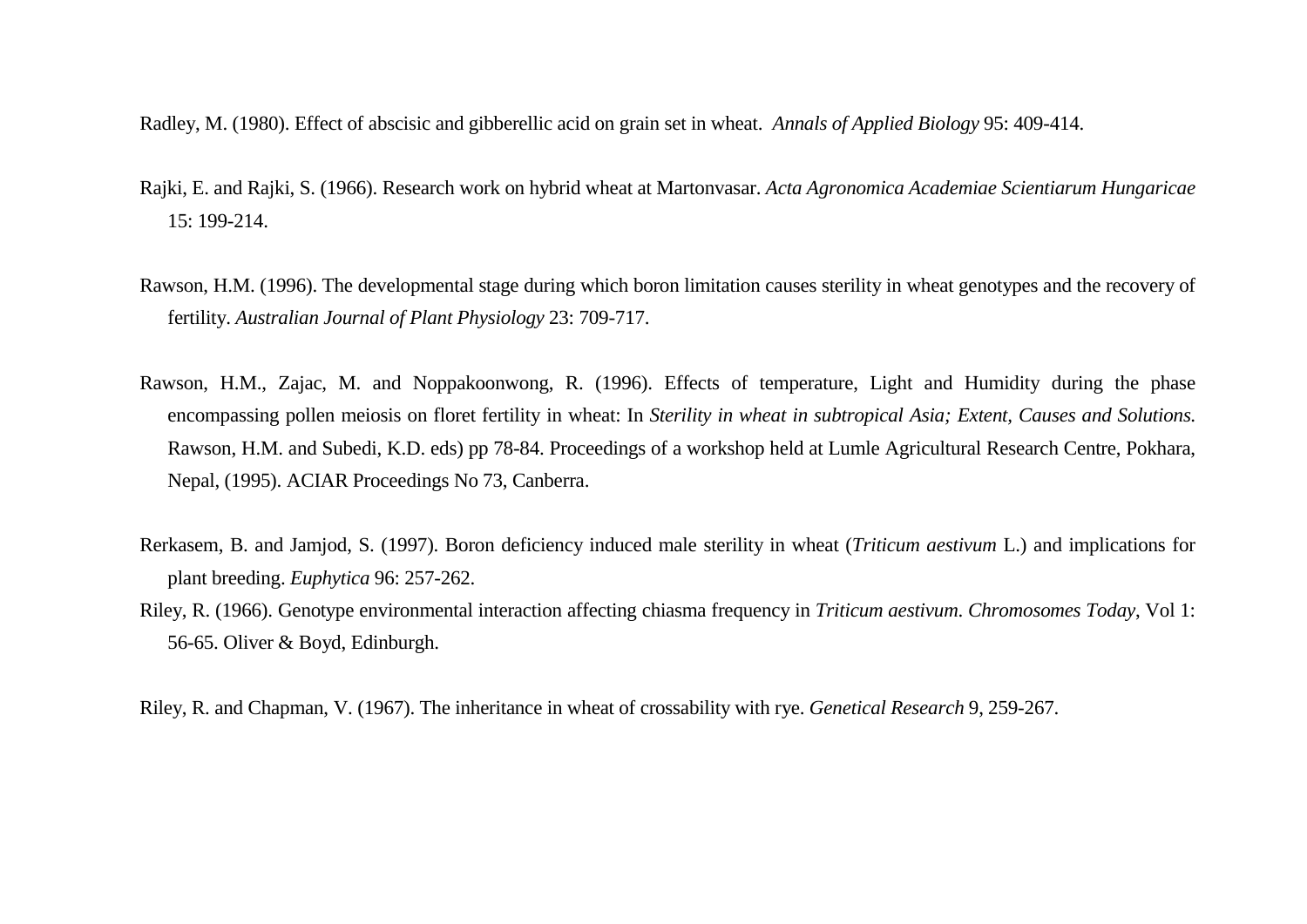Radley, M. (1980). Effect of abscisic and gibberellic acid on grain set in wheat. *Annals of Applied Biology* 95: 409-414.

- Rajki, E. and Rajki, S. (1966). Research work on hybrid wheat at Martonvasar. *Acta Agronomica Academiae Scientiarum Hungaricae* 15: 199-214.
- Rawson, H.M. (1996). The developmental stage during which boron limitation causes sterility in wheat genotypes and the recovery of fertility. *Australian Journal of Plant Physiology* 23: 709-717.
- Rawson, H.M., Zajac, M. and Noppakoonwong, R. (1996). Effects of temperature, Light and Humidity during the phase encompassing pollen meiosis on floret fertility in wheat: In *Sterility in wheat in subtropical Asia; Extent, Causes and Solutions*. Rawson, H.M. and Subedi, K.D. eds) pp 78-84. Proceedings of a workshop held at Lumle Agricultural Research Centre, Pokhara, Nepal, (1995). ACIAR Proceedings No 73, Canberra.
- Rerkasem, B. and Jamjod, S. (1997). Boron deficiency induced male sterility in wheat (*Triticum aestivum* L.) and implications for plant breeding. *Euphytica* 96: 257-262.
- Riley, R. (1966). Genotype environmental interaction affecting chiasma frequency in *Triticum aestivum*. *Chromosomes Today*, Vol 1: 56-65. Oliver & Boyd, Edinburgh.

Riley, R. and Chapman, V. (1967). The inheritance in wheat of crossability with rye. *Genetical Research* 9, 259-267.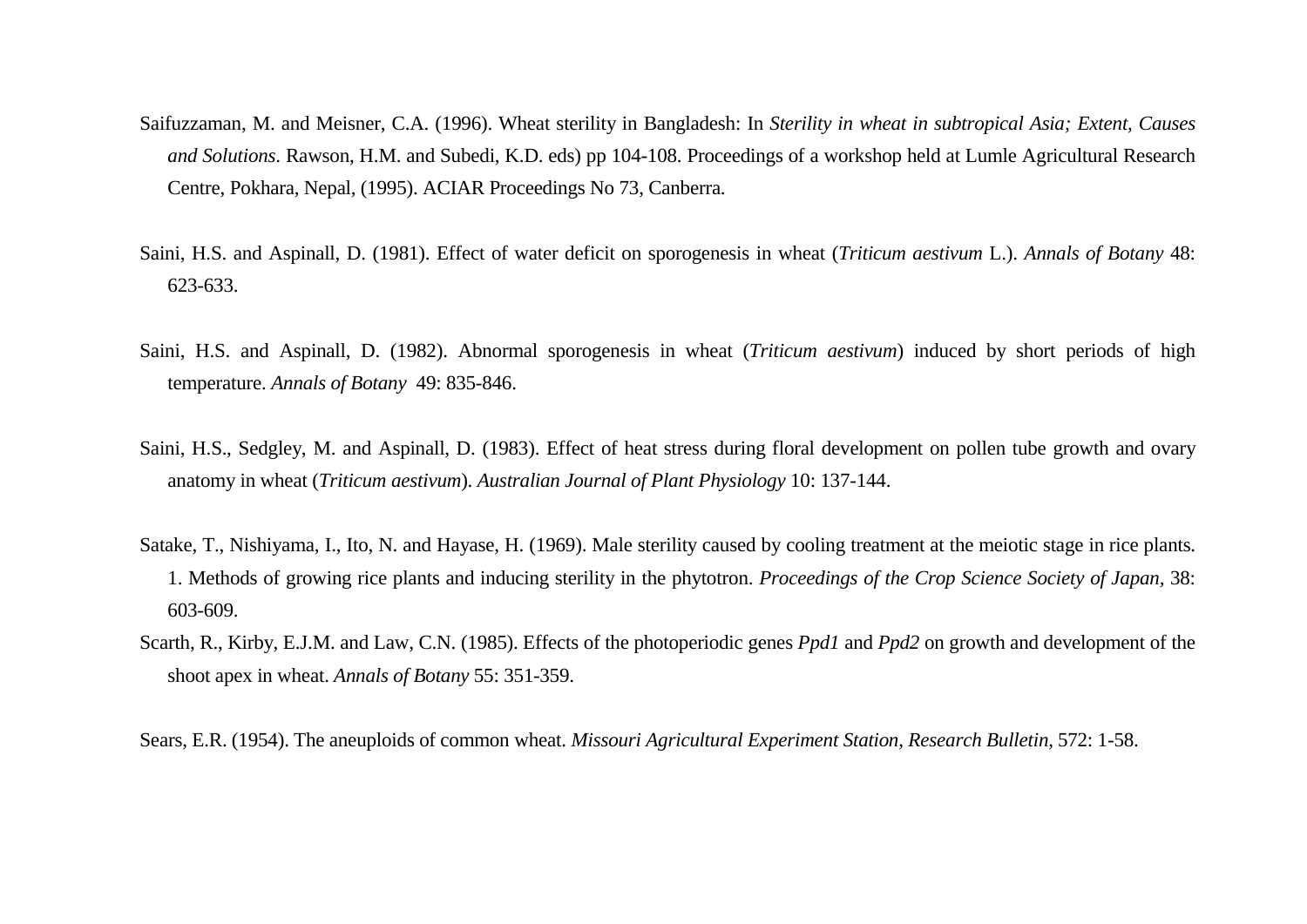- Saifuzzaman, M. and Meisner, C.A. (1996). Wheat sterility in Bangladesh: In *Sterility in wheat in subtropical Asia; Extent, Causes and Solutions*. Rawson, H.M. and Subedi, K.D. eds) pp 104-108. Proceedings of a workshop held at Lumle Agricultural Research Centre, Pokhara, Nepal, (1995). ACIAR Proceedings No 73, Canberra.
- Saini, H.S. and Aspinall, D. (1981). Effect of water deficit on sporogenesis in wheat (*Triticum aestivum* L.). *Annals of Botany* 48: 623-633.
- Saini, H.S. and Aspinall, D. (1982). Abnormal sporogenesis in wheat (*Triticum aestivum*) induced by short periods of high temperature. *Annals of Botany* 49: 835-846.
- Saini, H.S., Sedgley, M. and Aspinall, D. (1983). Effect of heat stress during floral development on pollen tube growth and ovary anatomy in wheat (*Triticum aestivum*). *Australian Journal of Plant Physiology* 10: 137-144.
- Satake, T., Nishiyama, I., Ito, N. and Hayase, H. (1969). Male sterility caused by cooling treatment at the meiotic stage in rice plants. 1. Methods of growing rice plants and inducing sterility in the phytotron. *Proceedings of the Crop Science Society of Japan,* 38: 603-609.
- Scarth, R., Kirby, E.J.M. and Law, C.N. (1985). Effects of the photoperiodic genes *Ppd1* and *Ppd2* on growth and development of the shoot apex in wheat. *Annals of Botany* 55: 351-359.

Sears, E.R. (1954). The aneuploids of common wheat. *Missouri Agricultural Experiment Station, Research Bulletin,* 572: 1-58.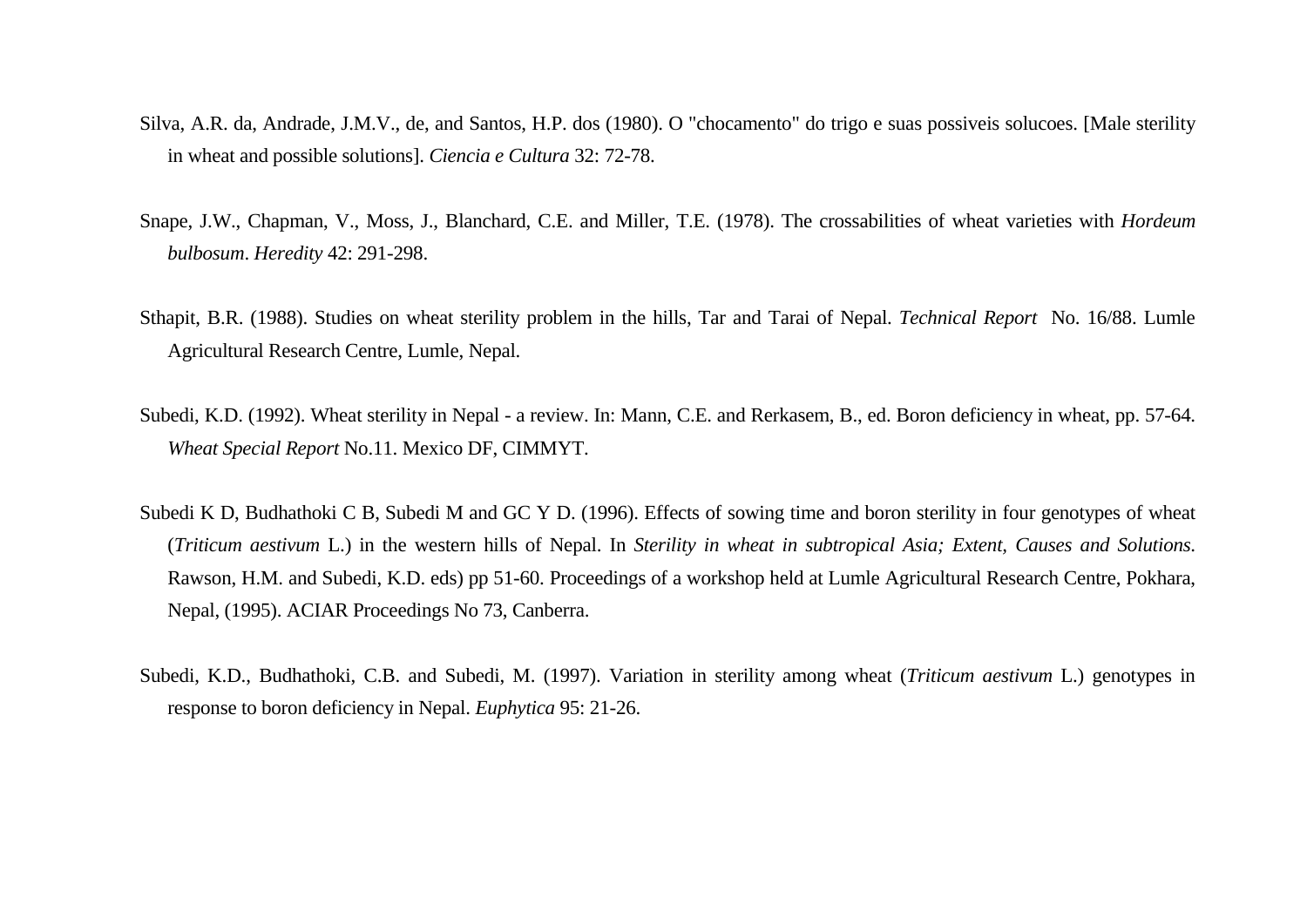- Silva, A.R. da, Andrade, J.M.V., de, and Santos, H.P. dos (1980). O "chocamento" do trigo e suas possiveis solucoes. [Male sterility in wheat and possible solutions]. *Ciencia e Cultura* 32: 72-78.
- Snape, J.W., Chapman, V., Moss, J., Blanchard, C.E. and Miller, T.E. (1978). The crossabilities of wheat varieties with *Hordeum bulbosum*. *Heredity* 42: 291-298.
- Sthapit, B.R. (1988). Studies on wheat sterility problem in the hills, Tar and Tarai of Nepal. *Technical Report* No. 16/88. Lumle Agricultural Research Centre, Lumle, Nepal.
- Subedi, K.D. (1992). Wheat sterility in Nepal a review. In: Mann, C.E. and Rerkasem, B., ed. Boron deficiency in wheat, pp. 57-64. *Wheat Special Report* No.11. Mexico DF, CIMMYT.
- Subedi K D, Budhathoki C B, Subedi M and GC Y D. (1996). Effects of sowing time and boron sterility in four genotypes of wheat (*Triticum aestivum* L.) in the western hills of Nepal. In *Sterility in wheat in subtropical Asia; Extent, Causes and Solutions*. Rawson, H.M. and Subedi, K.D. eds) pp 51-60. Proceedings of a workshop held at Lumle Agricultural Research Centre, Pokhara, Nepal, (1995). ACIAR Proceedings No 73, Canberra.
- Subedi, K.D., Budhathoki, C.B. and Subedi, M. (1997). Variation in sterility among wheat (*Triticum aestivum* L.) genotypes in response to boron deficiency in Nepal. *Euphytica* 95: 21-26.